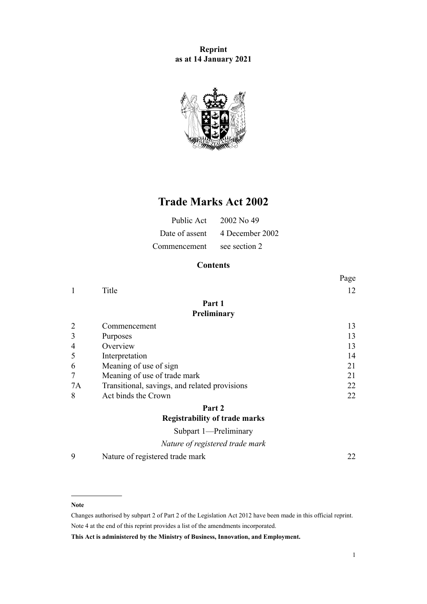**Reprint as at 14 January 2021**



# **Trade Marks Act 2002**

| Public Act   | 2002 No. 49                    |
|--------------|--------------------------------|
|              | Date of assent 4 December 2002 |
| Commencement | see section 2                  |

# **Contents**

|                |                                               | Page |
|----------------|-----------------------------------------------|------|
| 1              | Title                                         | 12   |
|                | Part 1                                        |      |
|                | Preliminary                                   |      |
| $\overline{2}$ | Commencement                                  | 13   |
| 3              | Purposes                                      | 13   |
| 4              | Overview                                      | 13   |
| 5              | Interpretation                                | 14   |
| 6              | Meaning of use of sign                        | 21   |
| 7              | Meaning of use of trade mark                  | 21   |
| 7A             | Transitional, savings, and related provisions | 22   |
| 8              | Act binds the Crown                           | 22   |
|                | Part 2                                        |      |
|                | <b>Registrability of trade marks</b>          |      |
|                | Subpart 1-Preliminary                         |      |
|                | Nature of registered trade mark               |      |

[9](#page-21-0) [Nature of registered trade mark](#page-21-0) [22](#page-21-0)

#### **Note**

Changes authorised by [subpart 2](http://legislation.govt.nz/pdflink.aspx?id=DLM2998524) of Part 2 of the Legislation Act 2012 have been made in this official reprint. Note 4 at the end of this reprint provides a list of the amendments incorporated.

**This Act is administered by the Ministry of Business, Innovation, and Employment.**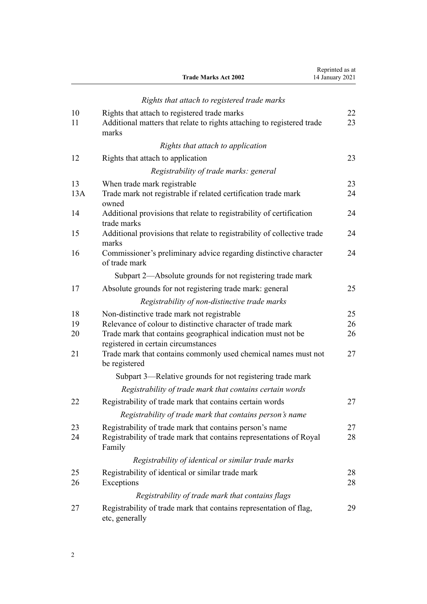|     | <b>Trade Marks Act 2002</b>                                                                         | 14 January 2021 |
|-----|-----------------------------------------------------------------------------------------------------|-----------------|
|     | Rights that attach to registered trade marks                                                        |                 |
| 10  | Rights that attach to registered trade marks                                                        | 22              |
| 11  | Additional matters that relate to rights attaching to registered trade<br>marks                     | 23              |
|     | Rights that attach to application                                                                   |                 |
| 12  | Rights that attach to application                                                                   | 23              |
|     | Registrability of trade marks: general                                                              |                 |
| 13  | When trade mark registrable                                                                         | 23              |
| 13A | Trade mark not registrable if related certification trade mark<br>owned                             | 24              |
| 14  | Additional provisions that relate to registrability of certification<br>trade marks                 | 24              |
| 15  | Additional provisions that relate to registrability of collective trade<br>marks                    | 24              |
| 16  | Commissioner's preliminary advice regarding distinctive character<br>of trade mark                  | 24              |
|     | Subpart 2—Absolute grounds for not registering trade mark                                           |                 |
| 17  | Absolute grounds for not registering trade mark: general                                            | 25              |
|     | Registrability of non-distinctive trade marks                                                       |                 |
| 18  | Non-distinctive trade mark not registrable                                                          | 25              |
| 19  | Relevance of colour to distinctive character of trade mark                                          | 26              |
| 20  | Trade mark that contains geographical indication must not be<br>registered in certain circumstances | 26              |
| 21  | Trade mark that contains commonly used chemical names must not<br>be registered                     | 27              |
|     | Subpart 3—Relative grounds for not registering trade mark                                           |                 |
|     | Registrability of trade mark that contains certain words                                            |                 |
| 22  | Registrability of trade mark that contains certain words                                            | 27              |
|     | Registrability of trade mark that contains person's name                                            |                 |
| 23  | Registrability of trade mark that contains person's name                                            | 27              |
| 24  | Registrability of trade mark that contains representations of Royal<br>Family                       | 28              |
|     | Registrability of identical or similar trade marks                                                  |                 |
| 25  | Registrability of identical or similar trade mark                                                   | 28              |
| 26  | Exceptions                                                                                          | 28              |
|     | Registrability of trade mark that contains flags                                                    |                 |
| 27  | Registrability of trade mark that contains representation of flag,<br>etc, generally                | 29              |

Reprinted as at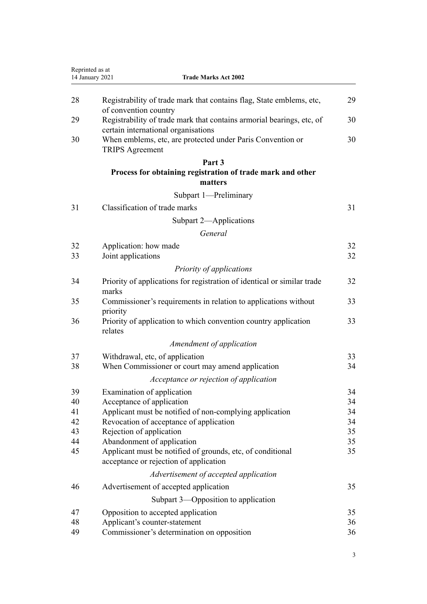| Reprinted as at | 14 January 2021<br><b>Trade Marks Act 2002</b>                                                               |          |
|-----------------|--------------------------------------------------------------------------------------------------------------|----------|
| 28              | Registrability of trade mark that contains flag, State emblems, etc,<br>of convention country                | 29       |
| 29              | Registrability of trade mark that contains armorial bearings, etc, of<br>certain international organisations | 30       |
| 30              | When emblems, etc, are protected under Paris Convention or<br><b>TRIPS</b> Agreement                         | 30       |
|                 | Part 3                                                                                                       |          |
|                 | Process for obtaining registration of trade mark and other<br>matters                                        |          |
|                 | Subpart 1-Preliminary                                                                                        |          |
| 31              | Classification of trade marks                                                                                | 31       |
|                 | Subpart 2-Applications                                                                                       |          |
|                 | General                                                                                                      |          |
|                 |                                                                                                              |          |
| 32<br>33        | Application: how made<br>Joint applications                                                                  | 32<br>32 |
|                 |                                                                                                              |          |
|                 | Priority of applications                                                                                     |          |
| 34              | Priority of applications for registration of identical or similar trade<br>marks                             | 32       |
| 35              | Commissioner's requirements in relation to applications without<br>priority                                  | 33       |
| 36              | Priority of application to which convention country application<br>relates                                   | 33       |
|                 | Amendment of application                                                                                     |          |
| 37              | Withdrawal, etc, of application                                                                              | 33       |
| 38              | When Commissioner or court may amend application                                                             | 34       |
|                 | Acceptance or rejection of application                                                                       |          |
| 39              | Examination of application                                                                                   | 34       |
| 40              | Acceptance of application                                                                                    | 34       |
| 41              | Applicant must be notified of non-complying application                                                      | 34       |
| 42              | Revocation of acceptance of application                                                                      | 34       |
| 43              | Rejection of application                                                                                     | 35       |
| 44              | Abandonment of application                                                                                   | 35       |
| 45              | Applicant must be notified of grounds, etc, of conditional<br>acceptance or rejection of application         | 35       |
|                 | Advertisement of accepted application                                                                        |          |
| 46              | Advertisement of accepted application                                                                        | 35       |
|                 | Subpart 3—Opposition to application                                                                          |          |
| 47              | Opposition to accepted application                                                                           | 35       |
| 48              | Applicant's counter-statement                                                                                | 36       |
| 49              | Commissioner's determination on opposition                                                                   | 36       |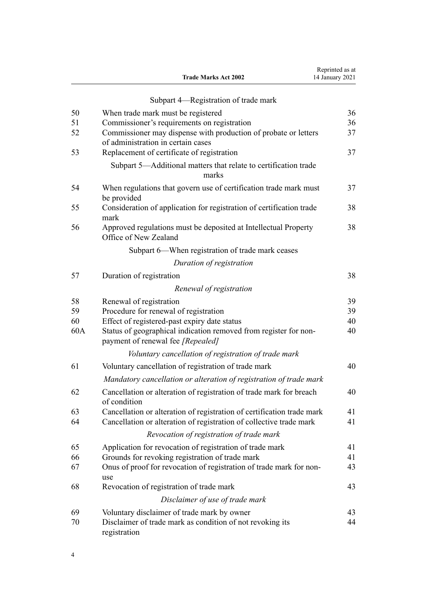|     | <b>Trade Marks Act 2002</b>                                                                           | Reprinted as at<br>14 January 2021 |
|-----|-------------------------------------------------------------------------------------------------------|------------------------------------|
|     | Subpart 4—Registration of trade mark                                                                  |                                    |
| 50  | When trade mark must be registered                                                                    | 36                                 |
| 51  | Commissioner's requirements on registration                                                           | 36                                 |
| 52  | Commissioner may dispense with production of probate or letters<br>of administration in certain cases | 37                                 |
| 53  | Replacement of certificate of registration                                                            | 37                                 |
|     | Subpart 5-Additional matters that relate to certification trade<br>marks                              |                                    |
| 54  | When regulations that govern use of certification trade mark must<br>be provided                      | 37                                 |
| 55  | Consideration of application for registration of certification trade<br>mark                          | 38                                 |
| 56  | Approved regulations must be deposited at Intellectual Property<br>Office of New Zealand              | 38                                 |
|     | Subpart 6—When registration of trade mark ceases                                                      |                                    |
|     | Duration of registration                                                                              |                                    |
| 57  | Duration of registration                                                                              | 38                                 |
|     | Renewal of registration                                                                               |                                    |
| 58  | Renewal of registration                                                                               | 39                                 |
| 59  | Procedure for renewal of registration                                                                 | 39                                 |
| 60  | Effect of registered-past expiry date status                                                          | 40                                 |
| 60A | Status of geographical indication removed from register for non-<br>payment of renewal fee [Repealed] | 40                                 |
|     | Voluntary cancellation of registration of trade mark                                                  |                                    |
| 61  | Voluntary cancellation of registration of trade mark                                                  | 40                                 |
|     | Mandatory cancellation or alteration of registration of trade mark                                    |                                    |
| 62  | Cancellation or alteration of registration of trade mark for breach<br>of condition                   | 40                                 |
| 63  | Cancellation or alteration of registration of certification trade mark                                | 41                                 |
| 64  | Cancellation or alteration of registration of collective trade mark                                   | 41                                 |
|     | Revocation of registration of trade mark                                                              |                                    |
| 65  | Application for revocation of registration of trade mark                                              | 41                                 |
| 66  | Grounds for revoking registration of trade mark                                                       | 41                                 |
| 67  | Onus of proof for revocation of registration of trade mark for non-<br>use                            | 43                                 |
| 68  | Revocation of registration of trade mark                                                              | 43                                 |
|     | Disclaimer of use of trade mark                                                                       |                                    |
| 69  | Voluntary disclaimer of trade mark by owner                                                           | 43                                 |
| 70  | Disclaimer of trade mark as condition of not revoking its<br>registration                             | 44                                 |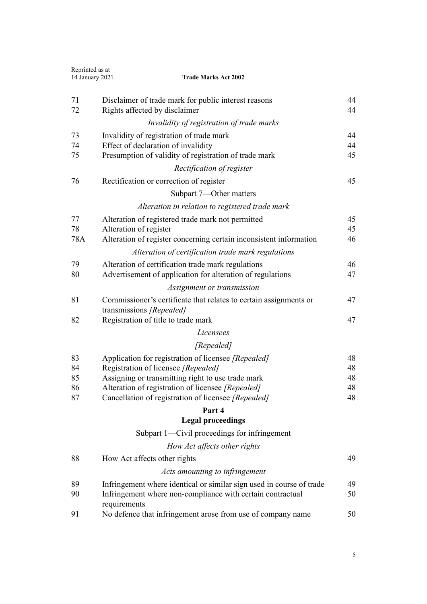| Reprinted as at<br>14 January 2021<br><b>Trade Marks Act 2002</b> |                                                                                                                                                    |          |
|-------------------------------------------------------------------|----------------------------------------------------------------------------------------------------------------------------------------------------|----------|
| 71<br>72                                                          | Disclaimer of trade mark for public interest reasons<br>Rights affected by disclaimer                                                              | 44<br>44 |
|                                                                   | Invalidity of registration of trade marks                                                                                                          |          |
| 73                                                                | Invalidity of registration of trade mark                                                                                                           | 44       |
| 74                                                                | Effect of declaration of invalidity                                                                                                                | 44       |
| 75                                                                | Presumption of validity of registration of trade mark                                                                                              | 45       |
|                                                                   | Rectification of register                                                                                                                          |          |
| 76                                                                | Rectification or correction of register                                                                                                            | 45       |
|                                                                   | Subpart 7—Other matters                                                                                                                            |          |
|                                                                   | Alteration in relation to registered trade mark                                                                                                    |          |
| 77                                                                | Alteration of registered trade mark not permitted                                                                                                  | 45       |
| 78                                                                | Alteration of register                                                                                                                             | 45       |
| 78A                                                               | Alteration of register concerning certain inconsistent information                                                                                 | 46       |
|                                                                   | Alteration of certification trade mark regulations                                                                                                 |          |
| 79                                                                | Alteration of certification trade mark regulations                                                                                                 | 46       |
| 80                                                                | Advertisement of application for alteration of regulations                                                                                         | 47       |
|                                                                   | Assignment or transmission                                                                                                                         |          |
| 81                                                                | Commissioner's certificate that relates to certain assignments or<br>transmissions [Repealed]                                                      | 47       |
| 82                                                                | Registration of title to trade mark                                                                                                                | 47       |
|                                                                   | Licensees                                                                                                                                          |          |
|                                                                   | [Repealed]                                                                                                                                         |          |
| 83                                                                | Application for registration of licensee [Repealed]                                                                                                | 48       |
| 84                                                                | Registration of licensee [Repealed]                                                                                                                | 48       |
| 85<br>86                                                          | Assigning or transmitting right to use trade mark<br>Alteration of registration of licensee [Repealed]                                             | 48<br>48 |
| 87                                                                | Cancellation of registration of licensee [Repealed]                                                                                                | 48       |
|                                                                   | Part 4                                                                                                                                             |          |
|                                                                   | <b>Legal proceedings</b>                                                                                                                           |          |
|                                                                   | Subpart 1-Civil proceedings for infringement                                                                                                       |          |
|                                                                   | How Act affects other rights                                                                                                                       |          |
| 88                                                                | How Act affects other rights                                                                                                                       | 49       |
|                                                                   | Acts amounting to infringement                                                                                                                     |          |
|                                                                   |                                                                                                                                                    |          |
| 89<br>90                                                          | Infringement where identical or similar sign used in course of trade<br>Infringement where non-compliance with certain contractual<br>requirements | 49<br>50 |
| 91                                                                | No defence that infringement arose from use of company name                                                                                        | 50       |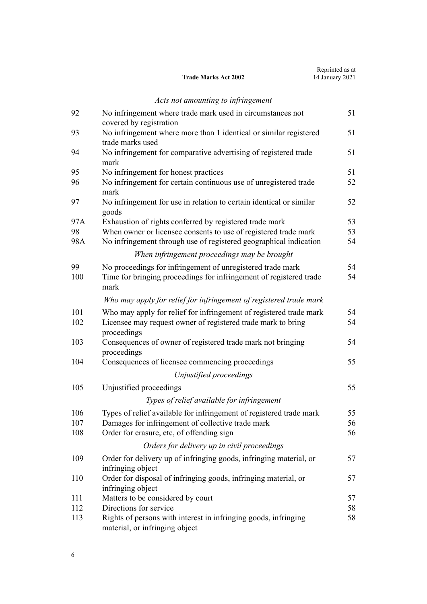|                             | Reprinted as at |
|-----------------------------|-----------------|
| <b>Trade Marks Act 2002</b> | 14 January 2021 |
|                             |                 |

|     | Acts not amounting to infringement                                                   |    |
|-----|--------------------------------------------------------------------------------------|----|
| 92  | No infringement where trade mark used in circumstances not                           | 51 |
|     | covered by registration                                                              |    |
| 93  | No infringement where more than 1 identical or similar registered                    | 51 |
|     | trade marks used                                                                     |    |
| 94  | No infringement for comparative advertising of registered trade<br>mark              | 51 |
| 95  | No infringement for honest practices                                                 | 51 |
| 96  | No infringement for certain continuous use of unregistered trade<br>mark             | 52 |
| 97  | No infringement for use in relation to certain identical or similar<br>goods         | 52 |
| 97A | Exhaustion of rights conferred by registered trade mark                              | 53 |
| 98  | When owner or licensee consents to use of registered trade mark                      | 53 |
| 98A | No infringement through use of registered geographical indication                    | 54 |
|     | When infringement proceedings may be brought                                         |    |
| 99  | No proceedings for infringement of unregistered trade mark                           | 54 |
| 100 | Time for bringing proceedings for infringement of registered trade<br>mark           | 54 |
|     | Who may apply for relief for infringement of registered trade mark                   |    |
| 101 | Who may apply for relief for infringement of registered trade mark                   | 54 |
| 102 | Licensee may request owner of registered trade mark to bring<br>proceedings          | 54 |
| 103 | Consequences of owner of registered trade mark not bringing<br>proceedings           | 54 |
| 104 | Consequences of licensee commencing proceedings                                      | 55 |
|     | Unjustified proceedings                                                              |    |
| 105 | Unjustified proceedings                                                              | 55 |
|     | Types of relief available for infringement                                           |    |
| 106 | Types of relief available for infringement of registered trade mark                  | 55 |
| 107 | Damages for infringement of collective trade mark                                    | 56 |
| 108 | Order for erasure, etc, of offending sign                                            | 56 |
|     | Orders for delivery up in civil proceedings                                          |    |
| 109 | Order for delivery up of infringing goods, infringing material, or                   | 57 |
|     | infringing object                                                                    |    |
| 110 | Order for disposal of infringing goods, infringing material, or<br>infringing object | 57 |
| 111 | Matters to be considered by court                                                    | 57 |
| 112 | Directions for service                                                               | 58 |
| 113 | Rights of persons with interest in infringing goods, infringing                      | 58 |

[material, or infringing object](#page-57-0)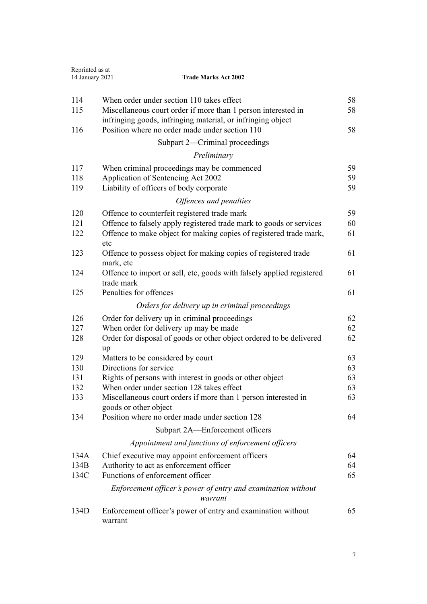| Reprinted as at<br>14 January 2021 | <b>Trade Marks Act 2002</b>                                                                                                  |    |
|------------------------------------|------------------------------------------------------------------------------------------------------------------------------|----|
|                                    |                                                                                                                              |    |
| 114                                | When order under section 110 takes effect                                                                                    | 58 |
| 115                                | Miscellaneous court order if more than 1 person interested in<br>infringing goods, infringing material, or infringing object | 58 |
| 116                                | Position where no order made under section 110                                                                               | 58 |
|                                    | Subpart 2—Criminal proceedings                                                                                               |    |
|                                    | Preliminary                                                                                                                  |    |
| 117                                | When criminal proceedings may be commenced                                                                                   | 59 |
| 118                                | Application of Sentencing Act 2002                                                                                           | 59 |
| 119                                | Liability of officers of body corporate                                                                                      | 59 |
|                                    | Offences and penalties                                                                                                       |    |
| 120                                | Offence to counterfeit registered trade mark                                                                                 | 59 |
| 121                                | Offence to falsely apply registered trade mark to goods or services                                                          | 60 |
| 122                                | Offence to make object for making copies of registered trade mark,<br>etc                                                    | 61 |
| 123                                | Offence to possess object for making copies of registered trade<br>mark, etc                                                 | 61 |
| 124                                | Offence to import or sell, etc, goods with falsely applied registered<br>trade mark                                          | 61 |
| 125                                | Penalties for offences                                                                                                       | 61 |
|                                    | Orders for delivery up in criminal proceedings                                                                               |    |
| 126                                | Order for delivery up in criminal proceedings                                                                                | 62 |
| 127                                | When order for delivery up may be made                                                                                       | 62 |
| 128                                | Order for disposal of goods or other object ordered to be delivered<br>up                                                    | 62 |
| 129                                | Matters to be considered by court                                                                                            | 63 |
| 130                                | Directions for service                                                                                                       | 63 |
| 131                                | Rights of persons with interest in goods or other object                                                                     | 63 |
| 132                                | When order under section 128 takes effect                                                                                    | 63 |
| 133                                | Miscellaneous court orders if more than 1 person interested in<br>goods or other object                                      | 63 |
| 134                                | Position where no order made under section 128                                                                               | 64 |
|                                    | Subpart 2A—Enforcement officers                                                                                              |    |
|                                    | Appointment and functions of enforcement officers                                                                            |    |
| 134A                               | Chief executive may appoint enforcement officers                                                                             | 64 |
| 134B                               | Authority to act as enforcement officer                                                                                      | 64 |
| 134C                               | Functions of enforcement officer                                                                                             | 65 |
|                                    | Enforcement officer's power of entry and examination without<br>warrant                                                      |    |
| 134D                               | Enforcement officer's power of entry and examination without<br>warrant                                                      | 65 |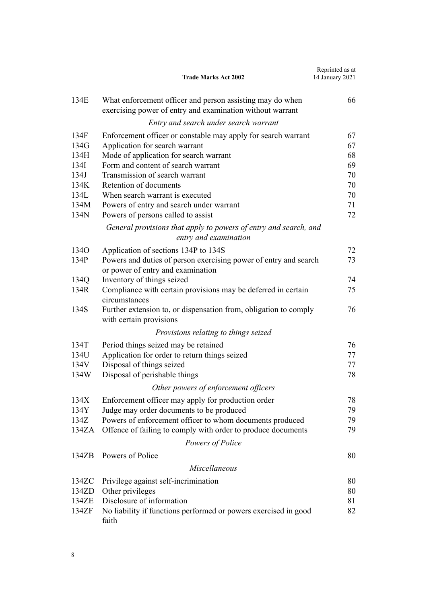|       | <b>Trade Marks Act 2002</b>                                                                                            | Reprinted as at<br>14 January 2021 |
|-------|------------------------------------------------------------------------------------------------------------------------|------------------------------------|
| 134E  | What enforcement officer and person assisting may do when<br>exercising power of entry and examination without warrant | 66                                 |
|       | Entry and search under search warrant                                                                                  |                                    |
| 134F  | Enforcement officer or constable may apply for search warrant                                                          | 67                                 |
| 134G  | Application for search warrant                                                                                         | 67                                 |
| 134H  | Mode of application for search warrant                                                                                 | 68                                 |
| 134I  | Form and content of search warrant                                                                                     | 69                                 |
| 134J  | Transmission of search warrant                                                                                         | 70                                 |
| 134K  | Retention of documents                                                                                                 | 70                                 |
| 134L  | When search warrant is executed                                                                                        | 70                                 |
| 134M  | Powers of entry and search under warrant                                                                               | 71                                 |
| 134N  | Powers of persons called to assist                                                                                     | 72                                 |
|       | General provisions that apply to powers of entry and search, and<br>entry and examination                              |                                    |
| 134O  | Application of sections 134P to 134S                                                                                   | 72                                 |
| 134P  | Powers and duties of person exercising power of entry and search<br>or power of entry and examination                  | 73                                 |
| 134Q  | Inventory of things seized                                                                                             | 74                                 |
| 134R  | Compliance with certain provisions may be deferred in certain<br>circumstances                                         | 75                                 |
| 134S  | Further extension to, or dispensation from, obligation to comply<br>with certain provisions                            | 76                                 |
|       | Provisions relating to things seized                                                                                   |                                    |
| 134T  | Period things seized may be retained                                                                                   | 76                                 |
| 134U  | Application for order to return things seized                                                                          | 77                                 |
| 134V  | Disposal of things seized                                                                                              | 77                                 |
| 134W  | Disposal of perishable things                                                                                          | 78                                 |
|       | Other powers of enforcement officers                                                                                   |                                    |
|       |                                                                                                                        |                                    |
| 134X  | Enforcement officer may apply for production order                                                                     | 78                                 |
| 134Y  | Judge may order documents to be produced                                                                               | 79                                 |
| 134Z  | Powers of enforcement officer to whom documents produced                                                               | 79                                 |
| 134ZA | Offence of failing to comply with order to produce documents                                                           | 79                                 |
|       | Powers of Police                                                                                                       |                                    |
| 134ZB | Powers of Police                                                                                                       | 80                                 |
|       | <b>Miscellaneous</b>                                                                                                   |                                    |
| 134ZC | Privilege against self-incrimination                                                                                   | 80                                 |
| 134ZD | Other privileges                                                                                                       | 80                                 |
| 134ZE | Disclosure of information                                                                                              | 81                                 |
| 134ZF | No liability if functions performed or powers exercised in good<br>faith                                               | 82                                 |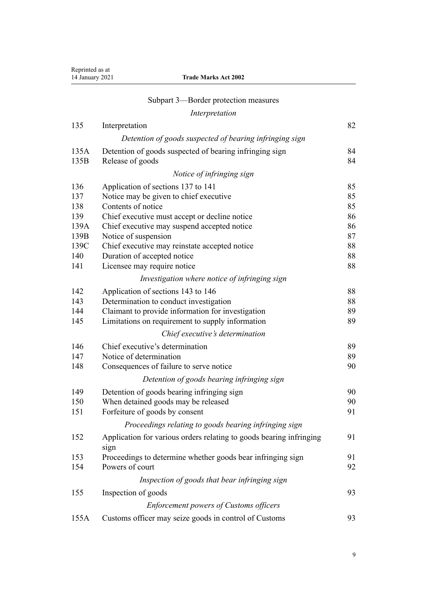| Reprinted as at<br>14 January 2021 | <b>Trade Marks Act 2002</b>                                                 |          |
|------------------------------------|-----------------------------------------------------------------------------|----------|
|                                    | Subpart 3—Border protection measures                                        |          |
|                                    | Interpretation                                                              |          |
| 135                                | Interpretation                                                              | 82       |
|                                    | Detention of goods suspected of bearing infringing sign                     |          |
|                                    |                                                                             |          |
| 135A<br>135B                       | Detention of goods suspected of bearing infringing sign                     | 84<br>84 |
|                                    | Release of goods                                                            |          |
|                                    | Notice of infringing sign                                                   |          |
| 136                                | Application of sections 137 to 141                                          | 85       |
| 137                                | Notice may be given to chief executive                                      | 85       |
| 138                                | Contents of notice                                                          | 85       |
| 139                                | Chief executive must accept or decline notice                               | 86       |
| 139A                               | Chief executive may suspend accepted notice                                 | 86<br>87 |
| 139B<br>139C                       | Notice of suspension<br>Chief executive may reinstate accepted notice       | 88       |
| 140                                | Duration of accepted notice                                                 | 88       |
| 141                                | Licensee may require notice                                                 | 88       |
|                                    | Investigation where notice of infringing sign                               |          |
| 142                                | Application of sections 143 to 146                                          | 88       |
| 143                                | Determination to conduct investigation                                      | 88       |
| 144                                | Claimant to provide information for investigation                           | 89       |
| 145                                | Limitations on requirement to supply information                            | 89       |
|                                    | Chief executive's determination                                             |          |
| 146                                | Chief executive's determination                                             | 89       |
| 147                                | Notice of determination                                                     | 89       |
| 148                                | Consequences of failure to serve notice                                     | 90       |
|                                    | Detention of goods bearing infringing sign                                  |          |
| 149                                | Detention of goods bearing infringing sign                                  | 90       |
| 150                                | When detained goods may be released                                         | 90       |
| 151                                | Forfeiture of goods by consent                                              | 91       |
|                                    | Proceedings relating to goods bearing infringing sign                       |          |
| 152                                | Application for various orders relating to goods bearing infringing<br>sign | 91       |
| 153                                | Proceedings to determine whether goods bear infringing sign                 | 91       |
| 154                                | Powers of court                                                             | 92       |
|                                    | Inspection of goods that bear infringing sign                               |          |
| 155                                | Inspection of goods                                                         | 93       |
|                                    | Enforcement powers of Customs officers                                      |          |
| 155A                               | Customs officer may seize goods in control of Customs                       | 93       |
|                                    |                                                                             |          |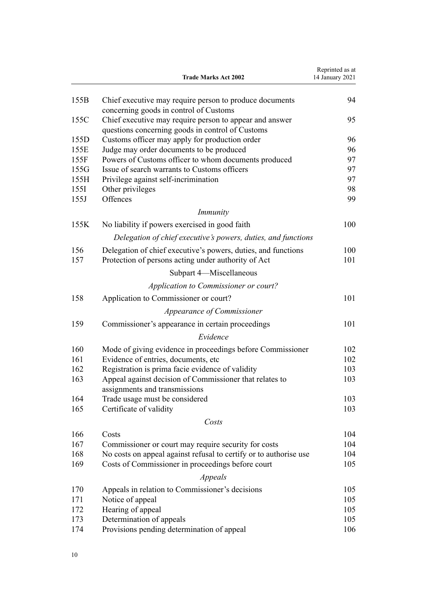|            | <b>Trade Marks Act 2002</b>                                                                                          | Reprinted as at<br>14 January 2021 |
|------------|----------------------------------------------------------------------------------------------------------------------|------------------------------------|
| 155B       | Chief executive may require person to produce documents<br>concerning goods in control of Customs                    | 94                                 |
| 155C       | Chief executive may require person to appear and answer<br>questions concerning goods in control of Customs          | 95                                 |
| 155D       | Customs officer may apply for production order                                                                       | 96                                 |
| 155E       | Judge may order documents to be produced                                                                             | 96                                 |
| 155F       | Powers of Customs officer to whom documents produced                                                                 | 97                                 |
| 155G       | Issue of search warrants to Customs officers                                                                         | 97                                 |
| 155H       | Privilege against self-incrimination                                                                                 | 97                                 |
| 155I       | Other privileges                                                                                                     | 98                                 |
| 155J       | Offences                                                                                                             | 99                                 |
|            | <i>Immunity</i>                                                                                                      |                                    |
| 155K       | No liability if powers exercised in good faith                                                                       | 100                                |
|            | Delegation of chief executive's powers, duties, and functions                                                        |                                    |
| 156<br>157 | Delegation of chief executive's powers, duties, and functions<br>Protection of persons acting under authority of Act | 100<br>101                         |
|            | Subpart 4-Miscellaneous                                                                                              |                                    |
|            | Application to Commissioner or court?                                                                                |                                    |
| 158        | Application to Commissioner or court?                                                                                | 101                                |
|            | Appearance of Commissioner                                                                                           |                                    |
| 159        | Commissioner's appearance in certain proceedings                                                                     | 101                                |
|            | Evidence                                                                                                             |                                    |
|            |                                                                                                                      |                                    |
| 160        | Mode of giving evidence in proceedings before Commissioner                                                           | 102                                |
| 161        | Evidence of entries, documents, etc                                                                                  | 102                                |
| 162        | Registration is prima facie evidence of validity                                                                     | 103                                |
| 163        | Appeal against decision of Commissioner that relates to                                                              | 103                                |
| 164        | assignments and transmissions<br>Trade usage must be considered                                                      | 103                                |
| 165        | Certificate of validity                                                                                              | 103                                |
|            | Costs                                                                                                                |                                    |
|            |                                                                                                                      |                                    |
| 166        | Costs                                                                                                                | 104                                |
| 167        | Commissioner or court may require security for costs                                                                 | 104                                |
| 168        | No costs on appeal against refusal to certify or to authorise use                                                    | 104                                |
| 169        | Costs of Commissioner in proceedings before court                                                                    | 105                                |
|            | Appeals                                                                                                              |                                    |
| 170        | Appeals in relation to Commissioner's decisions                                                                      | 105                                |
| 171        | Notice of appeal                                                                                                     | 105                                |
| 172        | Hearing of appeal                                                                                                    | 105                                |
| 173        | Determination of appeals                                                                                             | 105                                |
| 174        | Provisions pending determination of appeal                                                                           | 106                                |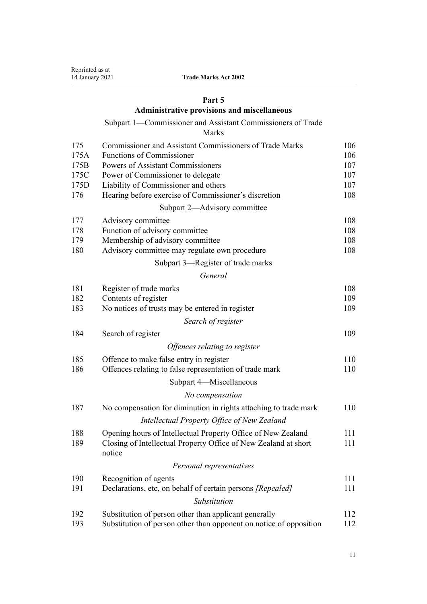# **[Part 5](#page-105-0)**

# **[Administrative provisions and miscellaneous](#page-105-0)**

# [Subpart 1—Commissioner and Assistant Commissioners of Trade](#page-105-0)

[Marks](#page-105-0)

| 175  | <b>Commissioner and Assistant Commissioners of Trade Marks</b>            | 106 |
|------|---------------------------------------------------------------------------|-----|
| 175A | <b>Functions of Commissioner</b>                                          | 106 |
| 175B | Powers of Assistant Commissioners                                         | 107 |
| 175C | Power of Commissioner to delegate                                         | 107 |
| 175D | Liability of Commissioner and others                                      | 107 |
| 176  | Hearing before exercise of Commissioner's discretion                      | 108 |
|      | Subpart 2—Advisory committee                                              |     |
| 177  | Advisory committee                                                        | 108 |
| 178  | Function of advisory committee                                            | 108 |
| 179  | Membership of advisory committee                                          | 108 |
| 180  | Advisory committee may regulate own procedure                             | 108 |
|      | Subpart 3-Register of trade marks                                         |     |
|      | General                                                                   |     |
| 181  | Register of trade marks                                                   | 108 |
| 182  | Contents of register                                                      | 109 |
| 183  | No notices of trusts may be entered in register                           | 109 |
|      | Search of register                                                        |     |
| 184  | Search of register                                                        | 109 |
|      | Offences relating to register                                             |     |
| 185  | Offence to make false entry in register                                   | 110 |
| 186  | Offences relating to false representation of trade mark                   | 110 |
|      | Subpart 4-Miscellaneous                                                   |     |
|      | No compensation                                                           |     |
| 187  | No compensation for diminution in rights attaching to trade mark          | 110 |
|      | Intellectual Property Office of New Zealand                               |     |
| 188  | Opening hours of Intellectual Property Office of New Zealand              | 111 |
| 189  | Closing of Intellectual Property Office of New Zealand at short<br>notice | 111 |
|      | Personal representatives                                                  |     |
| 190  | Recognition of agents                                                     | 111 |
| 191  | Declarations, etc, on behalf of certain persons [Repealed]                | 111 |
|      | Substitution                                                              |     |
| 192  | Substitution of person other than applicant generally                     | 112 |
| 193  | Substitution of person other than opponent on notice of opposition        | 112 |
|      |                                                                           |     |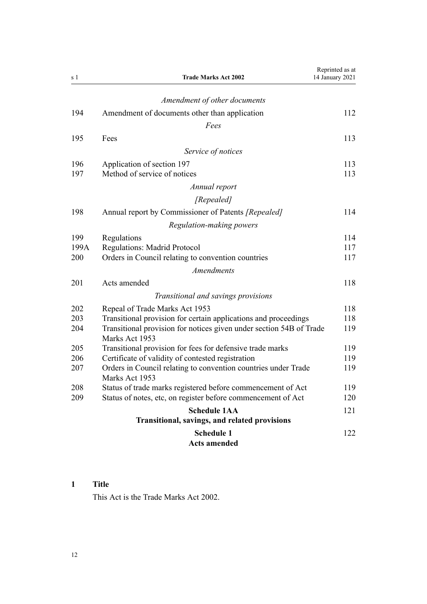<span id="page-11-0"></span>

| s 1  | <b>Trade Marks Act 2002</b>                                                           | Reprinted as at<br>14 January 2021 |
|------|---------------------------------------------------------------------------------------|------------------------------------|
|      | Amendment of other documents                                                          |                                    |
| 194  | Amendment of documents other than application                                         | 112                                |
|      | Fees                                                                                  |                                    |
| 195  | Fees                                                                                  | 113                                |
|      | Service of notices                                                                    |                                    |
|      |                                                                                       |                                    |
| 196  | Application of section 197                                                            | 113                                |
| 197  | Method of service of notices                                                          | 113                                |
|      | Annual report                                                                         |                                    |
|      | [Repealed]                                                                            |                                    |
| 198  | Annual report by Commissioner of Patents [Repealed]                                   | 114                                |
|      | Regulation-making powers                                                              |                                    |
| 199  | Regulations                                                                           | 114                                |
| 199A | <b>Regulations: Madrid Protocol</b>                                                   | 117                                |
| 200  | Orders in Council relating to convention countries                                    | 117                                |
|      | <b>Amendments</b>                                                                     |                                    |
| 201  | Acts amended                                                                          | 118                                |
|      | Transitional and savings provisions                                                   |                                    |
| 202  | Repeal of Trade Marks Act 1953                                                        | 118                                |
| 203  | Transitional provision for certain applications and proceedings                       | 118                                |
| 204  | Transitional provision for notices given under section 54B of Trade<br>Marks Act 1953 | 119                                |
| 205  | Transitional provision for fees for defensive trade marks                             | 119                                |
| 206  | Certificate of validity of contested registration                                     | 119                                |
| 207  | Orders in Council relating to convention countries under Trade<br>Marks Act 1953      | 119                                |
| 208  | Status of trade marks registered before commencement of Act                           | 119                                |
| 209  | Status of notes, etc, on register before commencement of Act                          | 120                                |
|      | <b>Schedule 1AA</b><br>Transitional, savings, and related provisions                  | 121                                |
|      | <b>Schedule 1</b><br><b>Acts amended</b>                                              | 122                                |

# **1 Title**

This Act is the Trade Marks Act 2002.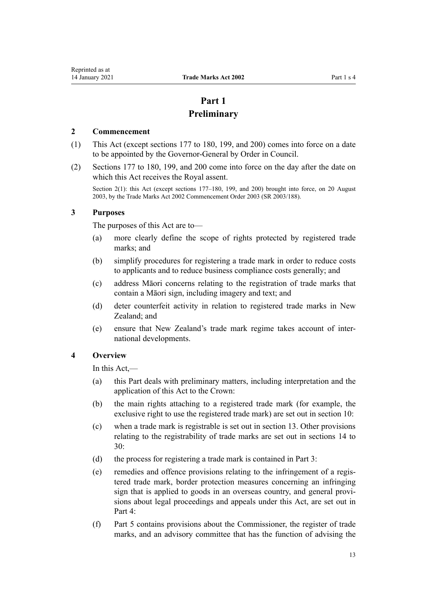# **Part 1 Preliminary**

#### <span id="page-12-0"></span>**2 Commencement**

- (1) This Act (except [sections 177 to 180,](#page-107-0) [199](#page-113-0), and [200](#page-116-0)) comes into force on a date to be appointed by the Governor-General by Order in Council.
- (2) [Sections 177 to 180,](#page-107-0) [199](#page-113-0), and [200](#page-116-0) come into force on the day after the date on which this Act receives the Royal assent.

Section 2(1): this Act (except sections 177–180, 199, and 200) brought into force, on 20 August 2003, by the Trade Marks Act 2002 Commencement Order 2003 (SR 2003/188).

## **3 Purposes**

The purposes of this Act are to—

- (a) more clearly define the scope of rights protected by registered trade marks; and
- (b) simplify procedures for registering a trade mark in order to reduce costs to applicants and to reduce business compliance costs generally; and
- (c) address Māori concerns relating to the registration of trade marks that contain a Māori sign, including imagery and text; and
- (d) deter counterfeit activity in relation to registered trade marks in New Zealand: and
- (e) ensure that New Zealand's trade mark regime takes account of international developments.

# **4 Overview**

In this Act,—

- (a) this Part deals with preliminary matters, including interpretation and the application of this Act to the Crown:
- (b) the main rights attaching to a registered trade mark (for example, the exclusive right to use the registered trade mark) are set out in [section 10](#page-21-0):
- (c) when a trade mark is registrable is set out in [section 13](#page-22-0). Other provisions relating to the registrability of trade marks are set out in [sections 14 to](#page-23-0) [30:](#page-23-0)
- (d) the process for registering a trade mark is contained in [Part 3](#page-30-0):
- (e) remedies and offence provisions relating to the infringement of a registered trade mark, border protection measures concerning an infringing sign that is applied to goods in an overseas country, and general provisions about legal proceedings and appeals under this Act, are set out in [Part 4](#page-48-0):
- (f) [Part 5](#page-105-0) contains provisions about the Commissioner, the register of trade marks, and an advisory committee that has the function of advising the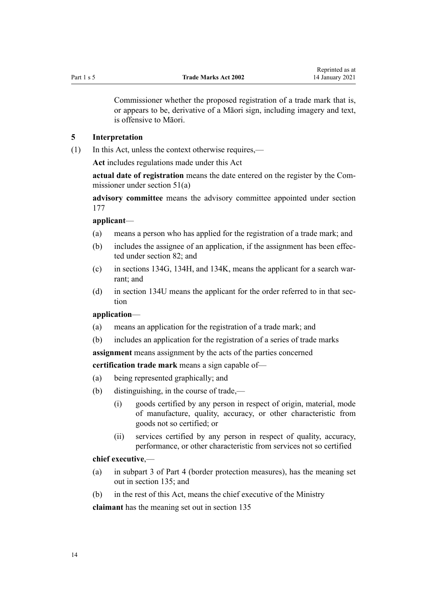<span id="page-13-0"></span>

Commissioner whether the proposed registration of a trade mark that is, or appears to be, derivative of a Māori sign, including imagery and text, is offensive to Māori.

#### **5 Interpretation**

(1) In this Act, unless the context otherwise requires,—

**Act** includes regulations made under this Act

**actual date of registration** means the date entered on the register by the Commissioner under [section 51\(a\)](#page-35-0)

**advisory committee** means the advisory committee appointed under [section](#page-107-0) [177](#page-107-0)

#### **applicant**—

- (a) means a person who has applied for the registration of a trade mark; and
- (b) includes the assignee of an application, if the assignment has been effected under [section 82](#page-46-0); and
- (c) in [sections 134G,](#page-66-0) [134H,](#page-67-0) and [134K,](#page-69-0) means the applicant for a search warrant; and
- (d) in [section 134U](#page-76-0) means the applicant for the order referred to in that section

# **application**—

- (a) means an application for the registration of a trade mark; and
- (b) includes an application for the registration of a series of trade marks

**assignment** means assignment by the acts of the parties concerned

**certification trade mark** means a sign capable of—

- (a) being represented graphically; and
- (b) distinguishing, in the course of trade,—
	- (i) goods certified by any person in respect of origin, material, mode of manufacture, quality, accuracy, or other characteristic from goods not so certified; or
	- (ii) services certified by any person in respect of quality, accuracy, performance, or other characteristic from services not so certified

### **chief executive**,—

- (a) in [subpart 3](#page-81-0) of Part 4 (border protection measures), has the meaning set out in [section 135](#page-81-0); and
- (b) in the rest of this Act, means the chief executive of the Ministry

**claimant** has the meaning set out in [section 135](#page-81-0)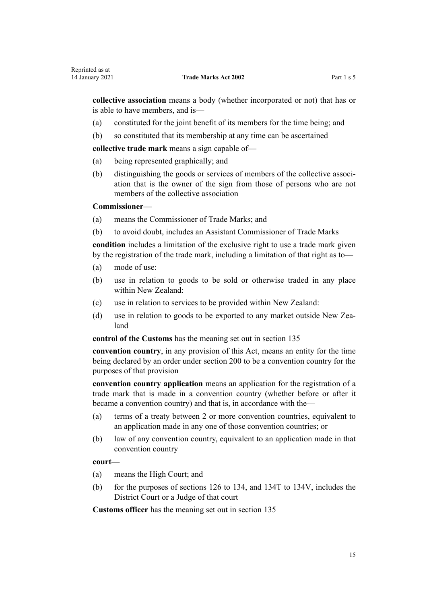**collective association** means a body (whether incorporated or not) that has or is able to have members, and is—

- (a) constituted for the joint benefit of its members for the time being; and
- (b) so constituted that its membership at any time can be ascertained

**collective trade mark** means a sign capable of—

- (a) being represented graphically; and
- (b) distinguishing the goods or services of members of the collective association that is the owner of the sign from those of persons who are not members of the collective association

#### **Commissioner**—

- (a) means the Commissioner of Trade Marks; and
- (b) to avoid doubt, includes an Assistant Commissioner of Trade Marks

**condition** includes a limitation of the exclusive right to use a trade mark given by the registration of the trade mark, including a limitation of that right as to—

- (a) mode of use:
- (b) use in relation to goods to be sold or otherwise traded in any place within New Zealand:
- (c) use in relation to services to be provided within New Zealand:
- (d) use in relation to goods to be exported to any market outside New Zealand

**control of the Customs** has the meaning set out in [section 135](#page-81-0)

**convention country**, in any provision of this Act, means an entity for the time being declared by an order under [section 200](#page-116-0) to be a convention country for the purposes of that provision

**convention country application** means an application for the registration of a trade mark that is made in a convention country (whether before or after it became a convention country) and that is, in accordance with the—

- (a) terms of a treaty between 2 or more convention countries, equivalent to an application made in any one of those convention countries; or
- (b) law of any convention country, equivalent to an application made in that convention country

#### **court**—

- (a) means the High Court; and
- (b) for the purposes of [sections 126 to 134,](#page-61-0) and [134T to 134V,](#page-75-0) includes the District Court or a Judge of that court

**Customs officer** has the meaning set out in [section 135](#page-81-0)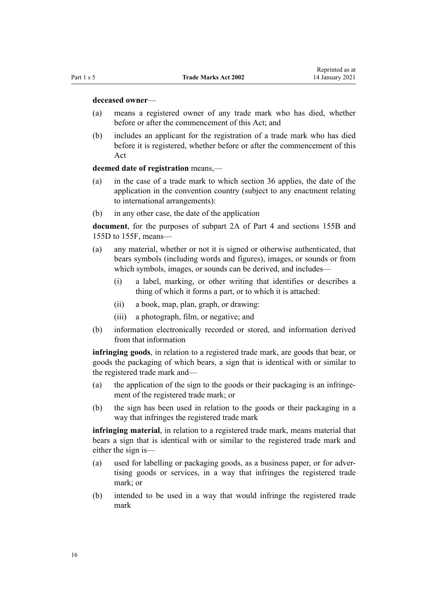#### **deceased owner**—

- (a) means a registered owner of any trade mark who has died, whether before or after the commencement of this Act: and
- (b) includes an applicant for the registration of a trade mark who has died before it is registered, whether before or after the commencement of this Act

### **deemed date of registration** means,—

- (a) in the case of a trade mark to which [section 36](#page-32-0) applies, the date of the application in the convention country (subject to any enactment relating to international arrangements):
- (b) in any other case, the date of the application

**document**, for the purposes of [subpart 2A](#page-63-0) of Part 4 and [sections 155B](#page-93-0) and [155D to 155F](#page-95-0), means—

- (a) any material, whether or not it is signed or otherwise authenticated, that bears symbols (including words and figures), images, or sounds or from which symbols, images, or sounds can be derived, and includes—
	- (i) a label, marking, or other writing that identifies or describes a thing of which it forms a part, or to which it is attached:
	- (ii) a book, map, plan, graph, or drawing:
	- (iii) a photograph, film, or negative; and
- (b) information electronically recorded or stored, and information derived from that information

**infringing goods**, in relation to a registered trade mark, are goods that bear, or goods the packaging of which bears, a sign that is identical with or similar to the registered trade mark and—

- (a) the application of the sign to the goods or their packaging is an infringement of the registered trade mark; or
- (b) the sign has been used in relation to the goods or their packaging in a way that infringes the registered trade mark

**infringing material**, in relation to a registered trade mark, means material that bears a sign that is identical with or similar to the registered trade mark and either the sign is—

- (a) used for labelling or packaging goods, as a business paper, or for advertising goods or services, in a way that infringes the registered trade mark; or
- (b) intended to be used in a way that would infringe the registered trade mark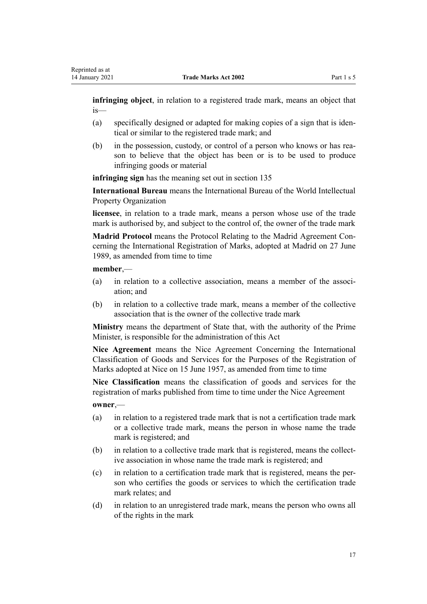**infringing object**, in relation to a registered trade mark, means an object that is—

- (a) specifically designed or adapted for making copies of a sign that is identical or similar to the registered trade mark; and
- (b) in the possession, custody, or control of a person who knows or has reason to believe that the object has been or is to be used to produce infringing goods or material

**infringing sign** has the meaning set out in [section 135](#page-81-0)

**International Bureau** means the International Bureau of the World Intellectual Property Organization

**licensee**, in relation to a trade mark, means a person whose use of the trade mark is authorised by, and subject to the control of, the owner of the trade mark

**Madrid Protocol** means the Protocol Relating to the Madrid Agreement Concerning the International Registration of Marks, adopted at Madrid on 27 June 1989, as amended from time to time

**member**,—

- (a) in relation to a collective association, means a member of the association; and
- (b) in relation to a collective trade mark, means a member of the collective association that is the owner of the collective trade mark

**Ministry** means the department of State that, with the authority of the Prime Minister, is responsible for the administration of this Act

**Nice Agreement** means the Nice Agreement Concerning the International Classification of Goods and Services for the Purposes of the Registration of Marks adopted at Nice on 15 June 1957, as amended from time to time

**Nice Classification** means the classification of goods and services for the registration of marks published from time to time under the Nice Agreement

**owner**,—

- (a) in relation to a registered trade mark that is not a certification trade mark or a collective trade mark, means the person in whose name the trade mark is registered; and
- (b) in relation to a collective trade mark that is registered, means the collective association in whose name the trade mark is registered; and
- (c) in relation to a certification trade mark that is registered, means the person who certifies the goods or services to which the certification trade mark relates; and
- (d) in relation to an unregistered trade mark, means the person who owns all of the rights in the mark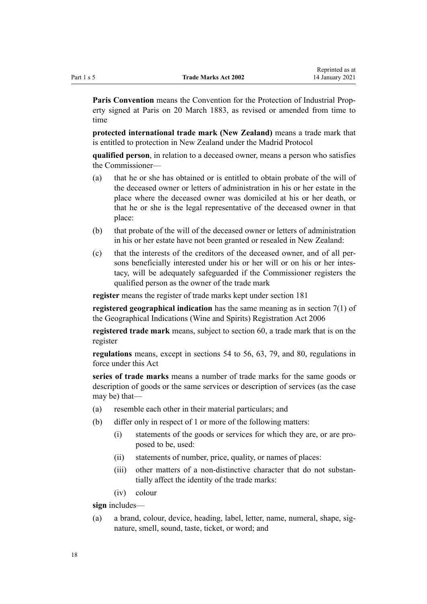**Paris Convention** means the Convention for the Protection of Industrial Property signed at Paris on 20 March 1883, as revised or amended from time to time

**protected international trade mark (New Zealand)** means a trade mark that is entitled to protection in New Zealand under the Madrid Protocol

**qualified person**, in relation to a deceased owner, means a person who satisfies the Commissioner—

- (a) that he or she has obtained or is entitled to obtain probate of the will of the deceased owner or letters of administration in his or her estate in the place where the deceased owner was domiciled at his or her death, or that he or she is the legal representative of the deceased owner in that place:
- (b) that probate of the will of the deceased owner or letters of administration in his or her estate have not been granted or resealed in New Zealand:
- (c) that the interests of the creditors of the deceased owner, and of all persons beneficially interested under his or her will or on his or her intestacy, will be adequately safeguarded if the Commissioner registers the qualified person as the owner of the trade mark

**register** means the register of trade marks kept under [section 181](#page-107-0)

**registered geographical indication** has the same meaning as in [section 7\(1\)](http://legislation.govt.nz/pdflink.aspx?id=DLM390819) of the Geographical Indications (Wine and Spirits) Registration Act 2006

**registered trade mark** means, subject to [section 60,](#page-39-0) a trade mark that is on the register

**regulations** means, except in [sections 54 to 56,](#page-36-0) [63,](#page-40-0) [79](#page-45-0), and [80,](#page-46-0) regulations in force under this Act

**series of trade marks** means a number of trade marks for the same goods or description of goods or the same services or description of services (as the case may be) that—

- (a) resemble each other in their material particulars; and
- (b) differ only in respect of 1 or more of the following matters:
	- (i) statements of the goods or services for which they are, or are proposed to be, used:
	- (ii) statements of number, price, quality, or names of places:
	- (iii) other matters of a non-distinctive character that do not substantially affect the identity of the trade marks:
	- (iv) colour

**sign** includes—

(a) a brand, colour, device, heading, label, letter, name, numeral, shape, signature, smell, sound, taste, ticket, or word; and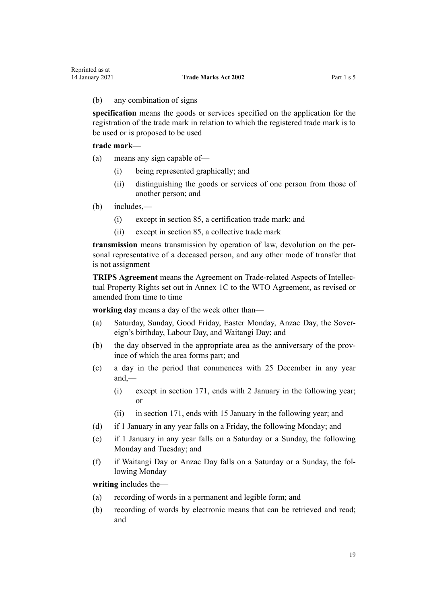#### (b) any combination of signs

**specification** means the goods or services specified on the application for the registration of the trade mark in relation to which the registered trade mark is to be used or is proposed to be used

#### **trade mark**—

- (a) means any sign capable of—
	- (i) being represented graphically; and
	- (ii) distinguishing the goods or services of one person from those of another person; and
- (b) includes,—
	- (i) except in [section 85,](#page-47-0) a certification trade mark; and
	- (ii) except in [section 85,](#page-47-0) a collective trade mark

**transmission** means transmission by operation of law, devolution on the personal representative of a deceased person, and any other mode of transfer that is not assignment

**TRIPS Agreement** means the Agreement on Trade-related Aspects of Intellectual Property Rights set out in Annex 1C to the WTO Agreement, as revised or amended from time to time

**working day** means a day of the week other than—

- (a) Saturday, Sunday, Good Friday, Easter Monday, Anzac Day, the Sovereign's birthday, Labour Day, and Waitangi Day; and
- (b) the day observed in the appropriate area as the anniversary of the province of which the area forms part; and
- (c) a day in the period that commences with 25 December in any year and,—
	- (i) except in [section 171](#page-104-0), ends with 2 January in the following year; or
	- (ii) in [section 171,](#page-104-0) ends with 15 January in the following year; and
- (d) if 1 January in any year falls on a Friday, the following Monday; and
- (e) if 1 January in any year falls on a Saturday or a Sunday, the following Monday and Tuesday; and
- (f) if Waitangi Day or Anzac Day falls on a Saturday or a Sunday, the following Monday

**writing** includes the—

- (a) recording of words in a permanent and legible form; and
- (b) recording of words by electronic means that can be retrieved and read; and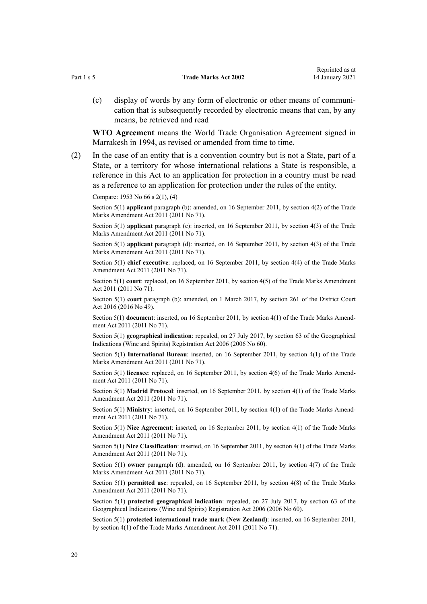(c) display of words by any form of electronic or other means of communication that is subsequently recorded by electronic means that can, by any means, be retrieved and read

**WTO Agreement** means the World Trade Organisation Agreement signed in Marrakesh in 1994, as revised or amended from time to time.

(2) In the case of an entity that is a convention country but is not a State, part of a State, or a territory for whose international relations a State is responsible, a reference in this Act to an application for protection in a country must be read as a reference to an application for protection under the rules of the entity.

Compare: 1953 No 66 s 2(1), (4)

Section 5(1) **applicant** paragraph (b): amended, on 16 September 2011, by [section 4\(2\)](http://legislation.govt.nz/pdflink.aspx?id=DLM2290008) of the Trade Marks Amendment Act 2011 (2011 No 71).

Section 5(1) **applicant** paragraph (c): inserted, on 16 September 2011, by [section 4\(3\)](http://legislation.govt.nz/pdflink.aspx?id=DLM2290008) of the Trade Marks Amendment Act 2011 (2011 No 71).

Section 5(1) **applicant** paragraph (d): inserted, on 16 September 2011, by [section 4\(3\)](http://legislation.govt.nz/pdflink.aspx?id=DLM2290008) of the Trade Marks Amendment Act 2011 (2011 No 71).

Section 5(1) **chief executive**: replaced, on 16 September 2011, by [section 4\(4\)](http://legislation.govt.nz/pdflink.aspx?id=DLM2290008) of the Trade Marks Amendment Act 2011 (2011 No 71).

Section 5(1) **court**: replaced, on 16 September 2011, by [section 4\(5\)](http://legislation.govt.nz/pdflink.aspx?id=DLM2290008) of the Trade Marks Amendment Act 2011 (2011 No 71).

Section 5(1) **court** paragraph (b): amended, on 1 March 2017, by [section 261](http://legislation.govt.nz/pdflink.aspx?id=DLM6942680) of the District Court Act 2016 (2016 No 49).

Section 5(1) **document**: inserted, on 16 September 2011, by [section 4\(1\)](http://legislation.govt.nz/pdflink.aspx?id=DLM2290008) of the Trade Marks Amendment Act 2011 (2011 No 71).

Section 5(1) **geographical indication**: repealed, on 27 July 2017, by [section 63](http://legislation.govt.nz/pdflink.aspx?id=DLM390893) of the Geographical Indications (Wine and Spirits) Registration Act 2006 (2006 No 60).

Section 5(1) **International Bureau**: inserted, on 16 September 2011, by [section 4\(1\)](http://legislation.govt.nz/pdflink.aspx?id=DLM2290008) of the Trade Marks Amendment Act 2011 (2011 No 71).

Section 5(1) **licensee**: replaced, on 16 September 2011, by [section 4\(6\)](http://legislation.govt.nz/pdflink.aspx?id=DLM2290008) of the Trade Marks Amendment Act 2011 (2011 No 71).

Section 5(1) **Madrid Protocol**: inserted, on 16 September 2011, by [section 4\(1\)](http://legislation.govt.nz/pdflink.aspx?id=DLM2290008) of the Trade Marks Amendment Act 2011 (2011 No 71).

Section 5(1) **Ministry**: inserted, on 16 September 2011, by [section 4\(1\)](http://legislation.govt.nz/pdflink.aspx?id=DLM2290008) of the Trade Marks Amendment Act 2011 (2011 No 71).

Section 5(1) **Nice Agreement**: inserted, on 16 September 2011, by [section 4\(1\)](http://legislation.govt.nz/pdflink.aspx?id=DLM2290008) of the Trade Marks Amendment Act 2011 (2011 No 71).

Section 5(1) **Nice Classification**: inserted, on 16 September 2011, by [section 4\(1\)](http://legislation.govt.nz/pdflink.aspx?id=DLM2290008) of the Trade Marks Amendment Act 2011 (2011 No 71).

Section 5(1) **owner** paragraph (d): amended, on 16 September 2011, by [section 4\(7\)](http://legislation.govt.nz/pdflink.aspx?id=DLM2290008) of the Trade Marks Amendment Act 2011 (2011 No 71).

Section 5(1) **permitted use**: repealed, on 16 September 2011, by [section 4\(8\)](http://legislation.govt.nz/pdflink.aspx?id=DLM2290008) of the Trade Marks Amendment Act 2011 (2011 No 71).

Section 5(1) **protected geographical indication**: repealed, on 27 July 2017, by [section 63](http://legislation.govt.nz/pdflink.aspx?id=DLM390893) of the Geographical Indications (Wine and Spirits) Registration Act 2006 (2006 No 60).

Section 5(1) **protected international trade mark (New Zealand)**: inserted, on 16 September 2011, by [section 4\(1\)](http://legislation.govt.nz/pdflink.aspx?id=DLM2290008) of the Trade Marks Amendment Act 2011 (2011 No 71).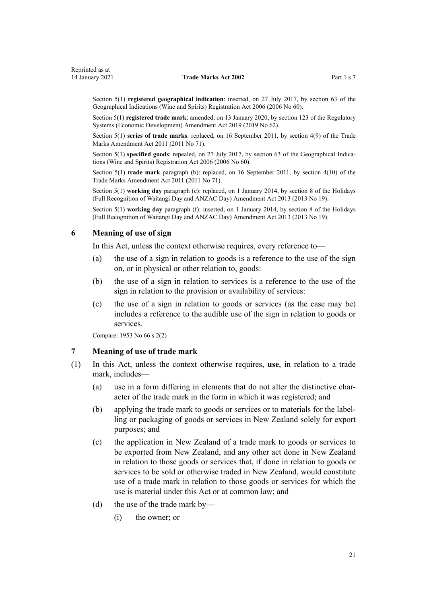<span id="page-20-0"></span>Section 5(1) **registered geographical indication**: inserted, on 27 July 2017, by [section 63](http://legislation.govt.nz/pdflink.aspx?id=DLM390893) of the Geographical Indications (Wine and Spirits) Registration Act 2006 (2006 No 60).

Section 5(1) **registered trade mark**: amended, on 13 January 2020, by [section 123](http://legislation.govt.nz/pdflink.aspx?id=LMS85747) of the Regulatory Systems (Economic Development) Amendment Act 2019 (2019 No 62).

Section 5(1) series of trade marks: replaced, on 16 September 2011, by [section 4\(9\)](http://legislation.govt.nz/pdflink.aspx?id=DLM2290008) of the Trade Marks Amendment Act 2011 (2011 No 71).

Section 5(1) **specified goods**: repealed, on 27 July 2017, by [section 63](http://legislation.govt.nz/pdflink.aspx?id=DLM390893) of the Geographical Indications (Wine and Spirits) Registration Act 2006 (2006 No 60).

Section 5(1) **trade mark** paragraph (b): replaced, on 16 September 2011, by [section 4\(10\)](http://legislation.govt.nz/pdflink.aspx?id=DLM2290008) of the Trade Marks Amendment Act 2011 (2011 No 71).

Section 5(1) **working day** paragraph (e): replaced, on 1 January 2014, by [section 8](http://legislation.govt.nz/pdflink.aspx?id=DLM4929207) of the Holidays (Full Recognition of Waitangi Day and ANZAC Day) Amendment Act 2013 (2013 No 19).

Section 5(1) **working day** paragraph (f): inserted, on 1 January 2014, by [section 8](http://legislation.govt.nz/pdflink.aspx?id=DLM4929207) of the Holidays (Full Recognition of Waitangi Day and ANZAC Day) Amendment Act 2013 (2013 No 19).

### **6 Meaning of use of sign**

In this Act, unless the context otherwise requires, every reference to—

- (a) the use of a sign in relation to goods is a reference to the use of the sign on, or in physical or other relation to, goods:
- (b) the use of a sign in relation to services is a reference to the use of the sign in relation to the provision or availability of services:
- (c) the use of a sign in relation to goods or services (as the case may be) includes a reference to the audible use of the sign in relation to goods or services.

Compare: 1953 No 66 s 2(2)

#### **7 Meaning of use of trade mark**

- (1) In this Act, unless the context otherwise requires, **use**, in relation to a trade mark, includes—
	- (a) use in a form differing in elements that do not alter the distinctive character of the trade mark in the form in which it was registered; and
	- (b) applying the trade mark to goods or services or to materials for the labelling or packaging of goods or services in New Zealand solely for export purposes; and
	- (c) the application in New Zealand of a trade mark to goods or services to be exported from New Zealand, and any other act done in New Zealand in relation to those goods or services that, if done in relation to goods or services to be sold or otherwise traded in New Zealand, would constitute use of a trade mark in relation to those goods or services for which the use is material under this Act or at common law; and
	- (d) the use of the trade mark by—
		- (i) the owner; or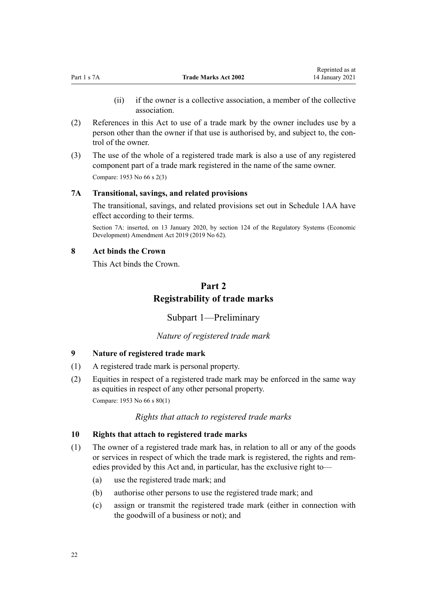- (ii) if the owner is a collective association, a member of the collective association.
- <span id="page-21-0"></span>(2) References in this Act to use of a trade mark by the owner includes use by a person other than the owner if that use is authorised by, and subject to, the control of the owner.
- (3) The use of the whole of a registered trade mark is also a use of any registered component part of a trade mark registered in the name of the same owner. Compare: 1953 No 66 s 2(3)

# **7A Transitional, savings, and related provisions**

The transitional, savings, and related provisions set out in [Schedule 1AA](#page-120-0) have effect according to their terms.

Section 7A: inserted, on 13 January 2020, by [section 124](http://legislation.govt.nz/pdflink.aspx?id=LMS85749) of the Regulatory Systems (Economic Development) Amendment Act 2019 (2019 No 62).

## **8 Act binds the Crown**

This Act binds the Crown.

# **Part 2 Registrability of trade marks**

Subpart 1—Preliminary

# *Nature of registered trade mark*

### **9 Nature of registered trade mark**

- (1) A registered trade mark is personal property.
- (2) Equities in respect of a registered trade mark may be enforced in the same way as equities in respect of any other personal property. Compare: 1953 No 66 s 80(1)

# *Rights that attach to registered trade marks*

### **10 Rights that attach to registered trade marks**

- (1) The owner of a registered trade mark has, in relation to all or any of the goods or services in respect of which the trade mark is registered, the rights and remedies provided by this Act and, in particular, has the exclusive right to—
	- (a) use the registered trade mark; and
	- (b) authorise other persons to use the registered trade mark; and
	- (c) assign or transmit the registered trade mark (either in connection with the goodwill of a business or not); and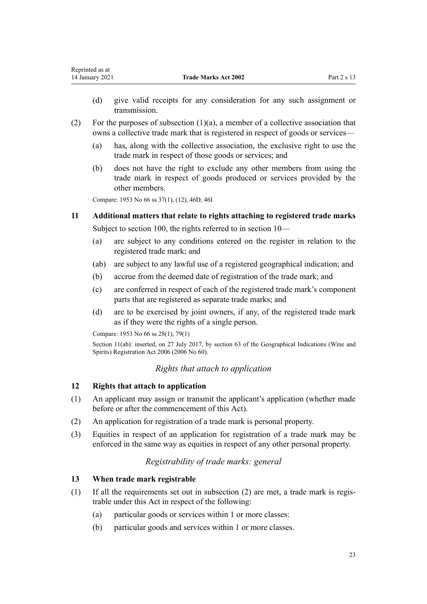- <span id="page-22-0"></span>(d) give valid receipts for any consideration for any such assignment or transmission.
- (2) For the purposes of subsection (1)(a), a member of a collective association that owns a collective trade mark that is registered in respect of goods or services—
	- (a) has, along with the collective association, the exclusive right to use the trade mark in respect of those goods or services; and
	- (b) does not have the right to exclude any other members from using the trade mark in respect of goods produced or services provided by the other members.

Compare: 1953 No 66 ss 37(1), (12), 46D, 46I

# **11 Additional matters that relate to rights attaching to registered trade marks** Subject to [section 100](#page-53-0), the rights referred to in [section 10—](#page-21-0)

- (a) are subject to any conditions entered on the register in relation to the registered trade mark; and
- (ab) are subject to any lawful use of a registered geographical indication; and
- (b) accrue from the deemed date of registration of the trade mark; and
- (c) are conferred in respect of each of the registered trade mark's component parts that are registered as separate trade marks; and
- (d) are to be exercised by joint owners, if any, of the registered trade mark as if they were the rights of a single person.

Compare: 1953 No 66 ss 28(1), 79(1)

Section 11(ab): inserted, on 27 July 2017, by [section 63](http://legislation.govt.nz/pdflink.aspx?id=DLM390893) of the Geographical Indications (Wine and Spirits) Registration Act 2006 (2006 No 60).

# *Rights that attach to application*

## **12 Rights that attach to application**

- (1) An applicant may assign or transmit the applicant's application (whether made before or after the commencement of this Act).
- (2) An application for registration of a trade mark is personal property.
- (3) Equities in respect of an application for registration of a trade mark may be enforced in the same way as equities in respect of any other personal property.

# *Registrability of trade marks: general*

### **13 When trade mark registrable**

- (1) If all the requirements set out in subsection (2) are met, a trade mark is registrable under this Act in respect of the following:
	- (a) particular goods or services within 1 or more classes:
	- (b) particular goods and services within 1 or more classes.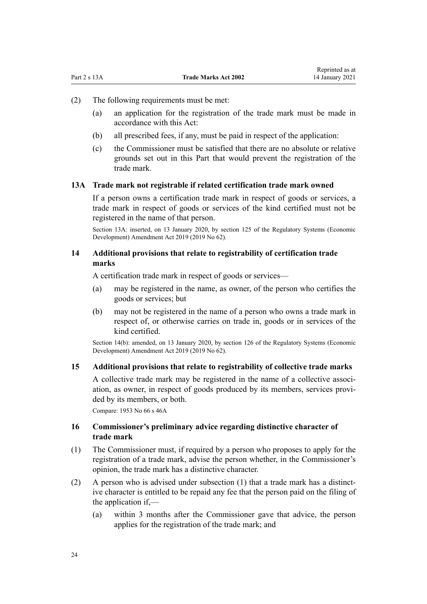- <span id="page-23-0"></span>(2) The following requirements must be met:
	- (a) an application for the registration of the trade mark must be made in accordance with this Act:
	- (b) all prescribed fees, if any, must be paid in respect of the application:
	- (c) the Commissioner must be satisfied that there are no absolute or relative grounds set out in this Part that would prevent the registration of the trade mark.

# **13A Trade mark not registrable if related certification trade mark owned**

If a person owns a certification trade mark in respect of goods or services, a trade mark in respect of goods or services of the kind certified must not be registered in the name of that person.

Section 13A: inserted, on 13 January 2020, by [section 125](http://legislation.govt.nz/pdflink.aspx?id=LMS85751) of the Regulatory Systems (Economic Development) Amendment Act 2019 (2019 No 62).

# **14 Additional provisions that relate to registrability of certification trade marks**

A certification trade mark in respect of goods or services—

- (a) may be registered in the name, as owner, of the person who certifies the goods or services; but
- (b) may not be registered in the name of a person who owns a trade mark in respect of, or otherwise carries on trade in, goods or in services of the kind certified.

Section 14(b): amended, on 13 January 2020, by [section 126](http://legislation.govt.nz/pdflink.aspx?id=LMS85752) of the Regulatory Systems (Economic Development) Amendment Act 2019 (2019 No 62).

# **15 Additional provisions that relate to registrability of collective trade marks**

A collective trade mark may be registered in the name of a collective association, as owner, in respect of goods produced by its members, services provided by its members, or both.

Compare: 1953 No 66 s 46A

## **16 Commissioner's preliminary advice regarding distinctive character of trade mark**

- (1) The Commissioner must, if required by a person who proposes to apply for the registration of a trade mark, advise the person whether, in the Commissioner's opinion, the trade mark has a distinctive character.
- (2) A person who is advised under subsection (1) that a trade mark has a distinctive character is entitled to be repaid any fee that the person paid on the filing of the application if,—
	- (a) within 3 months after the Commissioner gave that advice, the person applies for the registration of the trade mark; and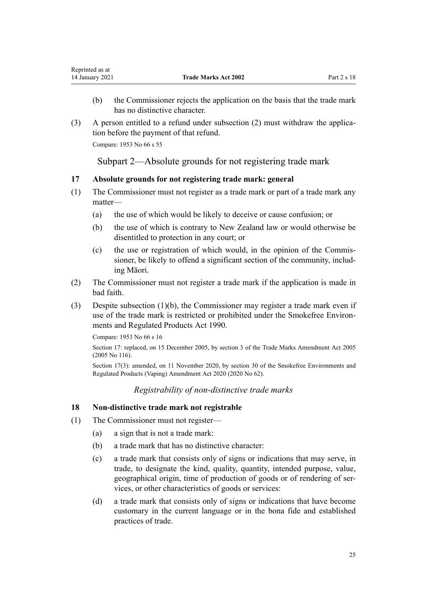- <span id="page-24-0"></span>(b) the Commissioner rejects the application on the basis that the trade mark has no distinctive character.
- (3) A person entitled to a refund under subsection (2) must withdraw the application before the payment of that refund.

Compare: 1953 No 66 s 55

Subpart 2—Absolute grounds for not registering trade mark

# **17 Absolute grounds for not registering trade mark: general**

- (1) The Commissioner must not register as a trade mark or part of a trade mark any matter—
	- (a) the use of which would be likely to deceive or cause confusion; or
	- (b) the use of which is contrary to New Zealand law or would otherwise be disentitled to protection in any court; or
	- (c) the use or registration of which would, in the opinion of the Commissioner, be likely to offend a significant section of the community, including Māori.
- (2) The Commissioner must not register a trade mark if the application is made in bad faith.
- (3) Despite subsection (1)(b), the Commissioner may register a trade mark even if use of the trade mark is restricted or prohibited under the [Smokefree Environ](http://legislation.govt.nz/pdflink.aspx?id=DLM223190)[ments and Regulated Products Act 1990](http://legislation.govt.nz/pdflink.aspx?id=DLM223190).

Compare: 1953 No 66 s 16

Section 17: replaced, on 15 December 2005, by [section 3](http://legislation.govt.nz/pdflink.aspx?id=DLM362636) of the Trade Marks Amendment Act 2005 (2005 No 116).

Section 17(3): amended, on 11 November 2020, by [section 30](http://legislation.govt.nz/pdflink.aspx?id=LMS314081) of the Smokefree Environments and Regulated Products (Vaping) Amendment Act 2020 (2020 No 62).

# *Registrability of non-distinctive trade marks*

### **18 Non-distinctive trade mark not registrable**

- (1) The Commissioner must not register—
	- (a) a sign that is not a trade mark:
	- (b) a trade mark that has no distinctive character:
	- (c) a trade mark that consists only of signs or indications that may serve, in trade, to designate the kind, quality, quantity, intended purpose, value, geographical origin, time of production of goods or of rendering of services, or other characteristics of goods or services:
	- (d) a trade mark that consists only of signs or indications that have become customary in the current language or in the bona fide and established practices of trade.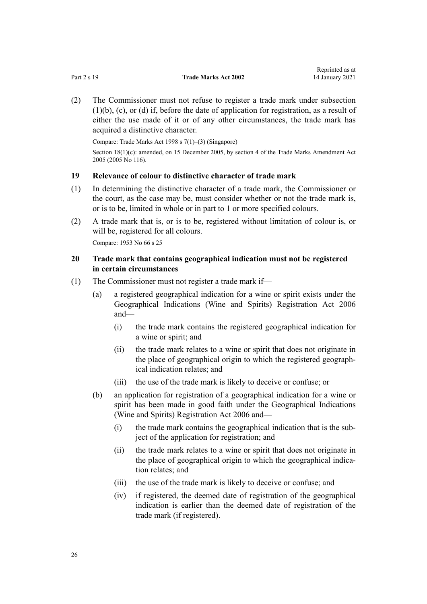<span id="page-25-0"></span>(2) The Commissioner must not refuse to register a trade mark under subsection  $(1)(b)$ ,  $(c)$ , or  $(d)$  if, before the date of application for registration, as a result of either the use made of it or of any other circumstances, the trade mark has acquired a distinctive character.

Compare: Trade Marks Act 1998 s 7(1)–(3) (Singapore)

Section 18(1)(c): amended, on 15 December 2005, by [section 4](http://legislation.govt.nz/pdflink.aspx?id=DLM362638) of the Trade Marks Amendment Act 2005 (2005 No 116).

## **19 Relevance of colour to distinctive character of trade mark**

- (1) In determining the distinctive character of a trade mark, the Commissioner or the court, as the case may be, must consider whether or not the trade mark is, or is to be, limited in whole or in part to 1 or more specified colours.
- (2) A trade mark that is, or is to be, registered without limitation of colour is, or will be, registered for all colours.

Compare: 1953 No 66 s 25

# **20 Trade mark that contains geographical indication must not be registered in certain circumstances**

- (1) The Commissioner must not register a trade mark if—
	- (a) a registered geographical indication for a wine or spirit exists under the [Geographical Indications \(Wine and Spirits\) Registration Act 2006](http://legislation.govt.nz/pdflink.aspx?id=DLM390755) and—
		- (i) the trade mark contains the registered geographical indication for a wine or spirit; and
		- (ii) the trade mark relates to a wine or spirit that does not originate in the place of geographical origin to which the registered geographical indication relates; and
		- (iii) the use of the trade mark is likely to deceive or confuse; or
	- (b) an application for registration of a geographical indication for a wine or spirit has been made in good faith under the [Geographical Indications](http://legislation.govt.nz/pdflink.aspx?id=DLM390755) [\(Wine and Spirits\) Registration Act 2006](http://legislation.govt.nz/pdflink.aspx?id=DLM390755) and—
		- (i) the trade mark contains the geographical indication that is the subject of the application for registration; and
		- (ii) the trade mark relates to a wine or spirit that does not originate in the place of geographical origin to which the geographical indication relates; and
		- (iii) the use of the trade mark is likely to deceive or confuse; and
		- (iv) if registered, the deemed date of registration of the geographical indication is earlier than the deemed date of registration of the trade mark (if registered).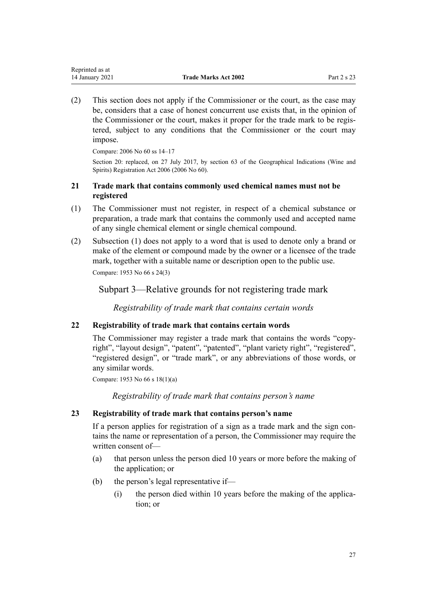<span id="page-26-0"></span>(2) This section does not apply if the Commissioner or the court, as the case may be, considers that a case of honest concurrent use exists that, in the opinion of the Commissioner or the court, makes it proper for the trade mark to be registered, subject to any conditions that the Commissioner or the court may impose.

Compare: 2006 No 60 [ss 14–17](http://legislation.govt.nz/pdflink.aspx?id=DLM390831)

Section 20: replaced, on 27 July 2017, by [section 63](http://legislation.govt.nz/pdflink.aspx?id=DLM390893) of the Geographical Indications (Wine and Spirits) Registration Act 2006 (2006 No 60).

# **21 Trade mark that contains commonly used chemical names must not be registered**

- (1) The Commissioner must not register, in respect of a chemical substance or preparation, a trade mark that contains the commonly used and accepted name of any single chemical element or single chemical compound.
- (2) Subsection (1) does not apply to a word that is used to denote only a brand or make of the element or compound made by the owner or a licensee of the trade mark, together with a suitable name or description open to the public use.

Compare: 1953 No 66 s 24(3)

Subpart 3—Relative grounds for not registering trade mark

*Registrability of trade mark that contains certain words*

# **22 Registrability of trade mark that contains certain words**

The Commissioner may register a trade mark that contains the words "copyright", "layout design", "patent", "patented", "plant variety right", "registered", "registered design", or "trade mark", or any abbreviations of those words, or any similar words.

Compare: 1953 No 66 s 18(1)(a)

*Registrability of trade mark that contains person's name*

# **23 Registrability of trade mark that contains person's name**

If a person applies for registration of a sign as a trade mark and the sign contains the name or representation of a person, the Commissioner may require the written consent of—

- (a) that person unless the person died 10 years or more before the making of the application; or
- (b) the person's legal representative if—
	- (i) the person died within 10 years before the making of the application; or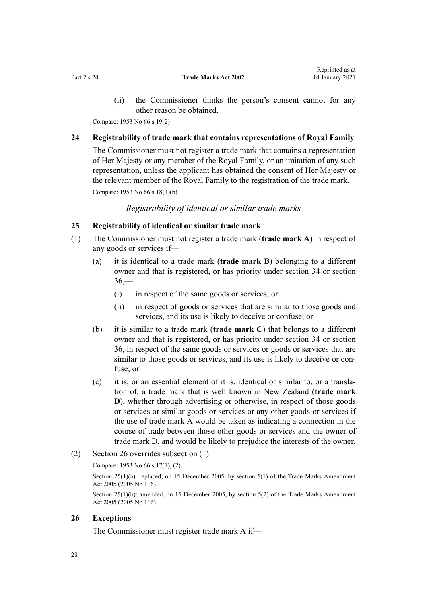<span id="page-27-0"></span>(ii) the Commissioner thinks the person's consent cannot for any other reason be obtained.

Compare: 1953 No 66 s 19(2)

### **24 Registrability of trade mark that contains representations of Royal Family**

The Commissioner must not register a trade mark that contains a representation of Her Majesty or any member of the Royal Family, or an imitation of any such representation, unless the applicant has obtained the consent of Her Majesty or the relevant member of the Royal Family to the registration of the trade mark.

Compare: 1953 No 66 s 18(1)(b)

*Registrability of identical or similar trade marks*

#### **25 Registrability of identical or similar trade mark**

- (1) The Commissioner must not register a trade mark (**trade mark A**) in respect of any goods or services if—
	- (a) it is identical to a trade mark (**trade mark B**) belonging to a different owner and that is registered, or has priority under [section 34](#page-31-0) or [section](#page-32-0)  $36 -$ 
		- (i) in respect of the same goods or services; or
		- (ii) in respect of goods or services that are similar to those goods and services, and its use is likely to deceive or confuse; or
	- (b) it is similar to a trade mark (**trade mark C**) that belongs to a different owner and that is registered, or has priority under [section 34](#page-31-0) or [section](#page-32-0) [36,](#page-32-0) in respect of the same goods or services or goods or services that are similar to those goods or services, and its use is likely to deceive or confuse; or
	- (c) it is, or an essential element of it is, identical or similar to, or a translation of, a trade mark that is well known in New Zealand (**trade mark D**), whether through advertising or otherwise, in respect of those goods or services or similar goods or services or any other goods or services if the use of trade mark A would be taken as indicating a connection in the course of trade between those other goods or services and the owner of trade mark D, and would be likely to prejudice the interests of the owner.
- (2) Section 26 overrides subsection (1).

#### Compare: 1953 No 66 s 17(1), (2)

Section 25(1)(a): replaced, on 15 December 2005, by [section 5\(1\)](http://legislation.govt.nz/pdflink.aspx?id=DLM362639) of the Trade Marks Amendment Act 2005 (2005 No 116).

Section 25(1)(b): amended, on 15 December 2005, by [section 5\(2\)](http://legislation.govt.nz/pdflink.aspx?id=DLM362639) of the Trade Marks Amendment Act 2005 (2005 No 116).

# **26 Exceptions**

The Commissioner must register trade mark A if—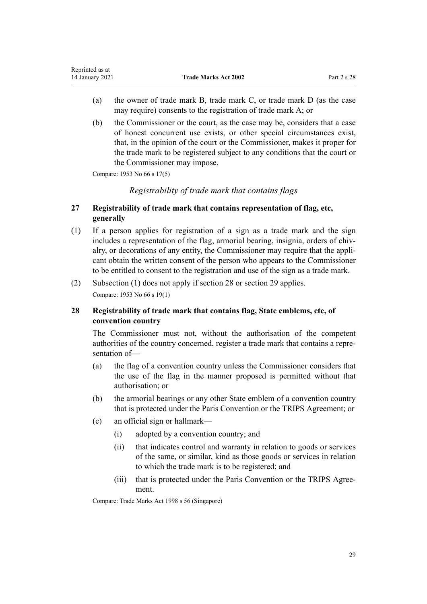<span id="page-28-0"></span>

| Reprinted as at |                             |             |
|-----------------|-----------------------------|-------------|
| 14 January 2021 | <b>Trade Marks Act 2002</b> | Part 2 s 28 |

- (a) the owner of trade mark B, trade mark C, or trade mark D (as the case may require) consents to the registration of trade mark A; or
- (b) the Commissioner or the court, as the case may be, considers that a case of honest concurrent use exists, or other special circumstances exist, that, in the opinion of the court or the Commissioner, makes it proper for the trade mark to be registered subject to any conditions that the court or the Commissioner may impose.

Compare: 1953 No 66 s 17(5)

### *Registrability of trade mark that contains flags*

## **27 Registrability of trade mark that contains representation of flag, etc, generally**

- (1) If a person applies for registration of a sign as a trade mark and the sign includes a representation of the flag, armorial bearing, insignia, orders of chivalry, or decorations of any entity, the Commissioner may require that the applicant obtain the written consent of the person who appears to the Commissioner to be entitled to consent to the registration and use of the sign as a trade mark.
- (2) Subsection (1) does not apply if section 28 or [section 29](#page-29-0) applies.

Compare: 1953 No 66 s 19(1)

# **28 Registrability of trade mark that contains flag, State emblems, etc, of convention country**

The Commissioner must not, without the authorisation of the competent authorities of the country concerned, register a trade mark that contains a representation of—

- (a) the flag of a convention country unless the Commissioner considers that the use of the flag in the manner proposed is permitted without that authorisation; or
- (b) the armorial bearings or any other State emblem of a convention country that is protected under the Paris Convention or the TRIPS Agreement; or
- (c) an official sign or hallmark—
	- (i) adopted by a convention country; and
	- (ii) that indicates control and warranty in relation to goods or services of the same, or similar, kind as those goods or services in relation to which the trade mark is to be registered; and
	- (iii) that is protected under the Paris Convention or the TRIPS Agreement.

Compare: Trade Marks Act 1998 s 56 (Singapore)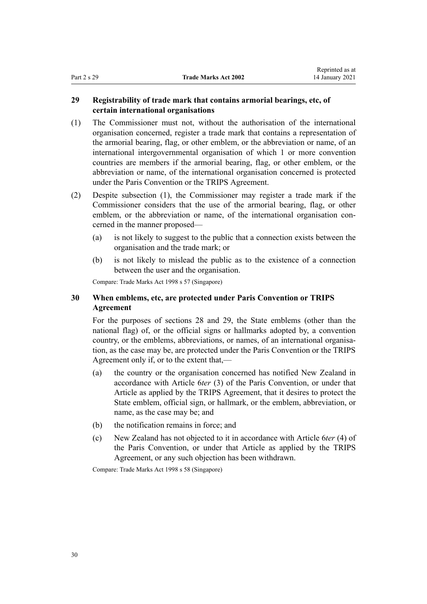# <span id="page-29-0"></span>**29 Registrability of trade mark that contains armorial bearings, etc, of certain international organisations**

- (1) The Commissioner must not, without the authorisation of the international organisation concerned, register a trade mark that contains a representation of the armorial bearing, flag, or other emblem, or the abbreviation or name, of an international intergovernmental organisation of which 1 or more convention countries are members if the armorial bearing, flag, or other emblem, or the abbreviation or name, of the international organisation concerned is protected under the Paris Convention or the TRIPS Agreement.
- (2) Despite subsection (1), the Commissioner may register a trade mark if the Commissioner considers that the use of the armorial bearing, flag, or other emblem, or the abbreviation or name, of the international organisation concerned in the manner proposed—
	- (a) is not likely to suggest to the public that a connection exists between the organisation and the trade mark; or
	- (b) is not likely to mislead the public as to the existence of a connection between the user and the organisation.

Compare: Trade Marks Act 1998 s 57 (Singapore)

# **30 When emblems, etc, are protected under Paris Convention or TRIPS Agreement**

For the purposes of [sections 28](#page-28-0) and 29, the State emblems (other than the national flag) of, or the official signs or hallmarks adopted by, a convention country, or the emblems, abbreviations, or names, of an international organisation, as the case may be, are protected under the Paris Convention or the TRIPS Agreement only if, or to the extent that,—

- (a) the country or the organisation concerned has notified New Zealand in accordance with Article 6*ter* (3) of the Paris Convention, or under that Article as applied by the TRIPS Agreement, that it desires to protect the State emblem, official sign, or hallmark, or the emblem, abbreviation, or name, as the case may be; and
- (b) the notification remains in force; and
- (c) New Zealand has not objected to it in accordance with Article 6*ter* (4) of the Paris Convention, or under that Article as applied by the TRIPS Agreement, or any such objection has been withdrawn.

Compare: Trade Marks Act 1998 s 58 (Singapore)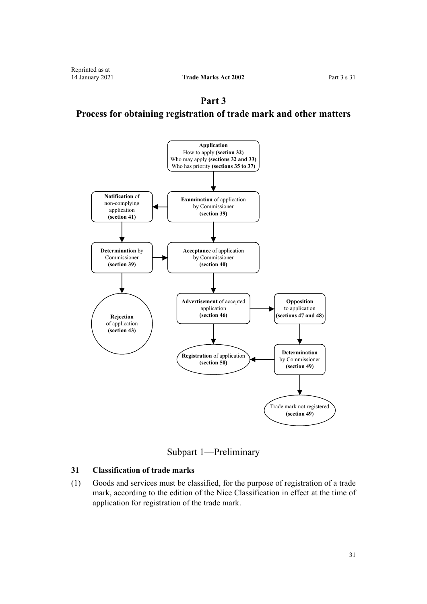<span id="page-30-0"></span>**Part 3 Process for obtaining registration of trade mark and other matters**



Subpart 1—Preliminary

# **31 Classification of trade marks**

(1) Goods and services must be classified, for the purpose of registration of a trade mark, according to the edition of the Nice Classification in effect at the time of application for registration of the trade mark.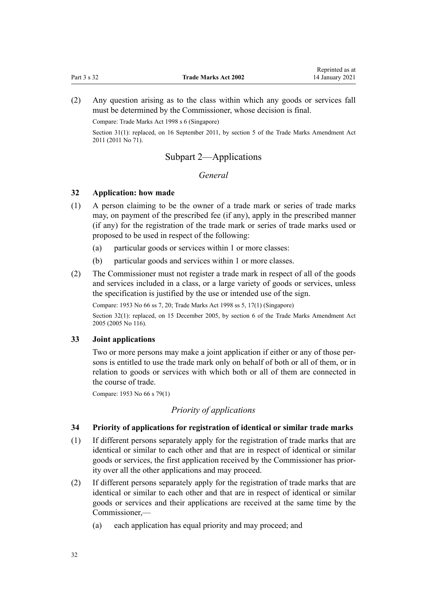<span id="page-31-0"></span>(2) Any question arising as to the class within which any goods or services fall must be determined by the Commissioner, whose decision is final.

Compare: Trade Marks Act 1998 s 6 (Singapore)

Section 31(1): replaced, on 16 September 2011, by [section 5](http://legislation.govt.nz/pdflink.aspx?id=DLM2290037) of the Trade Marks Amendment Act 2011 (2011 No 71).

# Subpart 2—Applications

## *General*

#### **32 Application: how made**

- (1) A person claiming to be the owner of a trade mark or series of trade marks may, on payment of the prescribed fee (if any), apply in the prescribed manner (if any) for the registration of the trade mark or series of trade marks used or proposed to be used in respect of the following:
	- (a) particular goods or services within 1 or more classes:
	- (b) particular goods and services within 1 or more classes.
- (2) The Commissioner must not register a trade mark in respect of all of the goods and services included in a class, or a large variety of goods or services, unless the specification is justified by the use or intended use of the sign.

Compare: 1953 No 66 ss 7, 20; Trade Marks Act 1998 ss 5, 17(1) (Singapore)

Section 32(1): replaced, on 15 December 2005, by [section 6](http://legislation.govt.nz/pdflink.aspx?id=DLM362640) of the Trade Marks Amendment Act 2005 (2005 No 116).

#### **33 Joint applications**

Two or more persons may make a joint application if either or any of those persons is entitled to use the trade mark only on behalf of both or all of them, or in relation to goods or services with which both or all of them are connected in the course of trade.

Compare: 1953 No 66 s 79(1)

### *Priority of applications*

### **34 Priority of applications for registration of identical or similar trade marks**

- (1) If different persons separately apply for the registration of trade marks that are identical or similar to each other and that are in respect of identical or similar goods or services, the first application received by the Commissioner has priority over all the other applications and may proceed.
- (2) If different persons separately apply for the registration of trade marks that are identical or similar to each other and that are in respect of identical or similar goods or services and their applications are received at the same time by the Commissioner,—
	- (a) each application has equal priority and may proceed; and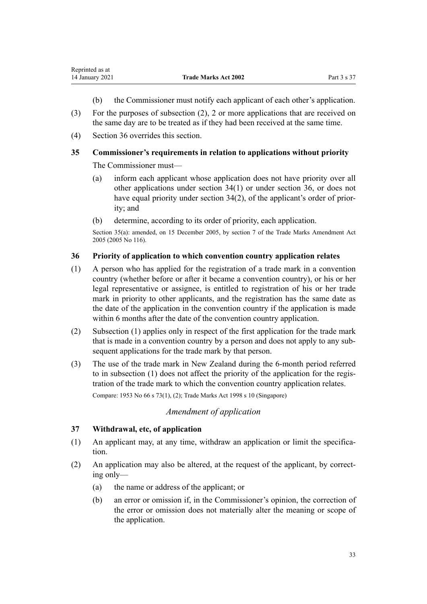- (b) the Commissioner must notify each applicant of each other's application.
- <span id="page-32-0"></span>(3) For the purposes of subsection (2), 2 or more applications that are received on the same day are to be treated as if they had been received at the same time.
- (4) Section 36 overrides this section.

# **35 Commissioner's requirements in relation to applications without priority**

The Commissioner must—

- (a) inform each applicant whose application does not have priority over all other applications under [section 34\(1\)](#page-31-0) or under section 36, or does not have equal priority under [section 34\(2\)](#page-31-0), of the applicant's order of priority; and
- (b) determine, according to its order of priority, each application.

Section 35(a): amended, on 15 December 2005, by [section 7](http://legislation.govt.nz/pdflink.aspx?id=DLM362641) of the Trade Marks Amendment Act 2005 (2005 No 116).

### **36 Priority of application to which convention country application relates**

- (1) A person who has applied for the registration of a trade mark in a convention country (whether before or after it became a convention country), or his or her legal representative or assignee, is entitled to registration of his or her trade mark in priority to other applicants, and the registration has the same date as the date of the application in the convention country if the application is made within 6 months after the date of the convention country application.
- (2) Subsection (1) applies only in respect of the first application for the trade mark that is made in a convention country by a person and does not apply to any subsequent applications for the trade mark by that person.
- (3) The use of the trade mark in New Zealand during the 6-month period referred to in subsection (1) does not affect the priority of the application for the registration of the trade mark to which the convention country application relates.

Compare: 1953 No 66 s 73(1), (2); Trade Marks Act 1998 s 10 (Singapore)

#### *Amendment of application*

### **37 Withdrawal, etc, of application**

- (1) An applicant may, at any time, withdraw an application or limit the specification.
- (2) An application may also be altered, at the request of the applicant, by correcting only—
	- (a) the name or address of the applicant; or
	- (b) an error or omission if, in the Commissioner's opinion, the correction of the error or omission does not materially alter the meaning or scope of the application.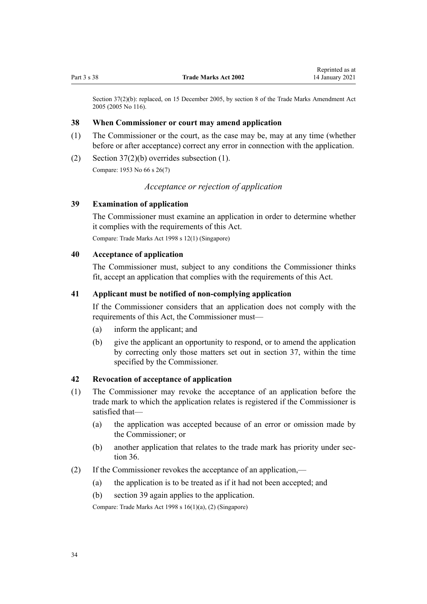<span id="page-33-0"></span>Section 37(2)(b): replaced, on 15 December 2005, by [section 8](http://legislation.govt.nz/pdflink.aspx?id=DLM362642) of the Trade Marks Amendment Act 2005 (2005 No 116).

#### **38 When Commissioner or court may amend application**

- (1) The Commissioner or the court, as the case may be, may at any time (whether before or after acceptance) correct any error in connection with the application.
- (2) Section  $37(2)(b)$  overrides subsection (1).

Compare: 1953 No 66 s 26(7)

## *Acceptance or rejection of application*

## **39 Examination of application**

The Commissioner must examine an application in order to determine whether it complies with the requirements of this Act.

Compare: Trade Marks Act 1998 s 12(1) (Singapore)

# **40 Acceptance of application**

The Commissioner must, subject to any conditions the Commissioner thinks fit, accept an application that complies with the requirements of this Act.

### **41 Applicant must be notified of non-complying application**

If the Commissioner considers that an application does not comply with the requirements of this Act, the Commissioner must—

- (a) inform the applicant; and
- (b) give the applicant an opportunity to respond, or to amend the application by correcting only those matters set out in [section 37](#page-32-0), within the time specified by the Commissioner.

#### **42 Revocation of acceptance of application**

- (1) The Commissioner may revoke the acceptance of an application before the trade mark to which the application relates is registered if the Commissioner is satisfied that—
	- (a) the application was accepted because of an error or omission made by the Commissioner; or
	- (b) another application that relates to the trade mark has priority under [sec](#page-32-0)[tion 36](#page-32-0).
- (2) If the Commissioner revokes the acceptance of an application,—
	- (a) the application is to be treated as if it had not been accepted; and
	- (b) section 39 again applies to the application.

Compare: Trade Marks Act 1998 s 16(1)(a), (2) (Singapore)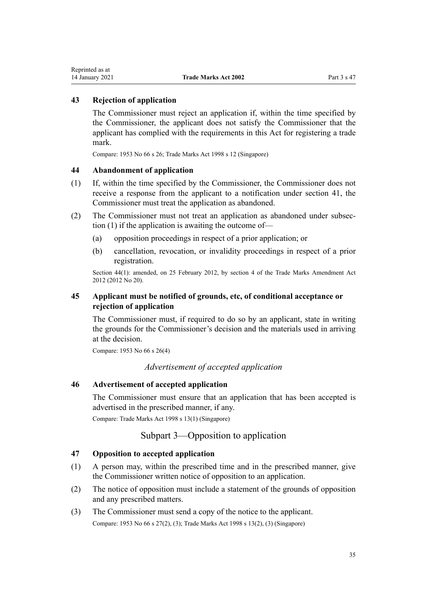# <span id="page-34-0"></span>**43 Rejection of application**

The Commissioner must reject an application if, within the time specified by the Commissioner, the applicant does not satisfy the Commissioner that the applicant has complied with the requirements in this Act for registering a trade mark.

Compare: 1953 No 66 s 26; Trade Marks Act 1998 s 12 (Singapore)

#### **44 Abandonment of application**

- (1) If, within the time specified by the Commissioner, the Commissioner does not receive a response from the applicant to a notification under [section 41,](#page-33-0) the Commissioner must treat the application as abandoned.
- (2) The Commissioner must not treat an application as abandoned under subsection (1) if the application is awaiting the outcome of—
	- (a) opposition proceedings in respect of a prior application; or
	- (b) cancellation, revocation, or invalidity proceedings in respect of a prior registration.

Section 44(1): amended, on 25 February 2012, by [section 4](http://legislation.govt.nz/pdflink.aspx?id=DLM4015207) of the Trade Marks Amendment Act 2012 (2012 No 20).

# **45 Applicant must be notified of grounds, etc, of conditional acceptance or rejection of application**

The Commissioner must, if required to do so by an applicant, state in writing the grounds for the Commissioner's decision and the materials used in arriving at the decision.

Compare: 1953 No 66 s 26(4)

*Advertisement of accepted application*

# **46 Advertisement of accepted application**

The Commissioner must ensure that an application that has been accepted is advertised in the prescribed manner, if any.

Compare: Trade Marks Act 1998 s 13(1) (Singapore)

# Subpart 3—Opposition to application

#### **47 Opposition to accepted application**

- (1) A person may, within the prescribed time and in the prescribed manner, give the Commissioner written notice of opposition to an application.
- (2) The notice of opposition must include a statement of the grounds of opposition and any prescribed matters.
- (3) The Commissioner must send a copy of the notice to the applicant. Compare: 1953 No 66 s 27(2), (3); Trade Marks Act 1998 s 13(2), (3) (Singapore)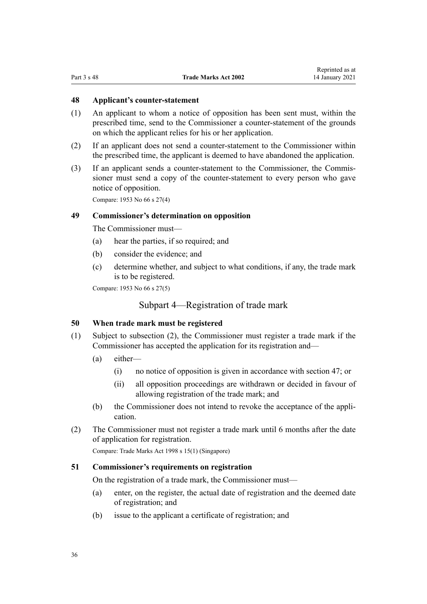## <span id="page-35-0"></span>**48 Applicant's counter-statement**

- (1) An applicant to whom a notice of opposition has been sent must, within the prescribed time, send to the Commissioner a counter-statement of the grounds on which the applicant relies for his or her application.
- (2) If an applicant does not send a counter-statement to the Commissioner within the prescribed time, the applicant is deemed to have abandoned the application.
- (3) If an applicant sends a counter-statement to the Commissioner, the Commissioner must send a copy of the counter-statement to every person who gave notice of opposition.

Compare: 1953 No 66 s 27(4)

## **49 Commissioner's determination on opposition**

The Commissioner must—

- (a) hear the parties, if so required; and
- (b) consider the evidence; and
- (c) determine whether, and subject to what conditions, if any, the trade mark is to be registered.

Compare: 1953 No 66 s 27(5)

# Subpart 4—Registration of trade mark

#### **50 When trade mark must be registered**

- (1) Subject to subsection (2), the Commissioner must register a trade mark if the Commissioner has accepted the application for its registration and—
	- (a) either—
		- (i) no notice of opposition is given in accordance with [section 47](#page-34-0); or
		- (ii) all opposition proceedings are withdrawn or decided in favour of allowing registration of the trade mark; and
	- (b) the Commissioner does not intend to revoke the acceptance of the application.
- (2) The Commissioner must not register a trade mark until 6 months after the date of application for registration.

Compare: Trade Marks Act 1998 s 15(1) (Singapore)

#### **51 Commissioner's requirements on registration**

On the registration of a trade mark, the Commissioner must—

- (a) enter, on the register, the actual date of registration and the deemed date of registration; and
- (b) issue to the applicant a certificate of registration; and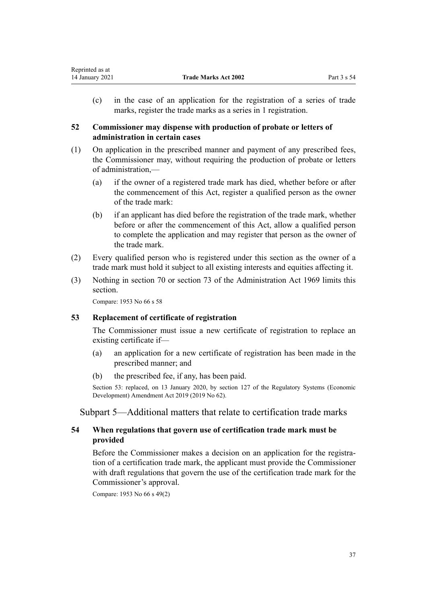(c) in the case of an application for the registration of a series of trade marks, register the trade marks as a series in 1 registration.

## **52 Commissioner may dispense with production of probate or letters of administration in certain cases**

- (1) On application in the prescribed manner and payment of any prescribed fees, the Commissioner may, without requiring the production of probate or letters of administration,—
	- (a) if the owner of a registered trade mark has died, whether before or after the commencement of this Act, register a qualified person as the owner of the trade mark:
	- (b) if an applicant has died before the registration of the trade mark, whether before or after the commencement of this Act, allow a qualified person to complete the application and may register that person as the owner of the trade mark.
- (2) Every qualified person who is registered under this section as the owner of a trade mark must hold it subject to all existing interests and equities affecting it.
- (3) Nothing in [section 70](http://legislation.govt.nz/pdflink.aspx?id=DLM393092) or [section 73](http://legislation.govt.nz/pdflink.aspx?id=DLM393097) of the Administration Act 1969 limits this section.

Compare: 1953 No 66 s 58

## **53 Replacement of certificate of registration**

The Commissioner must issue a new certificate of registration to replace an existing certificate if—

- (a) an application for a new certificate of registration has been made in the prescribed manner; and
- (b) the prescribed fee, if any, has been paid.

Section 53: replaced, on 13 January 2020, by [section 127](http://legislation.govt.nz/pdflink.aspx?id=LMS85754) of the Regulatory Systems (Economic Development) Amendment Act 2019 (2019 No 62).

Subpart 5—Additional matters that relate to certification trade marks

## **54 When regulations that govern use of certification trade mark must be provided**

Before the Commissioner makes a decision on an application for the registration of a certification trade mark, the applicant must provide the Commissioner with draft regulations that govern the use of the certification trade mark for the Commissioner's approval.

Compare: 1953 No 66 s 49(2)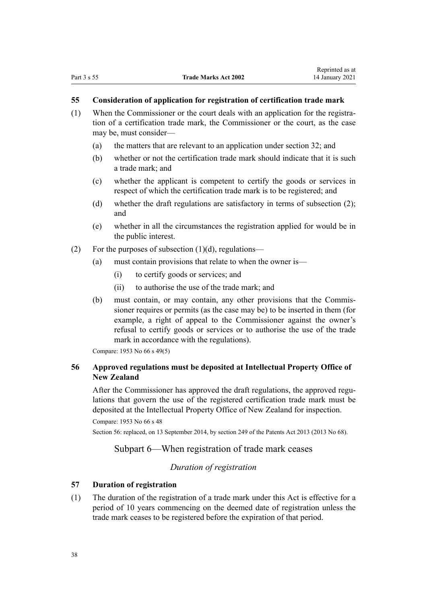# **55 Consideration of application for registration of certification trade mark**

- (1) When the Commissioner or the court deals with an application for the registration of a certification trade mark, the Commissioner or the court, as the case may be, must consider—
	- (a) the matters that are relevant to an application under [section 32](#page-31-0); and
	- (b) whether or not the certification trade mark should indicate that it is such a trade mark; and
	- (c) whether the applicant is competent to certify the goods or services in respect of which the certification trade mark is to be registered; and
	- (d) whether the draft regulations are satisfactory in terms of subsection (2); and
	- (e) whether in all the circumstances the registration applied for would be in the public interest.
- (2) For the purposes of subsection  $(1)(d)$ , regulations—
	- (a) must contain provisions that relate to when the owner is—
		- (i) to certify goods or services; and
		- (ii) to authorise the use of the trade mark; and
	- (b) must contain, or may contain, any other provisions that the Commissioner requires or permits (as the case may be) to be inserted in them (for example, a right of appeal to the Commissioner against the owner's refusal to certify goods or services or to authorise the use of the trade mark in accordance with the regulations).

Compare: 1953 No 66 s 49(5)

## **56 Approved regulations must be deposited at Intellectual Property Office of New Zealand**

After the Commissioner has approved the draft regulations, the approved regulations that govern the use of the registered certification trade mark must be deposited at the Intellectual Property Office of New Zealand for inspection.

```
Compare: 1953 No 66 s 48
```
Section 56: replaced, on 13 September 2014, by [section 249](http://legislation.govt.nz/pdflink.aspx?id=DLM1419624) of the Patents Act 2013 (2013 No 68).

## Subpart 6—When registration of trade mark ceases

## *Duration of registration*

## **57 Duration of registration**

(1) The duration of the registration of a trade mark under this Act is effective for a period of 10 years commencing on the deemed date of registration unless the trade mark ceases to be registered before the expiration of that period.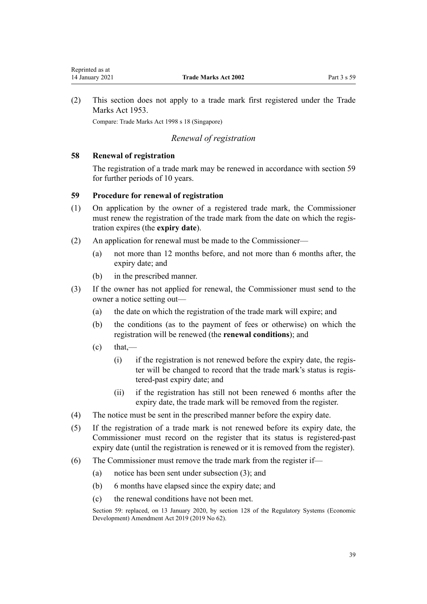<span id="page-38-0"></span>(2) This section does not apply to a trade mark first registered under the Trade Marks Act 1953.

Compare: Trade Marks Act 1998 s 18 (Singapore)

## *Renewal of registration*

## **58 Renewal of registration**

The registration of a trade mark may be renewed in accordance with section 59 for further periods of 10 years.

## **59 Procedure for renewal of registration**

- (1) On application by the owner of a registered trade mark, the Commissioner must renew the registration of the trade mark from the date on which the registration expires (the **expiry date**).
- (2) An application for renewal must be made to the Commissioner—
	- (a) not more than 12 months before, and not more than 6 months after, the expiry date; and
	- (b) in the prescribed manner.
- (3) If the owner has not applied for renewal, the Commissioner must send to the owner a notice setting out—
	- (a) the date on which the registration of the trade mark will expire; and
	- (b) the conditions (as to the payment of fees or otherwise) on which the registration will be renewed (the **renewal conditions**); and
	- $\text{(c)}$  that,—
		- (i) if the registration is not renewed before the expiry date, the register will be changed to record that the trade mark's status is registered-past expiry date; and
		- (ii) if the registration has still not been renewed 6 months after the expiry date, the trade mark will be removed from the register.
- (4) The notice must be sent in the prescribed manner before the expiry date.
- (5) If the registration of a trade mark is not renewed before its expiry date, the Commissioner must record on the register that its status is registered-past expiry date (until the registration is renewed or it is removed from the register).
- (6) The Commissioner must remove the trade mark from the register if—
	- (a) notice has been sent under subsection (3); and
	- (b) 6 months have elapsed since the expiry date; and
	- (c) the renewal conditions have not been met.

Section 59: replaced, on 13 January 2020, by [section 128](http://legislation.govt.nz/pdflink.aspx?id=LMS85760) of the Regulatory Systems (Economic Development) Amendment Act 2019 (2019 No 62).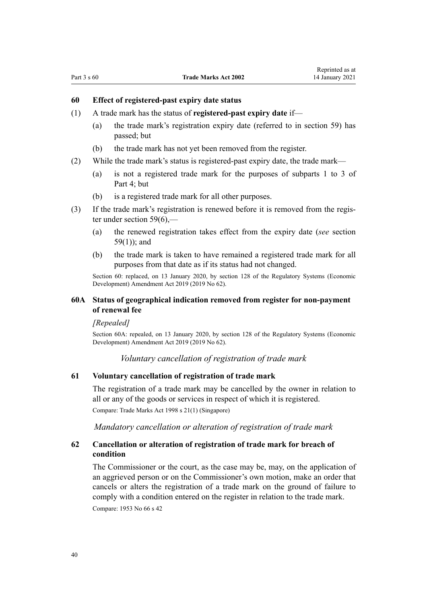## **60 Effect of registered-past expiry date status**

- (1) A trade mark has the status of **registered-past expiry date** if—
	- (a) the trade mark's registration expiry date (referred to in [section 59\)](#page-38-0) has passed; but
	- (b) the trade mark has not yet been removed from the register.
- (2) While the trade mark's status is registered-past expiry date, the trade mark—
	- (a) is not a registered trade mark for the purposes of [subparts 1 to 3](#page-48-0) of Part 4; but
	- (b) is a registered trade mark for all other purposes.
- (3) If the trade mark's registration is renewed before it is removed from the register under [section 59\(6\),](#page-38-0)—
	- (a) the renewed registration takes effect from the expiry date (*see* [section](#page-38-0) [59\(1\)](#page-38-0)); and
	- (b) the trade mark is taken to have remained a registered trade mark for all purposes from that date as if its status had not changed.

Section 60: replaced, on 13 January 2020, by [section 128](http://legislation.govt.nz/pdflink.aspx?id=LMS85760) of the Regulatory Systems (Economic Development) Amendment Act 2019 (2019 No 62).

## **60A Status of geographical indication removed from register for non-payment of renewal fee**

#### *[Repealed]*

Section 60A: repealed, on 13 January 2020, by [section 128](http://legislation.govt.nz/pdflink.aspx?id=LMS85760) of the Regulatory Systems (Economic Development) Amendment Act 2019 (2019 No 62).

*Voluntary cancellation of registration of trade mark*

### **61 Voluntary cancellation of registration of trade mark**

The registration of a trade mark may be cancelled by the owner in relation to all or any of the goods or services in respect of which it is registered.

Compare: Trade Marks Act 1998 s 21(1) (Singapore)

*Mandatory cancellation or alteration of registration of trade mark*

## **62 Cancellation or alteration of registration of trade mark for breach of condition**

The Commissioner or the court, as the case may be, may, on the application of an aggrieved person or on the Commissioner's own motion, make an order that cancels or alters the registration of a trade mark on the ground of failure to comply with a condition entered on the register in relation to the trade mark. Compare: 1953 No 66 s 42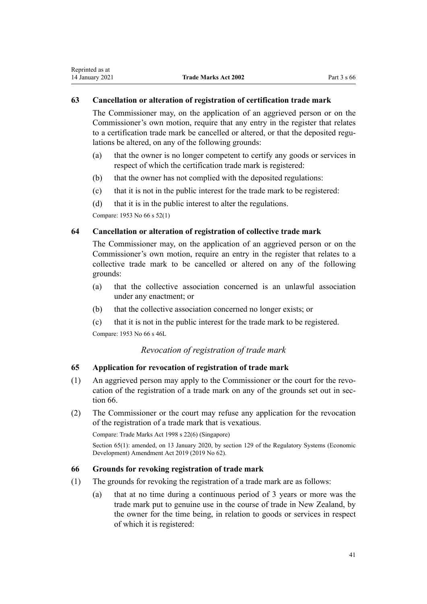## <span id="page-40-0"></span>**63 Cancellation or alteration of registration of certification trade mark**

The Commissioner may, on the application of an aggrieved person or on the Commissioner's own motion, require that any entry in the register that relates to a certification trade mark be cancelled or altered, or that the deposited regulations be altered, on any of the following grounds:

- (a) that the owner is no longer competent to certify any goods or services in respect of which the certification trade mark is registered:
- (b) that the owner has not complied with the deposited regulations:
- (c) that it is not in the public interest for the trade mark to be registered:
- (d) that it is in the public interest to alter the regulations.

Compare: 1953 No 66 s 52(1)

## **64 Cancellation or alteration of registration of collective trade mark**

The Commissioner may, on the application of an aggrieved person or on the Commissioner's own motion, require an entry in the register that relates to a collective trade mark to be cancelled or altered on any of the following grounds:

- (a) that the collective association concerned is an unlawful association under any enactment; or
- (b) that the collective association concerned no longer exists; or
- (c) that it is not in the public interest for the trade mark to be registered.

Compare: 1953 No 66 s 46L

## *Revocation of registration of trade mark*

## **65 Application for revocation of registration of trade mark**

- (1) An aggrieved person may apply to the Commissioner or the court for the revocation of the registration of a trade mark on any of the grounds set out in section 66.
- (2) The Commissioner or the court may refuse any application for the revocation of the registration of a trade mark that is vexatious.

Compare: Trade Marks Act 1998 s 22(6) (Singapore)

Section 65(1): amended, on 13 January 2020, by [section 129](http://legislation.govt.nz/pdflink.aspx?id=LMS85761) of the Regulatory Systems (Economic Development) Amendment Act 2019 (2019 No 62).

### **66 Grounds for revoking registration of trade mark**

- (1) The grounds for revoking the registration of a trade mark are as follows:
	- (a) that at no time during a continuous period of 3 years or more was the trade mark put to genuine use in the course of trade in New Zealand, by the owner for the time being, in relation to goods or services in respect of which it is registered: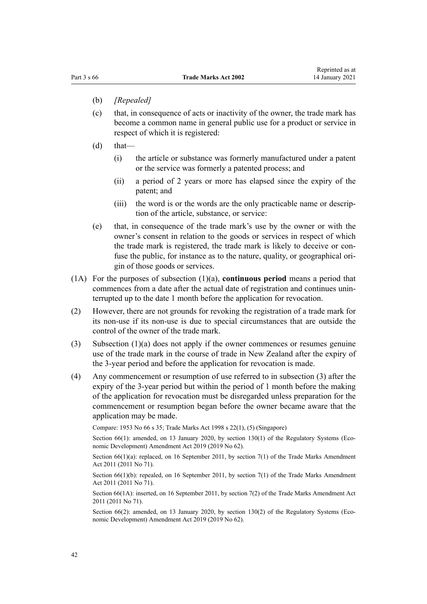- (b) *[Repealed]*
- (c) that, in consequence of acts or inactivity of the owner, the trade mark has become a common name in general public use for a product or service in respect of which it is registered:
- $(d)$  that—
	- (i) the article or substance was formerly manufactured under a patent or the service was formerly a patented process; and
	- (ii) a period of 2 years or more has elapsed since the expiry of the patent; and
	- (iii) the word is or the words are the only practicable name or description of the article, substance, or service:
- (e) that, in consequence of the trade mark's use by the owner or with the owner's consent in relation to the goods or services in respect of which the trade mark is registered, the trade mark is likely to deceive or confuse the public, for instance as to the nature, quality, or geographical origin of those goods or services.
- (1A) For the purposes of subsection (1)(a), **continuous period** means a period that commences from a date after the actual date of registration and continues uninterrupted up to the date 1 month before the application for revocation.
- (2) However, there are not grounds for revoking the registration of a trade mark for its non-use if its non-use is due to special circumstances that are outside the control of the owner of the trade mark.
- (3) Subsection (1)(a) does not apply if the owner commences or resumes genuine use of the trade mark in the course of trade in New Zealand after the expiry of the 3-year period and before the application for revocation is made.
- (4) Any commencement or resumption of use referred to in subsection (3) after the expiry of the 3-year period but within the period of 1 month before the making of the application for revocation must be disregarded unless preparation for the commencement or resumption began before the owner became aware that the application may be made.

Compare: 1953 No 66 s 35; Trade Marks Act 1998 s 22(1), (5) (Singapore)

Section 66(1): amended, on 13 January 2020, by [section 130\(1\)](http://legislation.govt.nz/pdflink.aspx?id=LMS85762) of the Regulatory Systems (Economic Development) Amendment Act 2019 (2019 No 62).

Section 66(1)(a): replaced, on 16 September 2011, by [section 7\(1\)](http://legislation.govt.nz/pdflink.aspx?id=DLM2290040) of the Trade Marks Amendment Act 2011 (2011 No 71).

Section  $66(1)(b)$ : repealed, on 16 September 2011, by [section 7\(1\)](http://legislation.govt.nz/pdflink.aspx?id=DLM2290040) of the Trade Marks Amendment Act 2011 (2011 No 71).

Section 66(1A): inserted, on 16 September 2011, by [section 7\(2\)](http://legislation.govt.nz/pdflink.aspx?id=DLM2290040) of the Trade Marks Amendment Act 2011 (2011 No 71).

Section 66(2): amended, on 13 January 2020, by [section 130\(2\)](http://legislation.govt.nz/pdflink.aspx?id=LMS85762) of the Regulatory Systems (Economic Development) Amendment Act 2019 (2019 No 62).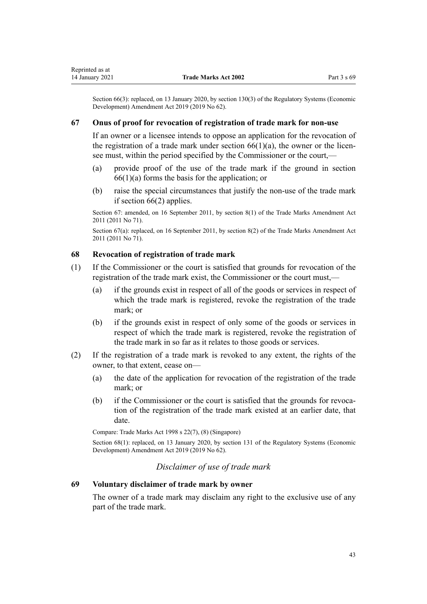Section 66(3): replaced, on 13 January 2020, by [section 130\(3\)](http://legislation.govt.nz/pdflink.aspx?id=LMS85762) of the Regulatory Systems (Economic Development) Amendment Act 2019 (2019 No 62).

#### **67 Onus of proof for revocation of registration of trade mark for non-use**

If an owner or a licensee intends to oppose an application for the revocation of the registration of a trade mark under section  $66(1)(a)$ , the owner or the licensee must, within the period specified by the Commissioner or the court,—

- (a) provide proof of the use of the trade mark if the ground in [section](#page-40-0)  $66(1)(a)$  forms the basis for the application; or
- (b) raise the special circumstances that justify the non-use of the trade mark if [section 66\(2\)](#page-40-0) applies.

Section 67: amended, on 16 September 2011, by [section 8\(1\)](http://legislation.govt.nz/pdflink.aspx?id=DLM2290042) of the Trade Marks Amendment Act 2011 (2011 No 71).

Section 67(a): replaced, on 16 September 2011, by [section 8\(2\)](http://legislation.govt.nz/pdflink.aspx?id=DLM2290042) of the Trade Marks Amendment Act 2011 (2011 No 71).

## **68 Revocation of registration of trade mark**

- (1) If the Commissioner or the court is satisfied that grounds for revocation of the registration of the trade mark exist, the Commissioner or the court must,—
	- (a) if the grounds exist in respect of all of the goods or services in respect of which the trade mark is registered, revoke the registration of the trade mark; or
	- (b) if the grounds exist in respect of only some of the goods or services in respect of which the trade mark is registered, revoke the registration of the trade mark in so far as it relates to those goods or services.
- (2) If the registration of a trade mark is revoked to any extent, the rights of the owner, to that extent, cease on—
	- (a) the date of the application for revocation of the registration of the trade mark; or
	- (b) if the Commissioner or the court is satisfied that the grounds for revocation of the registration of the trade mark existed at an earlier date, that date.

Compare: Trade Marks Act 1998 s 22(7), (8) (Singapore)

Section 68(1): replaced, on 13 January 2020, by [section 131](http://legislation.govt.nz/pdflink.aspx?id=LMS85763) of the Regulatory Systems (Economic Development) Amendment Act 2019 (2019 No 62).

## *Disclaimer of use of trade mark*

## **69 Voluntary disclaimer of trade mark by owner**

The owner of a trade mark may disclaim any right to the exclusive use of any part of the trade mark.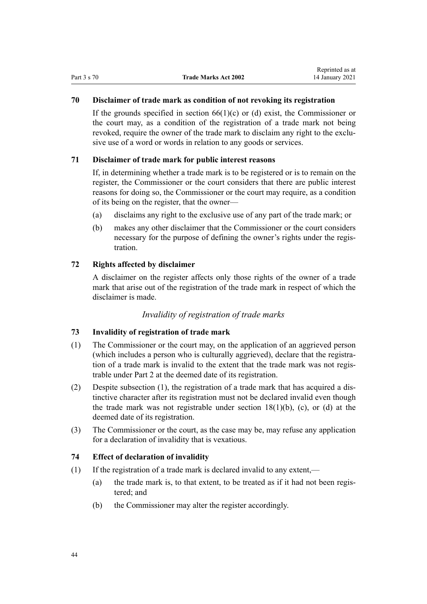# **70 Disclaimer of trade mark as condition of not revoking its registration**

If the grounds specified in section  $66(1)(c)$  or (d) exist, the Commissioner or the court may, as a condition of the registration of a trade mark not being revoked, require the owner of the trade mark to disclaim any right to the exclusive use of a word or words in relation to any goods or services.

## **71 Disclaimer of trade mark for public interest reasons**

If, in determining whether a trade mark is to be registered or is to remain on the register, the Commissioner or the court considers that there are public interest reasons for doing so, the Commissioner or the court may require, as a condition of its being on the register, that the owner—

- (a) disclaims any right to the exclusive use of any part of the trade mark; or
- (b) makes any other disclaimer that the Commissioner or the court considers necessary for the purpose of defining the owner's rights under the registration.

### **72 Rights affected by disclaimer**

A disclaimer on the register affects only those rights of the owner of a trade mark that arise out of the registration of the trade mark in respect of which the disclaimer is made.

## *Invalidity of registration of trade marks*

### **73 Invalidity of registration of trade mark**

- (1) The Commissioner or the court may, on the application of an aggrieved person (which includes a person who is culturally aggrieved), declare that the registration of a trade mark is invalid to the extent that the trade mark was not registrable under [Part 2](#page-21-0) at the deemed date of its registration.
- (2) Despite subsection (1), the registration of a trade mark that has acquired a distinctive character after its registration must not be declared invalid even though the trade mark was not registrable under section  $18(1)(b)$ , (c), or (d) at the deemed date of its registration.
- (3) The Commissioner or the court, as the case may be, may refuse any application for a declaration of invalidity that is vexatious.

## **74 Effect of declaration of invalidity**

- (1) If the registration of a trade mark is declared invalid to any extent,—
	- (a) the trade mark is, to that extent, to be treated as if it had not been registered; and
	- (b) the Commissioner may alter the register accordingly.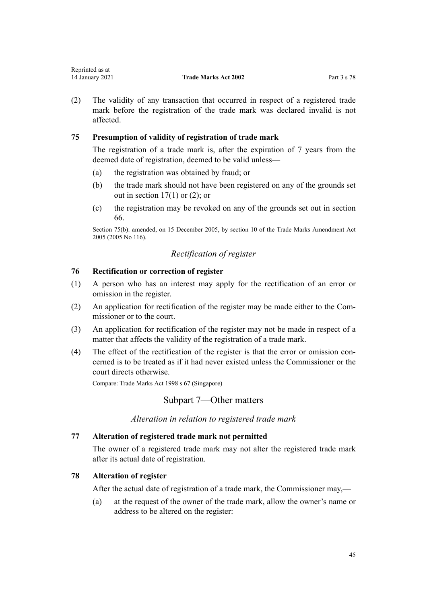| Reprinted as at |                             |             |
|-----------------|-----------------------------|-------------|
| 14 January 2021 | <b>Trade Marks Act 2002</b> | Part 3 s 78 |

(2) The validity of any transaction that occurred in respect of a registered trade mark before the registration of the trade mark was declared invalid is not affected.

## **75 Presumption of validity of registration of trade mark**

The registration of a trade mark is, after the expiration of 7 years from the deemed date of registration, deemed to be valid unless—

- (a) the registration was obtained by fraud; or
- (b) the trade mark should not have been registered on any of the grounds set out in section  $17(1)$  or  $(2)$ ; or
- (c) the registration may be revoked on any of the grounds set out in [section](#page-40-0) [66.](#page-40-0)

Section 75(b): amended, on 15 December 2005, by [section 10](http://legislation.govt.nz/pdflink.aspx?id=DLM362644) of the Trade Marks Amendment Act 2005 (2005 No 116).

## *Rectification of register*

## **76 Rectification or correction of register**

Representative as a set of the set of the set of the set of the set of the set of the set of the set of the set of the set of the set of the set of the set of the set of the set of the set of the set of the set of the set

- (1) A person who has an interest may apply for the rectification of an error or omission in the register.
- (2) An application for rectification of the register may be made either to the Commissioner or to the court.
- (3) An application for rectification of the register may not be made in respect of a matter that affects the validity of the registration of a trade mark.
- (4) The effect of the rectification of the register is that the error or omission concerned is to be treated as if it had never existed unless the Commissioner or the court directs otherwise.

Compare: Trade Marks Act 1998 s 67 (Singapore)

## Subpart 7—Other matters

*Alteration in relation to registered trade mark*

### **77 Alteration of registered trade mark not permitted**

The owner of a registered trade mark may not alter the registered trade mark after its actual date of registration.

### **78 Alteration of register**

After the actual date of registration of a trade mark, the Commissioner may,—

(a) at the request of the owner of the trade mark, allow the owner's name or address to be altered on the register: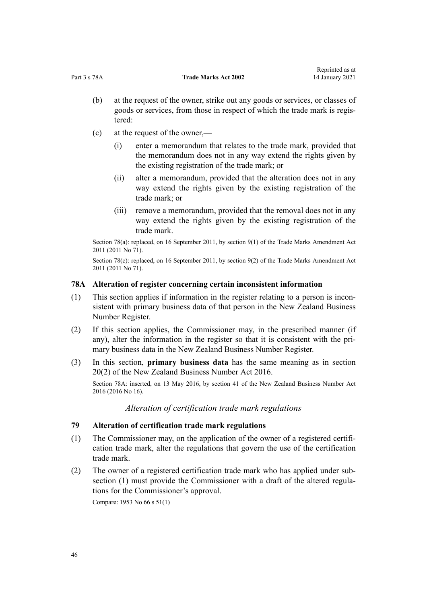- (b) at the request of the owner, strike out any goods or services, or classes of goods or services, from those in respect of which the trade mark is registered:
- (c) at the request of the owner,—
	- (i) enter a memorandum that relates to the trade mark, provided that the memorandum does not in any way extend the rights given by the existing registration of the trade mark; or
	- (ii) alter a memorandum, provided that the alteration does not in any way extend the rights given by the existing registration of the trade mark; or
	- (iii) remove a memorandum, provided that the removal does not in any way extend the rights given by the existing registration of the trade mark.

Section 78(a): replaced, on 16 September 2011, by [section 9\(1\)](http://legislation.govt.nz/pdflink.aspx?id=DLM2290043) of the Trade Marks Amendment Act 2011 (2011 No 71).

Section 78(c): replaced, on 16 September 2011, by [section 9\(2\)](http://legislation.govt.nz/pdflink.aspx?id=DLM2290043) of the Trade Marks Amendment Act 2011 (2011 No 71).

#### **78A Alteration of register concerning certain inconsistent information**

- (1) This section applies if information in the register relating to a person is inconsistent with primary business data of that person in the New Zealand Business Number Register.
- (2) If this section applies, the Commissioner may, in the prescribed manner (if any), alter the information in the register so that it is consistent with the primary business data in the New Zealand Business Number Register.
- (3) In this section, **primary business data** has the same meaning as in [section](http://legislation.govt.nz/pdflink.aspx?id=DLM6431573) [20\(2\)](http://legislation.govt.nz/pdflink.aspx?id=DLM6431573) of the New Zealand Business Number Act 2016.

Section 78A: inserted, on 13 May 2016, by [section 41](http://legislation.govt.nz/pdflink.aspx?id=DLM6431601) of the New Zealand Business Number Act 2016 (2016 No 16).

*Alteration of certification trade mark regulations*

## **79 Alteration of certification trade mark regulations**

- (1) The Commissioner may, on the application of the owner of a registered certification trade mark, alter the regulations that govern the use of the certification trade mark.
- (2) The owner of a registered certification trade mark who has applied under subsection (1) must provide the Commissioner with a draft of the altered regulations for the Commissioner's approval.

Compare: 1953 No 66 s 51(1)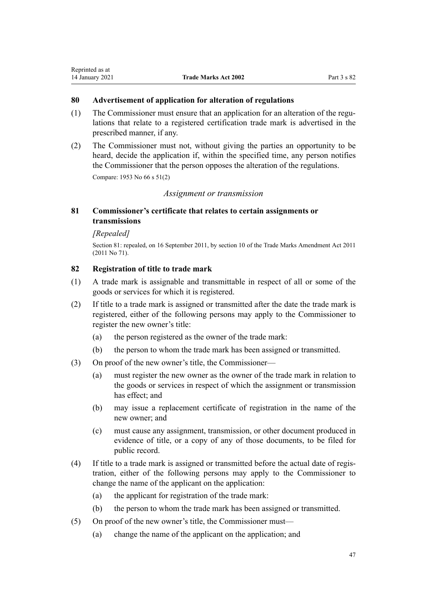### **80 Advertisement of application for alteration of regulations**

- (1) The Commissioner must ensure that an application for an alteration of the regulations that relate to a registered certification trade mark is advertised in the prescribed manner, if any.
- (2) The Commissioner must not, without giving the parties an opportunity to be heard, decide the application if, within the specified time, any person notifies the Commissioner that the person opposes the alteration of the regulations.

Compare: 1953 No 66 s 51(2)

## *Assignment or transmission*

## **81 Commissioner's certificate that relates to certain assignments or transmissions**

## *[Repealed]*

Section 81: repealed, on 16 September 2011, by [section 10](http://legislation.govt.nz/pdflink.aspx?id=DLM2290044) of the Trade Marks Amendment Act 2011 (2011 No 71).

## **82 Registration of title to trade mark**

- (1) A trade mark is assignable and transmittable in respect of all or some of the goods or services for which it is registered.
- (2) If title to a trade mark is assigned or transmitted after the date the trade mark is registered, either of the following persons may apply to the Commissioner to register the new owner's title:
	- (a) the person registered as the owner of the trade mark:
	- (b) the person to whom the trade mark has been assigned or transmitted.
- (3) On proof of the new owner's title, the Commissioner—
	- (a) must register the new owner as the owner of the trade mark in relation to the goods or services in respect of which the assignment or transmission has effect; and
	- (b) may issue a replacement certificate of registration in the name of the new owner; and
	- (c) must cause any assignment, transmission, or other document produced in evidence of title, or a copy of any of those documents, to be filed for public record.
- (4) If title to a trade mark is assigned or transmitted before the actual date of registration, either of the following persons may apply to the Commissioner to change the name of the applicant on the application:
	- (a) the applicant for registration of the trade mark:
	- (b) the person to whom the trade mark has been assigned or transmitted.
- (5) On proof of the new owner's title, the Commissioner must—
	- (a) change the name of the applicant on the application; and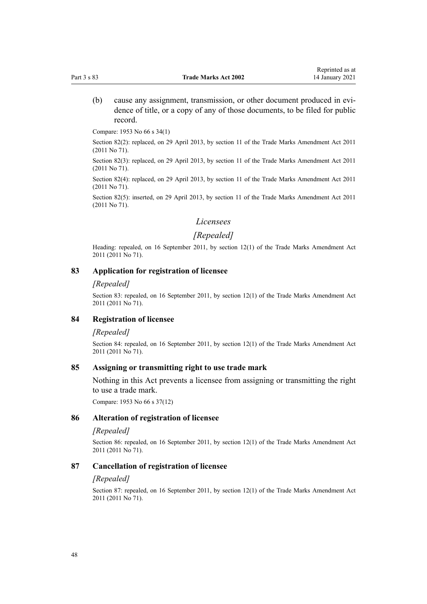(b) cause any assignment, transmission, or other document produced in evidence of title, or a copy of any of those documents, to be filed for public record.

Compare: 1953 No 66 s 34(1)

Section 82(2): replaced, on 29 April 2013, by [section 11](http://legislation.govt.nz/pdflink.aspx?id=DLM2290045) of the Trade Marks Amendment Act 2011 (2011 No 71).

Section 82(3): replaced, on 29 April 2013, by [section 11](http://legislation.govt.nz/pdflink.aspx?id=DLM2290045) of the Trade Marks Amendment Act 2011 (2011 No 71).

Section 82(4): replaced, on 29 April 2013, by [section 11](http://legislation.govt.nz/pdflink.aspx?id=DLM2290045) of the Trade Marks Amendment Act 2011 (2011 No 71).

Section 82(5): inserted, on 29 April 2013, by [section 11](http://legislation.govt.nz/pdflink.aspx?id=DLM2290045) of the Trade Marks Amendment Act 2011 (2011 No 71).

#### *Licensees*

## *[Repealed]*

Heading: repealed, on 16 September 2011, by [section 12\(1\)](http://legislation.govt.nz/pdflink.aspx?id=DLM2290046) of the Trade Marks Amendment Act 2011 (2011 No 71).

#### **83 Application for registration of licensee**

#### *[Repealed]*

Section 83: repealed, on 16 September 2011, by [section 12\(1\)](http://legislation.govt.nz/pdflink.aspx?id=DLM2290046) of the Trade Marks Amendment Act 2011 (2011 No 71).

#### **84 Registration of licensee**

#### *[Repealed]*

Section 84: repealed, on 16 September 2011, by [section 12\(1\)](http://legislation.govt.nz/pdflink.aspx?id=DLM2290046) of the Trade Marks Amendment Act 2011 (2011 No 71).

#### **85 Assigning or transmitting right to use trade mark**

Nothing in this Act prevents a licensee from assigning or transmitting the right to use a trade mark.

Compare: 1953 No 66 s 37(12)

#### **86 Alteration of registration of licensee**

#### *[Repealed]*

Section 86: repealed, on 16 September 2011, by [section 12\(1\)](http://legislation.govt.nz/pdflink.aspx?id=DLM2290046) of the Trade Marks Amendment Act 2011 (2011 No 71).

#### **87 Cancellation of registration of licensee**

#### *[Repealed]*

Section 87: repealed, on 16 September 2011, by [section 12\(1\)](http://legislation.govt.nz/pdflink.aspx?id=DLM2290046) of the Trade Marks Amendment Act 2011 (2011 No 71).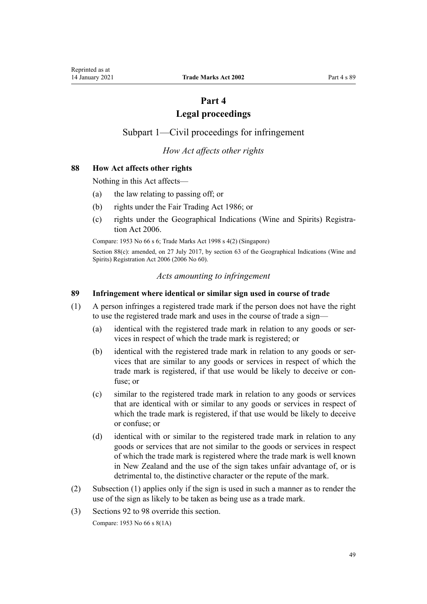# **Part 4**

# **Legal proceedings**

# <span id="page-48-0"></span>Subpart 1—Civil proceedings for infringement

## *How Act affects other rights*

## **88 How Act affects other rights**

Nothing in this Act affects—

- (a) the law relating to passing off; or
- (b) rights under the [Fair Trading Act 1986](http://legislation.govt.nz/pdflink.aspx?id=DLM96438); or
- (c) rights under the [Geographical Indications \(Wine and Spirits\) Registra](http://legislation.govt.nz/pdflink.aspx?id=DLM390755)[tion Act 2006](http://legislation.govt.nz/pdflink.aspx?id=DLM390755).

Compare: 1953 No 66 s 6; Trade Marks Act 1998 s 4(2) (Singapore)

Section 88(c): amended, on 27 July 2017, by [section 63](http://legislation.govt.nz/pdflink.aspx?id=DLM390893) of the Geographical Indications (Wine and Spirits) Registration Act 2006 (2006 No 60).

#### *Acts amounting to infringement*

#### **89 Infringement where identical or similar sign used in course of trade**

- (1) A person infringes a registered trade mark if the person does not have the right to use the registered trade mark and uses in the course of trade a sign—
	- (a) identical with the registered trade mark in relation to any goods or services in respect of which the trade mark is registered; or
	- (b) identical with the registered trade mark in relation to any goods or services that are similar to any goods or services in respect of which the trade mark is registered, if that use would be likely to deceive or confuse; or
	- (c) similar to the registered trade mark in relation to any goods or services that are identical with or similar to any goods or services in respect of which the trade mark is registered, if that use would be likely to deceive or confuse; or
	- (d) identical with or similar to the registered trade mark in relation to any goods or services that are not similar to the goods or services in respect of which the trade mark is registered where the trade mark is well known in New Zealand and the use of the sign takes unfair advantage of, or is detrimental to, the distinctive character or the repute of the mark.
- (2) Subsection (1) applies only if the sign is used in such a manner as to render the use of the sign as likely to be taken as being use as a trade mark.
- (3) [Sections 92 to 98](#page-50-0) override this section.

Compare: 1953 No 66 s 8(1A)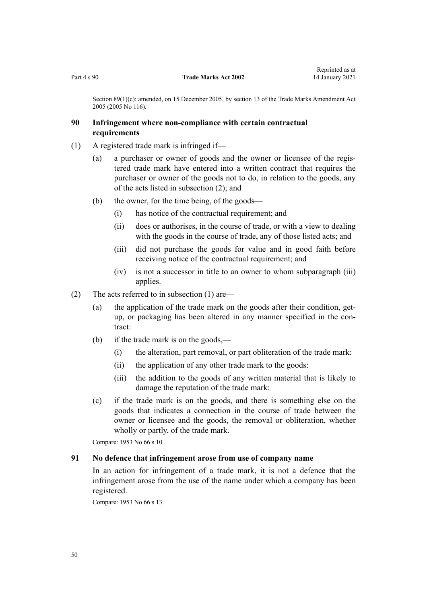Section 89(1)(c): amended, on 15 December 2005, by [section 13](http://legislation.govt.nz/pdflink.aspx?id=DLM362647) of the Trade Marks Amendment Act 2005 (2005 No 116).

## **90 Infringement where non-compliance with certain contractual requirements**

- (1) A registered trade mark is infringed if—
	- (a) a purchaser or owner of goods and the owner or licensee of the registered trade mark have entered into a written contract that requires the purchaser or owner of the goods not to do, in relation to the goods, any of the acts listed in subsection (2); and
	- (b) the owner, for the time being, of the goods—
		- (i) has notice of the contractual requirement; and
		- (ii) does or authorises, in the course of trade, or with a view to dealing with the goods in the course of trade, any of those listed acts; and
		- (iii) did not purchase the goods for value and in good faith before receiving notice of the contractual requirement; and
		- (iv) is not a successor in title to an owner to whom subparagraph (iii) applies.
- (2) The acts referred to in subsection (1) are—
	- (a) the application of the trade mark on the goods after their condition, getup, or packaging has been altered in any manner specified in the contract:
	- (b) if the trade mark is on the goods,—
		- (i) the alteration, part removal, or part obliteration of the trade mark:
		- (ii) the application of any other trade mark to the goods:
		- (iii) the addition to the goods of any written material that is likely to damage the reputation of the trade mark:
	- (c) if the trade mark is on the goods, and there is something else on the goods that indicates a connection in the course of trade between the owner or licensee and the goods, the removal or obliteration, whether wholly or partly, of the trade mark.

Compare: 1953 No 66 s 10

### **91 No defence that infringement arose from use of company name**

In an action for infringement of a trade mark, it is not a defence that the infringement arose from the use of the name under which a company has been registered.

Compare: 1953 No 66 s 13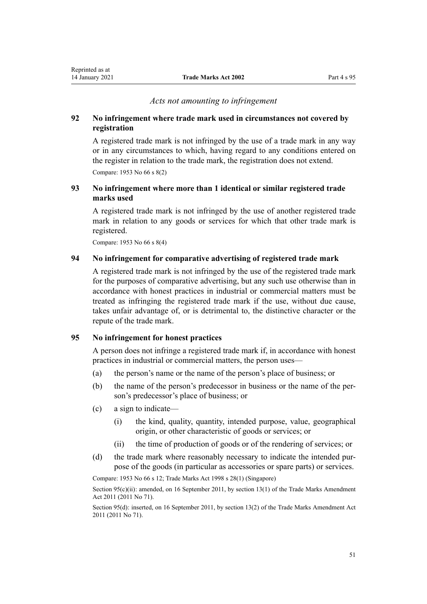#### *Acts not amounting to infringement*

## <span id="page-50-0"></span>**92 No infringement where trade mark used in circumstances not covered by registration**

A registered trade mark is not infringed by the use of a trade mark in any way or in any circumstances to which, having regard to any conditions entered on the register in relation to the trade mark, the registration does not extend. Compare: 1953 No 66 s 8(2)

## **93 No infringement where more than 1 identical or similar registered trade marks used**

A registered trade mark is not infringed by the use of another registered trade mark in relation to any goods or services for which that other trade mark is registered.

Compare: 1953 No 66 s 8(4)

### **94 No infringement for comparative advertising of registered trade mark**

A registered trade mark is not infringed by the use of the registered trade mark for the purposes of comparative advertising, but any such use otherwise than in accordance with honest practices in industrial or commercial matters must be treated as infringing the registered trade mark if the use, without due cause, takes unfair advantage of, or is detrimental to, the distinctive character or the repute of the trade mark.

## **95 No infringement for honest practices**

A person does not infringe a registered trade mark if, in accordance with honest practices in industrial or commercial matters, the person uses—

- (a) the person's name or the name of the person's place of business; or
- (b) the name of the person's predecessor in business or the name of the person's predecessor's place of business; or
- (c) a sign to indicate—
	- (i) the kind, quality, quantity, intended purpose, value, geographical origin, or other characteristic of goods or services; or
	- (ii) the time of production of goods or of the rendering of services; or
- (d) the trade mark where reasonably necessary to indicate the intended purpose of the goods (in particular as accessories or spare parts) or services.

Compare: 1953 No 66 s 12; Trade Marks Act 1998 s 28(1) (Singapore)

Section 95(c)(ii): amended, on 16 September 2011, by [section 13\(1\)](http://legislation.govt.nz/pdflink.aspx?id=DLM2290047) of the Trade Marks Amendment Act 2011 (2011 No 71).

Section 95(d): inserted, on 16 September 2011, by [section 13\(2\)](http://legislation.govt.nz/pdflink.aspx?id=DLM2290047) of the Trade Marks Amendment Act 2011 (2011 No 71).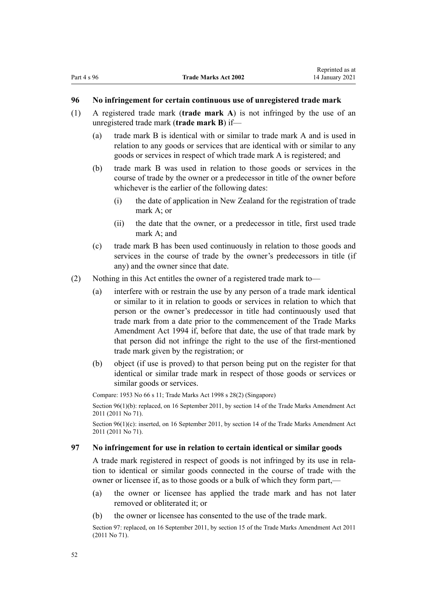#### <span id="page-51-0"></span>**96 No infringement for certain continuous use of unregistered trade mark**

- (1) A registered trade mark (**trade mark A**) is not infringed by the use of an unregistered trade mark (**trade mark B**) if—
	- (a) trade mark B is identical with or similar to trade mark A and is used in relation to any goods or services that are identical with or similar to any goods or services in respect of which trade mark A is registered; and
	- (b) trade mark B was used in relation to those goods or services in the course of trade by the owner or a predecessor in title of the owner before whichever is the earlier of the following dates:
		- (i) the date of application in New Zealand for the registration of trade mark A; or
		- (ii) the date that the owner, or a predecessor in title, first used trade mark A; and
	- (c) trade mark B has been used continuously in relation to those goods and services in the course of trade by the owner's predecessors in title (if any) and the owner since that date.
- (2) Nothing in this Act entitles the owner of a registered trade mark to—
	- (a) interfere with or restrain the use by any person of a trade mark identical or similar to it in relation to goods or services in relation to which that person or the owner's predecessor in title had continuously used that trade mark from a date prior to the commencement of the Trade Marks Amendment Act 1994 if, before that date, the use of that trade mark by that person did not infringe the right to the use of the first-mentioned trade mark given by the registration; or
	- (b) object (if use is proved) to that person being put on the register for that identical or similar trade mark in respect of those goods or services or similar goods or services.

Compare: 1953 No 66 s 11; Trade Marks Act 1998 s 28(2) (Singapore) Section 96(1)(b): replaced, on 16 September 2011, by [section 14](http://legislation.govt.nz/pdflink.aspx?id=DLM2353604) of the Trade Marks Amendment Act 2011 (2011 No 71).

Section 96(1)(c): inserted, on 16 September 2011, by [section 14](http://legislation.govt.nz/pdflink.aspx?id=DLM2353604) of the Trade Marks Amendment Act 2011 (2011 No 71).

#### **97 No infringement for use in relation to certain identical or similar goods**

A trade mark registered in respect of goods is not infringed by its use in relation to identical or similar goods connected in the course of trade with the owner or licensee if, as to those goods or a bulk of which they form part,—

- (a) the owner or licensee has applied the trade mark and has not later removed or obliterated it; or
- (b) the owner or licensee has consented to the use of the trade mark.

Section 97: replaced, on 16 September 2011, by [section 15](http://legislation.govt.nz/pdflink.aspx?id=DLM2290048) of the Trade Marks Amendment Act 2011 (2011 No 71).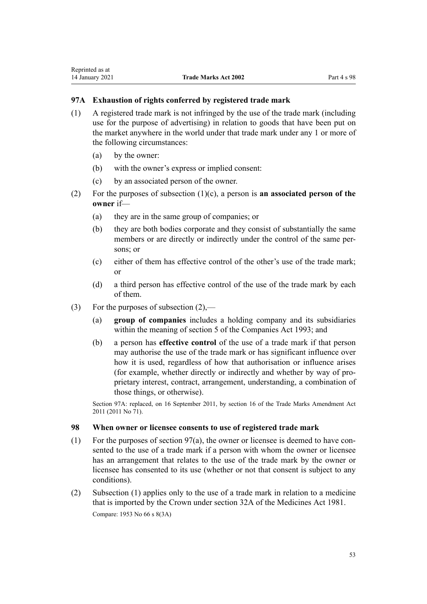## **97A Exhaustion of rights conferred by registered trade mark**

- (1) A registered trade mark is not infringed by the use of the trade mark (including use for the purpose of advertising) in relation to goods that have been put on the market anywhere in the world under that trade mark under any 1 or more of the following circumstances:
	- (a) by the owner:
	- (b) with the owner's express or implied consent:
	- (c) by an associated person of the owner.
- (2) For the purposes of subsection (1)(c), a person is **an associated person of the owner** if—
	- (a) they are in the same group of companies; or
	- (b) they are both bodies corporate and they consist of substantially the same members or are directly or indirectly under the control of the same persons; or
	- (c) either of them has effective control of the other's use of the trade mark; or
	- (d) a third person has effective control of the use of the trade mark by each of them.
- (3) For the purposes of subsection  $(2)$ ,—
	- (a) **group of companies** includes a holding company and its subsidiaries within the meaning of [section 5](http://legislation.govt.nz/pdflink.aspx?id=DLM319999) of the Companies Act 1993; and
	- (b) a person has **effective control** of the use of a trade mark if that person may authorise the use of the trade mark or has significant influence over how it is used, regardless of how that authorisation or influence arises (for example, whether directly or indirectly and whether by way of proprietary interest, contract, arrangement, understanding, a combination of those things, or otherwise).

Section 97A: replaced, on 16 September 2011, by [section 16](http://legislation.govt.nz/pdflink.aspx?id=DLM2290050) of the Trade Marks Amendment Act 2011 (2011 No 71).

### **98 When owner or licensee consents to use of registered trade mark**

- (1) For the purposes of [section 97\(a\),](#page-51-0) the owner or licensee is deemed to have consented to the use of a trade mark if a person with whom the owner or licensee has an arrangement that relates to the use of the trade mark by the owner or licensee has consented to its use (whether or not that consent is subject to any conditions).
- (2) Subsection (1) applies only to the use of a trade mark in relation to a medicine that is imported by the Crown under [section 32A](http://legislation.govt.nz/pdflink.aspx?id=DLM55435) of the Medicines Act 1981. Compare: 1953 No 66 s 8(3A)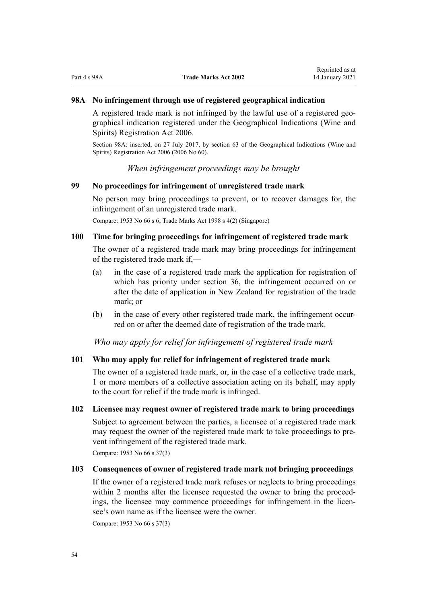## <span id="page-53-0"></span>**98A No infringement through use of registered geographical indication**

A registered trade mark is not infringed by the lawful use of a registered geographical indication registered under the [Geographical Indications \(Wine and](http://legislation.govt.nz/pdflink.aspx?id=DLM390755) [Spirits\) Registration Act 2006.](http://legislation.govt.nz/pdflink.aspx?id=DLM390755)

Section 98A: inserted, on 27 July 2017, by [section 63](http://legislation.govt.nz/pdflink.aspx?id=DLM390893) of the Geographical Indications (Wine and Spirits) Registration Act 2006 (2006 No 60).

*When infringement proceedings may be brought*

## **99 No proceedings for infringement of unregistered trade mark**

No person may bring proceedings to prevent, or to recover damages for, the infringement of an unregistered trade mark.

Compare: 1953 No 66 s 6; Trade Marks Act 1998 s 4(2) (Singapore)

## **100 Time for bringing proceedings for infringement of registered trade mark**

The owner of a registered trade mark may bring proceedings for infringement of the registered trade mark if,—

- (a) in the case of a registered trade mark the application for registration of which has priority under [section 36,](#page-32-0) the infringement occurred on or after the date of application in New Zealand for registration of the trade mark; or
- (b) in the case of every other registered trade mark, the infringement occurred on or after the deemed date of registration of the trade mark.

*Who may apply for relief for infringement of registered trade mark*

#### **101 Who may apply for relief for infringement of registered trade mark**

The owner of a registered trade mark, or, in the case of a collective trade mark, 1 or more members of a collective association acting on its behalf, may apply to the court for relief if the trade mark is infringed.

#### **102 Licensee may request owner of registered trade mark to bring proceedings**

Subject to agreement between the parties, a licensee of a registered trade mark may request the owner of the registered trade mark to take proceedings to prevent infringement of the registered trade mark.

Compare: 1953 No 66 s 37(3)

## **103 Consequences of owner of registered trade mark not bringing proceedings**

If the owner of a registered trade mark refuses or neglects to bring proceedings within 2 months after the licensee requested the owner to bring the proceedings, the licensee may commence proceedings for infringement in the licensee's own name as if the licensee were the owner.

Compare: 1953 No 66 s 37(3)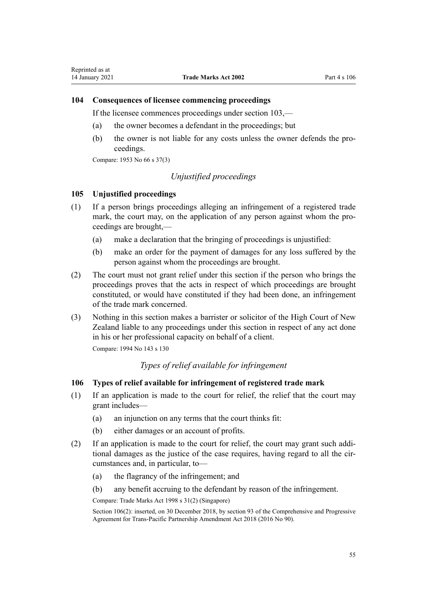## **104 Consequences of licensee commencing proceedings**

If the licensee commences proceedings under [section 103,](#page-53-0)—

- (a) the owner becomes a defendant in the proceedings; but
- (b) the owner is not liable for any costs unless the owner defends the proceedings.

Compare: 1953 No 66 s 37(3)

## *Unjustified proceedings*

### **105 Unjustified proceedings**

- (1) If a person brings proceedings alleging an infringement of a registered trade mark, the court may, on the application of any person against whom the proceedings are brought,—
	- (a) make a declaration that the bringing of proceedings is unjustified:
	- (b) make an order for the payment of damages for any loss suffered by the person against whom the proceedings are brought.
- (2) The court must not grant relief under this section if the person who brings the proceedings proves that the acts in respect of which proceedings are brought constituted, or would have constituted if they had been done, an infringement of the trade mark concerned.
- (3) Nothing in this section makes a barrister or solicitor of the High Court of New Zealand liable to any proceedings under this section in respect of any act done in his or her professional capacity on behalf of a client.

Compare: 1994 No 143 [s 130](http://legislation.govt.nz/pdflink.aspx?id=DLM346600)

## *Types of relief available for infringement*

## **106 Types of relief available for infringement of registered trade mark**

- (1) If an application is made to the court for relief, the relief that the court may grant includes—
	- (a) an injunction on any terms that the court thinks fit:
	- (b) either damages or an account of profits.
- (2) If an application is made to the court for relief, the court may grant such additional damages as the justice of the case requires, having regard to all the circumstances and, in particular, to—
	- (a) the flagrancy of the infringement; and
	- (b) any benefit accruing to the defendant by reason of the infringement.

Compare: Trade Marks Act 1998 s 31(2) (Singapore)

Section 106(2): inserted, on 30 December 2018, by [section 93](http://legislation.govt.nz/pdflink.aspx?id=DLM6838428) of the Comprehensive and Progressive Agreement for Trans-Pacific Partnership Amendment Act 2018 (2016 No 90).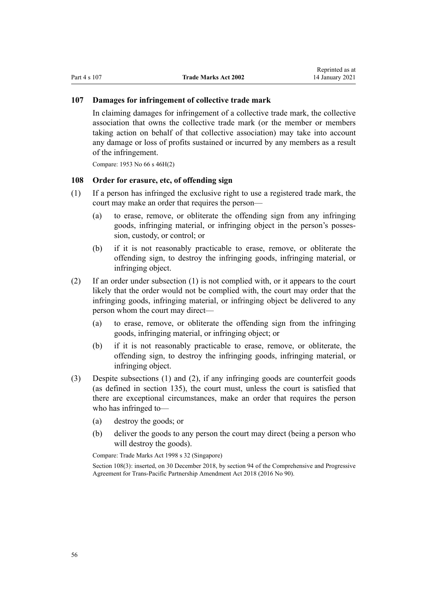#### **107 Damages for infringement of collective trade mark**

In claiming damages for infringement of a collective trade mark, the collective association that owns the collective trade mark (or the member or members taking action on behalf of that collective association) may take into account any damage or loss of profits sustained or incurred by any members as a result of the infringement.

Compare: 1953 No 66 s 46H(2)

## **108 Order for erasure, etc, of offending sign**

- (1) If a person has infringed the exclusive right to use a registered trade mark, the court may make an order that requires the person—
	- (a) to erase, remove, or obliterate the offending sign from any infringing goods, infringing material, or infringing object in the person's possession, custody, or control; or
	- (b) if it is not reasonably practicable to erase, remove, or obliterate the offending sign, to destroy the infringing goods, infringing material, or infringing object.
- (2) If an order under subsection (1) is not complied with, or it appears to the court likely that the order would not be complied with, the court may order that the infringing goods, infringing material, or infringing object be delivered to any person whom the court may direct—
	- (a) to erase, remove, or obliterate the offending sign from the infringing goods, infringing material, or infringing object; or
	- (b) if it is not reasonably practicable to erase, remove, or obliterate, the offending sign, to destroy the infringing goods, infringing material, or infringing object.
- (3) Despite subsections (1) and (2), if any infringing goods are counterfeit goods (as defined in [section 135\)](#page-81-0), the court must, unless the court is satisfied that there are exceptional circumstances, make an order that requires the person who has infringed to—
	- (a) destroy the goods; or
	- (b) deliver the goods to any person the court may direct (being a person who will destroy the goods).

Compare: Trade Marks Act 1998 s 32 (Singapore)

Section 108(3): inserted, on 30 December 2018, by [section 94](http://legislation.govt.nz/pdflink.aspx?id=DLM6838429) of the Comprehensive and Progressive Agreement for Trans-Pacific Partnership Amendment Act 2018 (2016 No 90).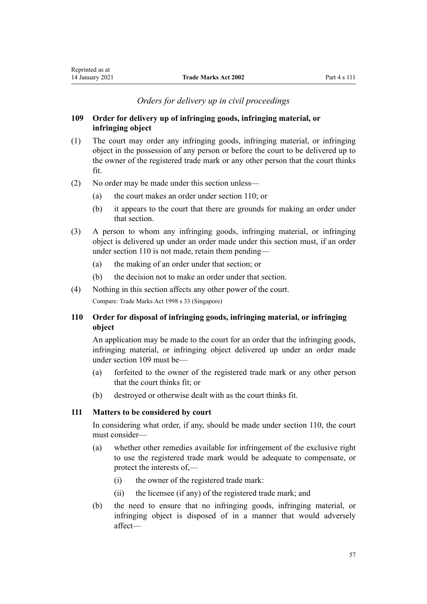## *Orders for delivery up in civil proceedings*

## <span id="page-56-0"></span>**109 Order for delivery up of infringing goods, infringing material, or infringing object**

- (1) The court may order any infringing goods, infringing material, or infringing object in the possession of any person or before the court to be delivered up to the owner of the registered trade mark or any other person that the court thinks fit.
- (2) No order may be made under this section unless—
	- (a) the court makes an order under section 110; or
	- (b) it appears to the court that there are grounds for making an order under that section.
- (3) A person to whom any infringing goods, infringing material, or infringing object is delivered up under an order made under this section must, if an order under section 110 is not made, retain them pending—
	- (a) the making of an order under that section; or
	- (b) the decision not to make an order under that section.
- (4) Nothing in this section affects any other power of the court. Compare: Trade Marks Act 1998 s 33 (Singapore)

## **110 Order for disposal of infringing goods, infringing material, or infringing object**

An application may be made to the court for an order that the infringing goods, infringing material, or infringing object delivered up under an order made under section 109 must be—

- (a) forfeited to the owner of the registered trade mark or any other person that the court thinks fit; or
- (b) destroyed or otherwise dealt with as the court thinks fit.

## **111 Matters to be considered by court**

In considering what order, if any, should be made under section 110, the court must consider—

- (a) whether other remedies available for infringement of the exclusive right to use the registered trade mark would be adequate to compensate, or protect the interests of,—
	- (i) the owner of the registered trade mark:
	- (ii) the licensee (if any) of the registered trade mark; and
- (b) the need to ensure that no infringing goods, infringing material, or infringing object is disposed of in a manner that would adversely affect—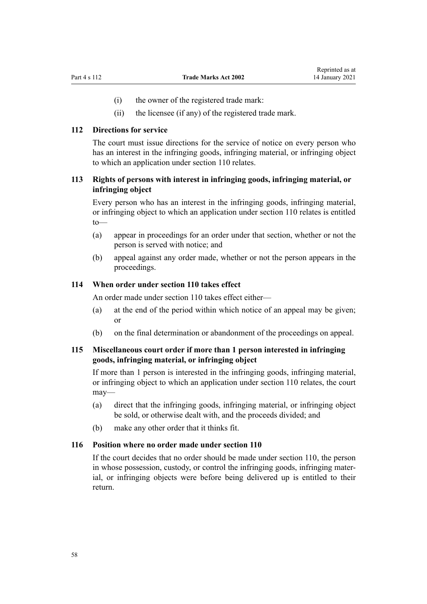- (i) the owner of the registered trade mark:
- (ii) the licensee (if any) of the registered trade mark.

#### **112 Directions for service**

The court must issue directions for the service of notice on every person who has an interest in the infringing goods, infringing material, or infringing object to which an application under [section 110](#page-56-0) relates.

## **113 Rights of persons with interest in infringing goods, infringing material, or infringing object**

Every person who has an interest in the infringing goods, infringing material, or infringing object to which an application under [section 110](#page-56-0) relates is entitled to—

- (a) appear in proceedings for an order under that section, whether or not the person is served with notice; and
- (b) appeal against any order made, whether or not the person appears in the proceedings.

## **114 When order under section 110 takes effect**

An order made under [section 110](#page-56-0) takes effect either—

- (a) at the end of the period within which notice of an appeal may be given; or
- (b) on the final determination or abandonment of the proceedings on appeal.

## **115 Miscellaneous court order if more than 1 person interested in infringing goods, infringing material, or infringing object**

If more than 1 person is interested in the infringing goods, infringing material, or infringing object to which an application under [section 110](#page-56-0) relates, the court may—

- (a) direct that the infringing goods, infringing material, or infringing object be sold, or otherwise dealt with, and the proceeds divided; and
- (b) make any other order that it thinks fit.

#### **116 Position where no order made under section 110**

If the court decides that no order should be made under [section 110](#page-56-0), the person in whose possession, custody, or control the infringing goods, infringing material, or infringing objects were before being delivered up is entitled to their return.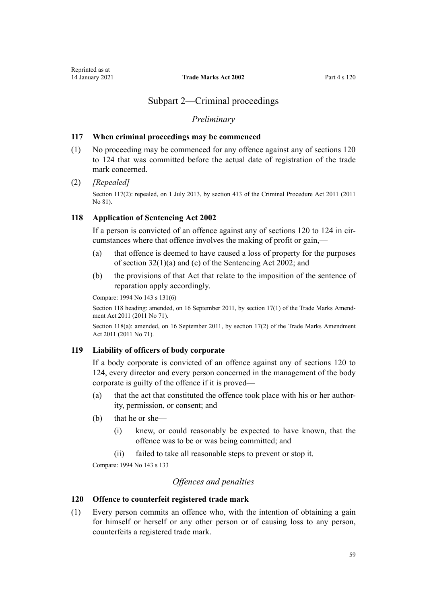## Subpart 2—Criminal proceedings

### *Preliminary*

#### <span id="page-58-0"></span>**117 When criminal proceedings may be commenced**

(1) No proceeding may be commenced for any offence against any of sections 120 to 124 that was committed before the actual date of registration of the trade mark concerned.

#### (2) *[Repealed]*

Section 117(2): repealed, on 1 July 2013, by [section 413](http://legislation.govt.nz/pdflink.aspx?id=DLM3360714) of the Criminal Procedure Act 2011 (2011) No 81).

## **118 Application of Sentencing Act 2002**

If a person is convicted of an offence against any of sections 120 to 124 in circumstances where that offence involves the making of profit or gain,—

- (a) that offence is deemed to have caused a loss of property for the purposes of [section 32\(1\)\(a\) and \(c\)](http://legislation.govt.nz/pdflink.aspx?id=DLM135596) of the Sentencing Act 2002; and
- (b) the provisions of that Act that relate to the imposition of the sentence of reparation apply accordingly.

Compare: 1994 No 143 [s 131\(6\)](http://legislation.govt.nz/pdflink.aspx?id=DLM346602)

Section 118 heading: amended, on 16 September 2011, by [section 17\(1\)](http://legislation.govt.nz/pdflink.aspx?id=DLM2290054) of the Trade Marks Amendment Act 2011 (2011 No 71).

Section 118(a): amended, on 16 September 2011, by [section 17\(2\)](http://legislation.govt.nz/pdflink.aspx?id=DLM2290054) of the Trade Marks Amendment Act 2011 (2011 No 71).

#### **119 Liability of officers of body corporate**

If a body corporate is convicted of an offence against any of sections 120 to 124, every director and every person concerned in the management of the body corporate is guilty of the offence if it is proved—

- (a) that the act that constituted the offence took place with his or her authority, permission, or consent; and
- (b) that he or she—
	- (i) knew, or could reasonably be expected to have known, that the offence was to be or was being committed; and
	- (ii) failed to take all reasonable steps to prevent or stop it.

Compare: 1994 No 143 [s 133](http://legislation.govt.nz/pdflink.aspx?id=DLM346611)

## *Offences and penalties*

## **120 Offence to counterfeit registered trade mark**

(1) Every person commits an offence who, with the intention of obtaining a gain for himself or herself or any other person or of causing loss to any person, counterfeits a registered trade mark.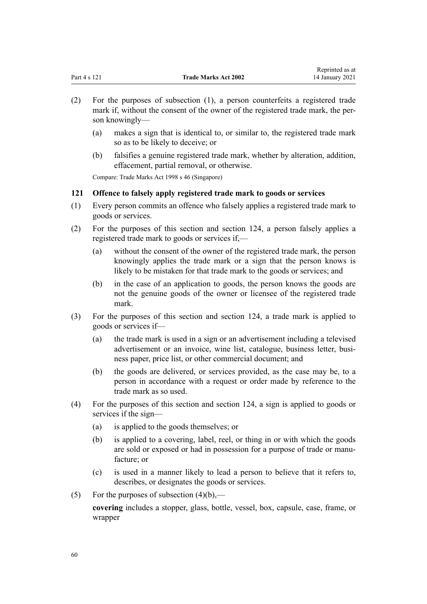<span id="page-59-0"></span>

|              |                             | <i>respective as at</i> |
|--------------|-----------------------------|-------------------------|
| Part 4 s 121 | <b>Trade Marks Act 2002</b> | 14 January 2021         |

Reprinted as at

- (2) For the purposes of subsection (1), a person counterfeits a registered trade mark if, without the consent of the owner of the registered trade mark, the person knowingly—
	- (a) makes a sign that is identical to, or similar to, the registered trade mark so as to be likely to deceive; or
	- (b) falsifies a genuine registered trade mark, whether by alteration, addition, effacement, partial removal, or otherwise.

Compare: Trade Marks Act 1998 s 46 (Singapore)

## **121 Offence to falsely apply registered trade mark to goods or services**

- (1) Every person commits an offence who falsely applies a registered trade mark to goods or services.
- (2) For the purposes of this section and [section 124,](#page-60-0) a person falsely applies a registered trade mark to goods or services if,—
	- (a) without the consent of the owner of the registered trade mark, the person knowingly applies the trade mark or a sign that the person knows is likely to be mistaken for that trade mark to the goods or services; and
	- (b) in the case of an application to goods, the person knows the goods are not the genuine goods of the owner or licensee of the registered trade mark.
- (3) For the purposes of this section and [section 124,](#page-60-0) a trade mark is applied to goods or services if—
	- (a) the trade mark is used in a sign or an advertisement including a televised advertisement or an invoice, wine list, catalogue, business letter, business paper, price list, or other commercial document; and
	- (b) the goods are delivered, or services provided, as the case may be, to a person in accordance with a request or order made by reference to the trade mark as so used.
- (4) For the purposes of this section and [section 124](#page-60-0), a sign is applied to goods or services if the sign—
	- (a) is applied to the goods themselves; or
	- (b) is applied to a covering, label, reel, or thing in or with which the goods are sold or exposed or had in possession for a purpose of trade or manufacture; or
	- (c) is used in a manner likely to lead a person to believe that it refers to, describes, or designates the goods or services.
- (5) For the purposes of subsection  $(4)(b)$ ,—

**covering** includes a stopper, glass, bottle, vessel, box, capsule, case, frame, or wrapper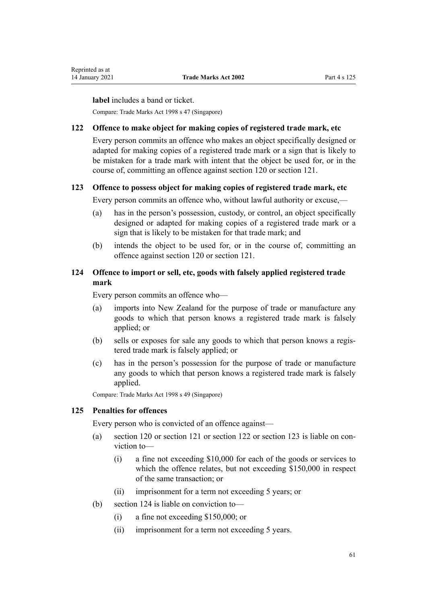<span id="page-60-0"></span>**label** includes a band or ticket.

Compare: Trade Marks Act 1998 s 47 (Singapore)

#### **122 Offence to make object for making copies of registered trade mark, etc**

Every person commits an offence who makes an object specifically designed or adapted for making copies of a registered trade mark or a sign that is likely to be mistaken for a trade mark with intent that the object be used for, or in the course of, committing an offence against [section 120](#page-58-0) or [section 121](#page-59-0).

## **123 Offence to possess object for making copies of registered trade mark, etc**

Every person commits an offence who, without lawful authority or excuse,—

- (a) has in the person's possession, custody, or control, an object specifically designed or adapted for making copies of a registered trade mark or a sign that is likely to be mistaken for that trade mark; and
- (b) intends the object to be used for, or in the course of, committing an offence against [section 120](#page-58-0) or [section 121.](#page-59-0)

## **124 Offence to import or sell, etc, goods with falsely applied registered trade mark**

Every person commits an offence who—

- (a) imports into New Zealand for the purpose of trade or manufacture any goods to which that person knows a registered trade mark is falsely applied; or
- (b) sells or exposes for sale any goods to which that person knows a registered trade mark is falsely applied; or
- (c) has in the person's possession for the purpose of trade or manufacture any goods to which that person knows a registered trade mark is falsely applied.

Compare: Trade Marks Act 1998 s 49 (Singapore)

#### **125 Penalties for offences**

Every person who is convicted of an offence against—

- (a) [section 120](#page-58-0) or [section 121](#page-59-0) or section 122 or section 123 is liable on conviction to—
	- (i) a fine not exceeding \$10,000 for each of the goods or services to which the offence relates, but not exceeding \$150,000 in respect of the same transaction; or
	- (ii) imprisonment for a term not exceeding 5 years; or
- (b) section 124 is liable on conviction to—
	- (i) a fine not exceeding \$150,000; or
	- (ii) imprisonment for a term not exceeding 5 years.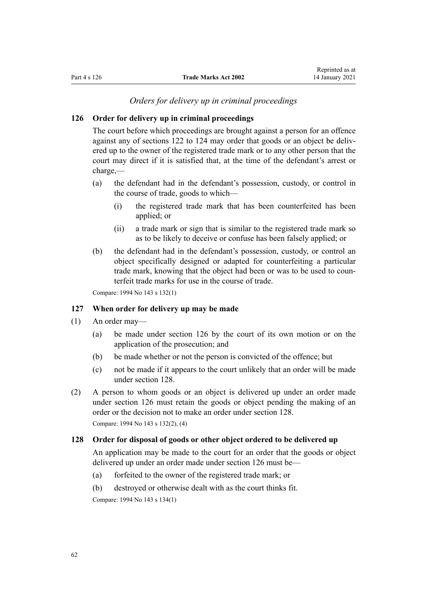## *Orders for delivery up in criminal proceedings*

#### <span id="page-61-0"></span>**126 Order for delivery up in criminal proceedings**

The court before which proceedings are brought against a person for an offence against any of [sections 122 to 124](#page-60-0) may order that goods or an object be delivered up to the owner of the registered trade mark or to any other person that the court may direct if it is satisfied that, at the time of the defendant's arrest or charge,—

- (a) the defendant had in the defendant's possession, custody, or control in the course of trade, goods to which—
	- (i) the registered trade mark that has been counterfeited has been applied; or
	- (ii) a trade mark or sign that is similar to the registered trade mark so as to be likely to deceive or confuse has been falsely applied; or
- (b) the defendant had in the defendant's possession, custody, or control an object specifically designed or adapted for counterfeiting a particular trade mark, knowing that the object had been or was to be used to counterfeit trade marks for use in the course of trade.

Compare: 1994 No 143 [s 132\(1\)](http://legislation.govt.nz/pdflink.aspx?id=DLM346610)

#### **127 When order for delivery up may be made**

- (1) An order may—
	- (a) be made under section 126 by the court of its own motion or on the application of the prosecution; and
	- (b) be made whether or not the person is convicted of the offence; but
	- (c) not be made if it appears to the court unlikely that an order will be made under section 128.
- (2) A person to whom goods or an object is delivered up under an order made under section 126 must retain the goods or object pending the making of an order or the decision not to make an order under section 128.

Compare: 1994 No 143 [s 132\(2\), \(4\)](http://legislation.govt.nz/pdflink.aspx?id=DLM346610)

## **128 Order for disposal of goods or other object ordered to be delivered up**

An application may be made to the court for an order that the goods or object delivered up under an order made under section 126 must be—

- (a) forfeited to the owner of the registered trade mark; or
- (b) destroyed or otherwise dealt with as the court thinks fit.

Compare: 1994 No 143 [s 134\(1\)](http://legislation.govt.nz/pdflink.aspx?id=DLM346615)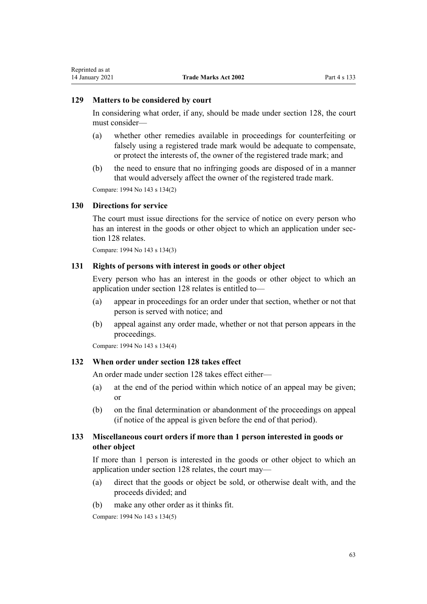#### **129 Matters to be considered by court**

In considering what order, if any, should be made under [section 128](#page-61-0), the court must consider—

- (a) whether other remedies available in proceedings for counterfeiting or falsely using a registered trade mark would be adequate to compensate, or protect the interests of, the owner of the registered trade mark; and
- (b) the need to ensure that no infringing goods are disposed of in a manner that would adversely affect the owner of the registered trade mark.

Compare: 1994 No 143 [s 134\(2\)](http://legislation.govt.nz/pdflink.aspx?id=DLM346615)

#### **130 Directions for service**

The court must issue directions for the service of notice on every person who has an interest in the goods or other object to which an application under [sec](#page-61-0)[tion 128](#page-61-0) relates.

Compare: 1994 No 143 [s 134\(3\)](http://legislation.govt.nz/pdflink.aspx?id=DLM346615)

## **131 Rights of persons with interest in goods or other object**

Every person who has an interest in the goods or other object to which an application under [section 128](#page-61-0) relates is entitled to—

- (a) appear in proceedings for an order under that section, whether or not that person is served with notice; and
- (b) appeal against any order made, whether or not that person appears in the proceedings.

Compare: 1994 No 143 [s 134\(4\)](http://legislation.govt.nz/pdflink.aspx?id=DLM346615)

#### **132 When order under section 128 takes effect**

An order made under [section 128](#page-61-0) takes effect either—

- (a) at the end of the period within which notice of an appeal may be given; or
- (b) on the final determination or abandonment of the proceedings on appeal (if notice of the appeal is given before the end of that period).

## **133 Miscellaneous court orders if more than 1 person interested in goods or other object**

If more than 1 person is interested in the goods or other object to which an application under [section 128](#page-61-0) relates, the court may—

- (a) direct that the goods or object be sold, or otherwise dealt with, and the proceeds divided; and
- (b) make any other order as it thinks fit.

Compare: 1994 No 143 [s 134\(5\)](http://legislation.govt.nz/pdflink.aspx?id=DLM346615)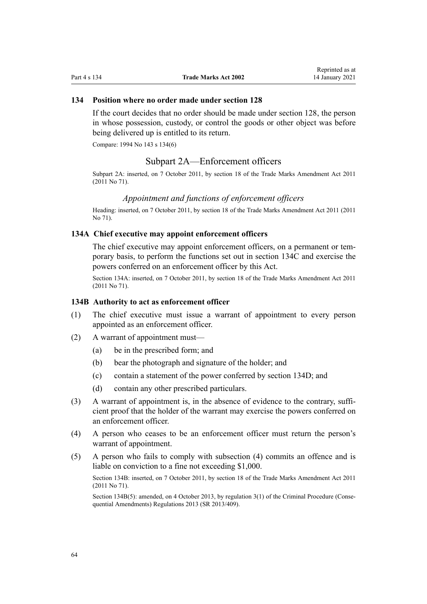## **134 Position where no order made under section 128**

If the court decides that no order should be made under [section 128](#page-61-0), the person in whose possession, custody, or control the goods or other object was before being delivered up is entitled to its return.

Compare: 1994 No 143 [s 134\(6\)](http://legislation.govt.nz/pdflink.aspx?id=DLM346615)

## Subpart 2A—Enforcement officers

Subpart 2A: inserted, on 7 October 2011, by [section 18](http://legislation.govt.nz/pdflink.aspx?id=DLM2290055) of the Trade Marks Amendment Act 2011 (2011 No 71).

#### *Appointment and functions of enforcement officers*

Heading: inserted, on 7 October 2011, by [section 18](http://legislation.govt.nz/pdflink.aspx?id=DLM2290055) of the Trade Marks Amendment Act 2011 (2011 No 71).

#### **134A Chief executive may appoint enforcement officers**

The chief executive may appoint enforcement officers, on a permanent or temporary basis, to perform the functions set out in [section 134C](#page-64-0) and exercise the powers conferred on an enforcement officer by this Act.

Section 134A: inserted, on 7 October 2011, by [section 18](http://legislation.govt.nz/pdflink.aspx?id=DLM2290055) of the Trade Marks Amendment Act 2011 (2011 No 71).

#### **134B Authority to act as enforcement officer**

- (1) The chief executive must issue a warrant of appointment to every person appointed as an enforcement officer.
- (2) A warrant of appointment must—
	- (a) be in the prescribed form; and
	- (b) bear the photograph and signature of the holder; and
	- (c) contain a statement of the power conferred by [section 134D](#page-64-0); and
	- (d) contain any other prescribed particulars.
- (3) A warrant of appointment is, in the absence of evidence to the contrary, sufficient proof that the holder of the warrant may exercise the powers conferred on an enforcement officer.
- (4) A person who ceases to be an enforcement officer must return the person's warrant of appointment.
- (5) A person who fails to comply with subsection (4) commits an offence and is liable on conviction to a fine not exceeding \$1,000.

Section 134B: inserted, on 7 October 2011, by [section 18](http://legislation.govt.nz/pdflink.aspx?id=DLM2290055) of the Trade Marks Amendment Act 2011 (2011 No 71).

Section 134B(5): amended, on 4 October 2013, by [regulation 3\(1\)](http://legislation.govt.nz/pdflink.aspx?id=DLM5642106) of the Criminal Procedure (Consequential Amendments) Regulations 2013 (SR 2013/409).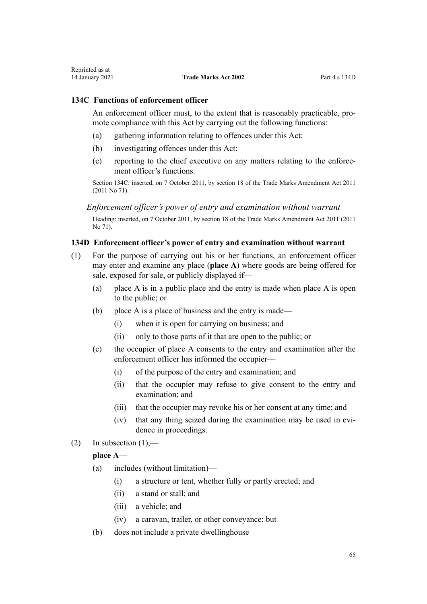## <span id="page-64-0"></span>**134C Functions of enforcement officer**

An enforcement officer must, to the extent that is reasonably practicable, promote compliance with this Act by carrying out the following functions:

- (a) gathering information relating to offences under this Act:
- (b) investigating offences under this Act:
- (c) reporting to the chief executive on any matters relating to the enforcement officer's functions.

Section 134C: inserted, on 7 October 2011, by [section 18](http://legislation.govt.nz/pdflink.aspx?id=DLM2290055) of the Trade Marks Amendment Act 2011 (2011 No 71).

*Enforcement officer's power of entry and examination without warrant*

Heading: inserted, on 7 October 2011, by [section 18](http://legislation.govt.nz/pdflink.aspx?id=DLM2290055) of the Trade Marks Amendment Act 2011 (2011 No 71).

## **134D Enforcement officer's power of entry and examination without warrant**

- (1) For the purpose of carrying out his or her functions, an enforcement officer may enter and examine any place (**place A**) where goods are being offered for sale, exposed for sale, or publicly displayed if—
	- (a) place A is in a public place and the entry is made when place A is open to the public; or
	- (b) place A is a place of business and the entry is made—
		- (i) when it is open for carrying on business; and
		- (ii) only to those parts of it that are open to the public; or
	- (c) the occupier of place A consents to the entry and examination after the enforcement officer has informed the occupier—
		- (i) of the purpose of the entry and examination; and
		- (ii) that the occupier may refuse to give consent to the entry and examination; and
		- (iii) that the occupier may revoke his or her consent at any time; and
		- (iv) that any thing seized during the examination may be used in evidence in proceedings.
- (2) In subsection  $(1)$ ,—

## **place A**—

- (a) includes (without limitation)—
	- (i) a structure or tent, whether fully or partly erected; and
	- (ii) a stand or stall; and
	- (iii) a vehicle; and
	- (iv) a caravan, trailer, or other conveyance; but
- (b) does not include a private dwellinghouse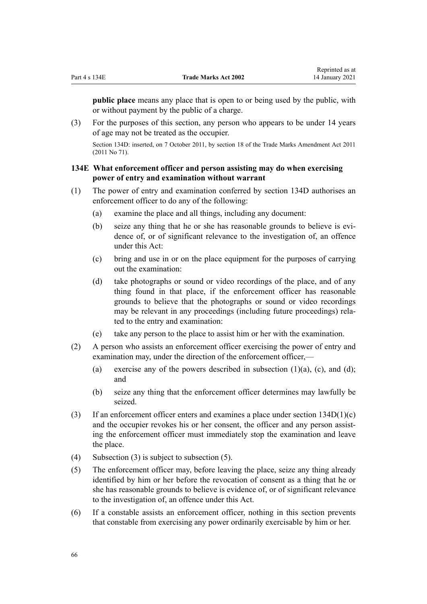**public place** means any place that is open to or being used by the public, with or without payment by the public of a charge.

(3) For the purposes of this section, any person who appears to be under 14 years of age may not be treated as the occupier.

Section 134D: inserted, on 7 October 2011, by [section 18](http://legislation.govt.nz/pdflink.aspx?id=DLM2290055) of the Trade Marks Amendment Act 2011 (2011 No 71).

## **134E What enforcement officer and person assisting may do when exercising power of entry and examination without warrant**

- (1) The power of entry and examination conferred by [section 134D](#page-64-0) authorises an enforcement officer to do any of the following:
	- (a) examine the place and all things, including any document:
	- (b) seize any thing that he or she has reasonable grounds to believe is evidence of, or of significant relevance to the investigation of, an offence under this Act:
	- (c) bring and use in or on the place equipment for the purposes of carrying out the examination:
	- (d) take photographs or sound or video recordings of the place, and of any thing found in that place, if the enforcement officer has reasonable grounds to believe that the photographs or sound or video recordings may be relevant in any proceedings (including future proceedings) related to the entry and examination:
	- (e) take any person to the place to assist him or her with the examination.
- (2) A person who assists an enforcement officer exercising the power of entry and examination may, under the direction of the enforcement officer,—
	- (a) exercise any of the powers described in subsection  $(1)(a)$ ,  $(c)$ , and  $(d)$ ; and
	- (b) seize any thing that the enforcement officer determines may lawfully be seized.
- (3) If an enforcement officer enters and examines a place under section  $134D(1)(c)$ and the occupier revokes his or her consent, the officer and any person assisting the enforcement officer must immediately stop the examination and leave the place.
- (4) Subsection (3) is subject to subsection (5).
- (5) The enforcement officer may, before leaving the place, seize any thing already identified by him or her before the revocation of consent as a thing that he or she has reasonable grounds to believe is evidence of, or of significant relevance to the investigation of, an offence under this Act.
- (6) If a constable assists an enforcement officer, nothing in this section prevents that constable from exercising any power ordinarily exercisable by him or her.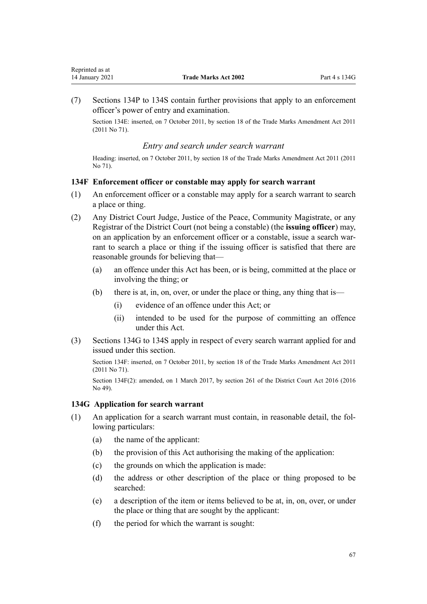<span id="page-66-0"></span>(7) [Sections 134P to 134S](#page-72-0) contain further provisions that apply to an enforcement officer's power of entry and examination.

Section 134E: inserted, on 7 October 2011, by [section 18](http://legislation.govt.nz/pdflink.aspx?id=DLM2290055) of the Trade Marks Amendment Act 2011 (2011 No 71).

## *Entry and search under search warrant*

Heading: inserted, on 7 October 2011, by [section 18](http://legislation.govt.nz/pdflink.aspx?id=DLM2290055) of the Trade Marks Amendment Act 2011 (2011 No 71).

## **134F Enforcement officer or constable may apply for search warrant**

- (1) An enforcement officer or a constable may apply for a search warrant to search a place or thing.
- (2) Any District Court Judge, Justice of the Peace, Community Magistrate, or any Registrar of the District Court (not being a constable) (the **issuing officer**) may, on an application by an enforcement officer or a constable, issue a search warrant to search a place or thing if the issuing officer is satisfied that there are reasonable grounds for believing that—
	- (a) an offence under this Act has been, or is being, committed at the place or involving the thing; or
	- (b) there is at, in, on, over, or under the place or thing, any thing that is—
		- (i) evidence of an offence under this Act; or
		- (ii) intended to be used for the purpose of committing an offence under this Act.
- (3) Sections 134G to 134S apply in respect of every search warrant applied for and issued under this section.

Section 134F: inserted, on 7 October 2011, by [section 18](http://legislation.govt.nz/pdflink.aspx?id=DLM2290055) of the Trade Marks Amendment Act 2011 (2011 No 71).

Section 134F(2): amended, on 1 March 2017, by [section 261](http://legislation.govt.nz/pdflink.aspx?id=DLM6942680) of the District Court Act 2016 (2016 No 49).

### **134G Application for search warrant**

- (1) An application for a search warrant must contain, in reasonable detail, the following particulars:
	- (a) the name of the applicant:
	- (b) the provision of this Act authorising the making of the application:
	- (c) the grounds on which the application is made:
	- (d) the address or other description of the place or thing proposed to be searched:
	- (e) a description of the item or items believed to be at, in, on, over, or under the place or thing that are sought by the applicant:
	- (f) the period for which the warrant is sought: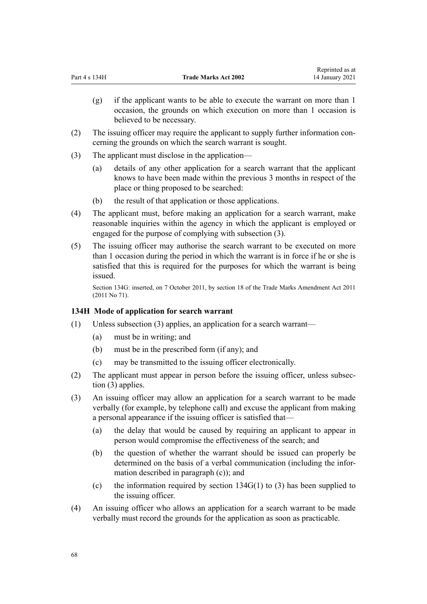- (g) if the applicant wants to be able to execute the warrant on more than 1 occasion, the grounds on which execution on more than 1 occasion is believed to be necessary.
- (2) The issuing officer may require the applicant to supply further information concerning the grounds on which the search warrant is sought.
- (3) The applicant must disclose in the application—
	- (a) details of any other application for a search warrant that the applicant knows to have been made within the previous 3 months in respect of the place or thing proposed to be searched:
	- (b) the result of that application or those applications.
- (4) The applicant must, before making an application for a search warrant, make reasonable inquiries within the agency in which the applicant is employed or engaged for the purpose of complying with subsection (3).
- (5) The issuing officer may authorise the search warrant to be executed on more than 1 occasion during the period in which the warrant is in force if he or she is satisfied that this is required for the purposes for which the warrant is being issued.

Section 134G: inserted, on 7 October 2011, by [section 18](http://legislation.govt.nz/pdflink.aspx?id=DLM2290055) of the Trade Marks Amendment Act 2011 (2011 No 71).

## **134H Mode of application for search warrant**

- (1) Unless subsection (3) applies, an application for a search warrant—
	- (a) must be in writing; and
	- (b) must be in the prescribed form (if any); and
	- (c) may be transmitted to the issuing officer electronically.
- (2) The applicant must appear in person before the issuing officer, unless subsection (3) applies.
- (3) An issuing officer may allow an application for a search warrant to be made verbally (for example, by telephone call) and excuse the applicant from making a personal appearance if the issuing officer is satisfied that—
	- (a) the delay that would be caused by requiring an applicant to appear in person would compromise the effectiveness of the search; and
	- (b) the question of whether the warrant should be issued can properly be determined on the basis of a verbal communication (including the information described in paragraph (c)); and
	- (c) the information required by section  $134G(1)$  to (3) has been supplied to the issuing officer.
- (4) An issuing officer who allows an application for a search warrant to be made verbally must record the grounds for the application as soon as practicable.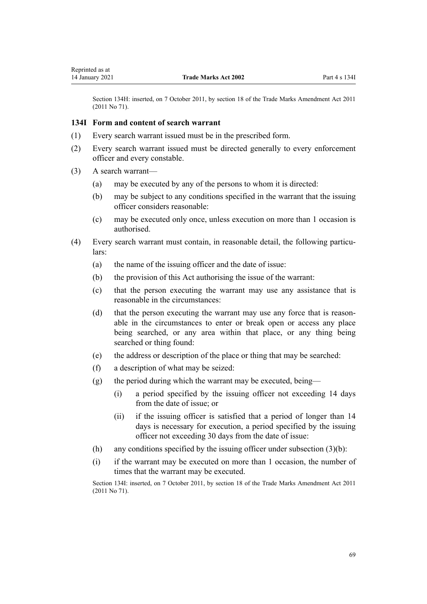<span id="page-68-0"></span>Section 134H: inserted, on 7 October 2011, by [section 18](http://legislation.govt.nz/pdflink.aspx?id=DLM2290055) of the Trade Marks Amendment Act 2011 (2011 No 71).

## **134I Form and content of search warrant**

- (1) Every search warrant issued must be in the prescribed form.
- (2) Every search warrant issued must be directed generally to every enforcement officer and every constable.
- (3) A search warrant—
	- (a) may be executed by any of the persons to whom it is directed:
	- (b) may be subject to any conditions specified in the warrant that the issuing officer considers reasonable:
	- (c) may be executed only once, unless execution on more than 1 occasion is authorised.
- (4) Every search warrant must contain, in reasonable detail, the following particulars:
	- (a) the name of the issuing officer and the date of issue:
	- (b) the provision of this Act authorising the issue of the warrant:
	- (c) that the person executing the warrant may use any assistance that is reasonable in the circumstances:
	- (d) that the person executing the warrant may use any force that is reasonable in the circumstances to enter or break open or access any place being searched, or any area within that place, or any thing being searched or thing found:
	- (e) the address or description of the place or thing that may be searched:
	- (f) a description of what may be seized:
	- (g) the period during which the warrant may be executed, being—
		- (i) a period specified by the issuing officer not exceeding 14 days from the date of issue; or
		- (ii) if the issuing officer is satisfied that a period of longer than 14 days is necessary for execution, a period specified by the issuing officer not exceeding 30 days from the date of issue:
	- (h) any conditions specified by the issuing officer under subsection  $(3)(b)$ :
	- (i) if the warrant may be executed on more than 1 occasion, the number of times that the warrant may be executed.

Section 134I: inserted, on 7 October 2011, by [section 18](http://legislation.govt.nz/pdflink.aspx?id=DLM2290055) of the Trade Marks Amendment Act 2011 (2011 No 71).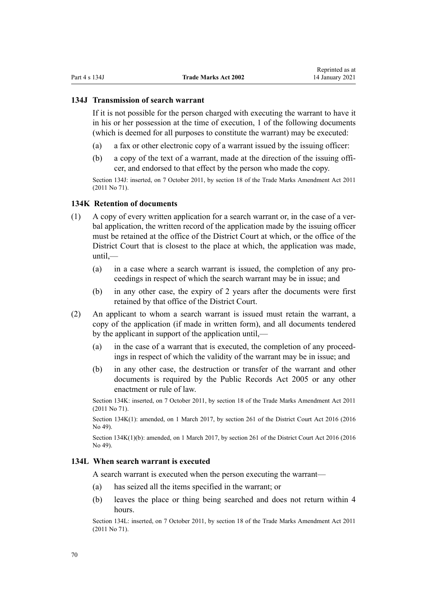#### **134J Transmission of search warrant**

If it is not possible for the person charged with executing the warrant to have it in his or her possession at the time of execution, 1 of the following documents (which is deemed for all purposes to constitute the warrant) may be executed:

- (a) a fax or other electronic copy of a warrant issued by the issuing officer:
- (b) a copy of the text of a warrant, made at the direction of the issuing officer, and endorsed to that effect by the person who made the copy.

Section 134J: inserted, on 7 October 2011, by [section 18](http://legislation.govt.nz/pdflink.aspx?id=DLM2290055) of the Trade Marks Amendment Act 2011 (2011 No 71).

#### **134K Retention of documents**

- (1) A copy of every written application for a search warrant or, in the case of a verbal application, the written record of the application made by the issuing officer must be retained at the office of the District Court at which, or the office of the District Court that is closest to the place at which, the application was made,  $until$ —
	- (a) in a case where a search warrant is issued, the completion of any proceedings in respect of which the search warrant may be in issue; and
	- (b) in any other case, the expiry of 2 years after the documents were first retained by that office of the District Court.
- (2) An applicant to whom a search warrant is issued must retain the warrant, a copy of the application (if made in written form), and all documents tendered by the applicant in support of the application until,—
	- (a) in the case of a warrant that is executed, the completion of any proceedings in respect of which the validity of the warrant may be in issue; and
	- (b) in any other case, the destruction or transfer of the warrant and other documents is required by the [Public Records Act 2005](http://legislation.govt.nz/pdflink.aspx?id=DLM345528) or any other enactment or rule of law.

Section 134K: inserted, on 7 October 2011, by [section 18](http://legislation.govt.nz/pdflink.aspx?id=DLM2290055) of the Trade Marks Amendment Act 2011 (2011 No 71).

Section 134K(1): amended, on 1 March 2017, by [section 261](http://legislation.govt.nz/pdflink.aspx?id=DLM6942680) of the District Court Act 2016 (2016 No 49).

Section 134K(1)(b): amended, on 1 March 2017, by [section 261](http://legislation.govt.nz/pdflink.aspx?id=DLM6942680) of the District Court Act 2016 (2016) No 49).

### **134L When search warrant is executed**

A search warrant is executed when the person executing the warrant—

- (a) has seized all the items specified in the warrant; or
- (b) leaves the place or thing being searched and does not return within 4 hours.

Section 134L: inserted, on 7 October 2011, by [section 18](http://legislation.govt.nz/pdflink.aspx?id=DLM2290055) of the Trade Marks Amendment Act 2011 (2011 No 71).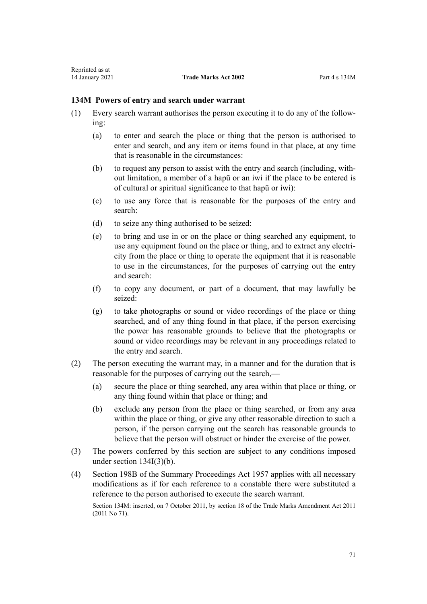## **134M Powers of entry and search under warrant**

- (1) Every search warrant authorises the person executing it to do any of the following:
	- (a) to enter and search the place or thing that the person is authorised to enter and search, and any item or items found in that place, at any time that is reasonable in the circumstances:
	- (b) to request any person to assist with the entry and search (including, without limitation, a member of a hapū or an iwi if the place to be entered is of cultural or spiritual significance to that hapū or iwi):
	- (c) to use any force that is reasonable for the purposes of the entry and search:
	- (d) to seize any thing authorised to be seized:
	- (e) to bring and use in or on the place or thing searched any equipment, to use any equipment found on the place or thing, and to extract any electricity from the place or thing to operate the equipment that it is reasonable to use in the circumstances, for the purposes of carrying out the entry and search:
	- (f) to copy any document, or part of a document, that may lawfully be seized:
	- (g) to take photographs or sound or video recordings of the place or thing searched, and of any thing found in that place, if the person exercising the power has reasonable grounds to believe that the photographs or sound or video recordings may be relevant in any proceedings related to the entry and search.
- (2) The person executing the warrant may, in a manner and for the duration that is reasonable for the purposes of carrying out the search,—
	- (a) secure the place or thing searched, any area within that place or thing, or any thing found within that place or thing; and
	- (b) exclude any person from the place or thing searched, or from any area within the place or thing, or give any other reasonable direction to such a person, if the person carrying out the search has reasonable grounds to believe that the person will obstruct or hinder the exercise of the power.
- (3) The powers conferred by this section are subject to any conditions imposed under [section 134I\(3\)\(b\).](#page-68-0)
- (4) [Section 198B](http://legislation.govt.nz/pdflink.aspx?id=DLM314016) of the Summary Proceedings Act 1957 applies with all necessary modifications as if for each reference to a constable there were substituted a reference to the person authorised to execute the search warrant.

Section 134M: inserted, on 7 October 2011, by [section 18](http://legislation.govt.nz/pdflink.aspx?id=DLM2290055) of the Trade Marks Amendment Act 2011 (2011 No 71).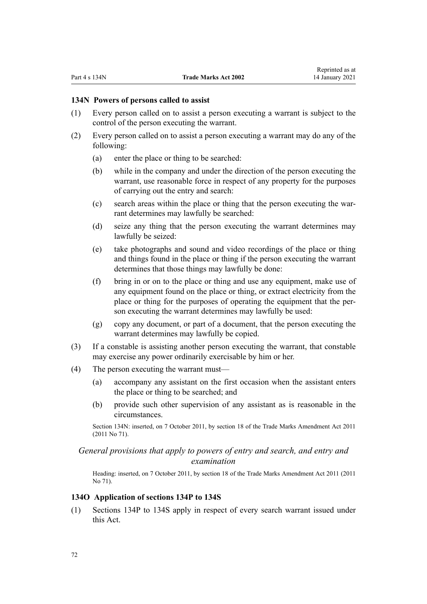#### **134N Powers of persons called to assist**

- (1) Every person called on to assist a person executing a warrant is subject to the control of the person executing the warrant.
- (2) Every person called on to assist a person executing a warrant may do any of the following:
	- (a) enter the place or thing to be searched:
	- (b) while in the company and under the direction of the person executing the warrant, use reasonable force in respect of any property for the purposes of carrying out the entry and search:
	- (c) search areas within the place or thing that the person executing the warrant determines may lawfully be searched:
	- (d) seize any thing that the person executing the warrant determines may lawfully be seized:
	- (e) take photographs and sound and video recordings of the place or thing and things found in the place or thing if the person executing the warrant determines that those things may lawfully be done:
	- (f) bring in or on to the place or thing and use any equipment, make use of any equipment found on the place or thing, or extract electricity from the place or thing for the purposes of operating the equipment that the person executing the warrant determines may lawfully be used:
	- (g) copy any document, or part of a document, that the person executing the warrant determines may lawfully be copied.
- (3) If a constable is assisting another person executing the warrant, that constable may exercise any power ordinarily exercisable by him or her.
- (4) The person executing the warrant must—
	- (a) accompany any assistant on the first occasion when the assistant enters the place or thing to be searched; and
	- (b) provide such other supervision of any assistant as is reasonable in the circumstances.

Section 134N: inserted, on 7 October 2011, by [section 18](http://legislation.govt.nz/pdflink.aspx?id=DLM2290055) of the Trade Marks Amendment Act 2011 (2011 No 71).

## *General provisions that apply to powers of entry and search, and entry and examination*

Heading: inserted, on 7 October 2011, by [section 18](http://legislation.govt.nz/pdflink.aspx?id=DLM2290055) of the Trade Marks Amendment Act 2011 (2011 No 71).

#### **134O Application of sections 134P to 134S**

(1) [Sections 134P to 134S](#page-72-0) apply in respect of every search warrant issued under this Act.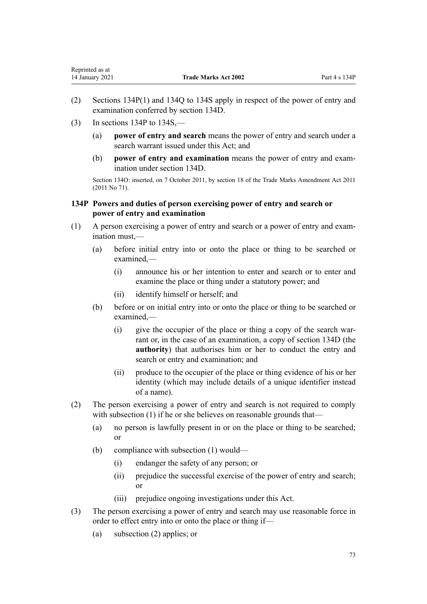$(3)$  In sections 134P to 134S.—

<span id="page-72-0"></span>Reprinted as at

- (a) **power of entry and search** means the power of entry and search under a search warrant issued under this Act; and
- (b) **power of entry and examination** means the power of entry and examination under [section 134D](#page-64-0).

Section 134O: inserted, on 7 October 2011, by [section 18](http://legislation.govt.nz/pdflink.aspx?id=DLM2290055) of the Trade Marks Amendment Act 2011 (2011 No 71).

# **134P Powers and duties of person exercising power of entry and search or power of entry and examination**

- (1) A person exercising a power of entry and search or a power of entry and examination must,—
	- (a) before initial entry into or onto the place or thing to be searched or examined,—
		- (i) announce his or her intention to enter and search or to enter and examine the place or thing under a statutory power; and
		- (ii) identify himself or herself; and
	- (b) before or on initial entry into or onto the place or thing to be searched or examined,—
		- (i) give the occupier of the place or thing a copy of the search warrant or, in the case of an examination, a copy of [section 134D](#page-64-0) (the **authority**) that authorises him or her to conduct the entry and search or entry and examination; and
		- (ii) produce to the occupier of the place or thing evidence of his or her identity (which may include details of a unique identifier instead of a name).
- (2) The person exercising a power of entry and search is not required to comply with subsection (1) if he or she believes on reasonable grounds that—
	- (a) no person is lawfully present in or on the place or thing to be searched; or
	- (b) compliance with subsection (1) would—
		- (i) endanger the safety of any person; or
		- (ii) prejudice the successful exercise of the power of entry and search; or
		- (iii) prejudice ongoing investigations under this Act.
- (3) The person exercising a power of entry and search may use reasonable force in order to effect entry into or onto the place or thing if—
	- (a) subsection (2) applies; or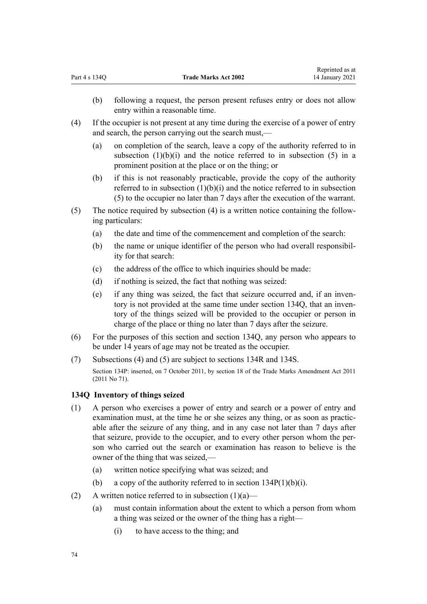- <span id="page-73-0"></span>(b) following a request, the person present refuses entry or does not allow entry within a reasonable time.
- (4) If the occupier is not present at any time during the exercise of a power of entry and search, the person carrying out the search must,—
	- (a) on completion of the search, leave a copy of the authority referred to in subsection  $(1)(b)(i)$  and the notice referred to in subsection  $(5)$  in a prominent position at the place or on the thing; or
	- (b) if this is not reasonably practicable, provide the copy of the authority referred to in subsection  $(1)(b)(i)$  and the notice referred to in subsection (5) to the occupier no later than 7 days after the execution of the warrant.
- (5) The notice required by subsection (4) is a written notice containing the following particulars:
	- (a) the date and time of the commencement and completion of the search:
	- (b) the name or unique identifier of the person who had overall responsibility for that search:
	- (c) the address of the office to which inquiries should be made:
	- (d) if nothing is seized, the fact that nothing was seized:
	- (e) if any thing was seized, the fact that seizure occurred and, if an inventory is not provided at the same time under section 134Q, that an inventory of the things seized will be provided to the occupier or person in charge of the place or thing no later than 7 days after the seizure.
- (6) For the purposes of this section and section 134Q, any person who appears to be under 14 years of age may not be treated as the occupier.
- (7) Subsections (4) and (5) are subject to [sections 134R](#page-74-0) and [134S](#page-75-0).

Section 134P: inserted, on 7 October 2011, by [section 18](http://legislation.govt.nz/pdflink.aspx?id=DLM2290055) of the Trade Marks Amendment Act 2011 (2011 No 71).

## **134Q Inventory of things seized**

- (1) A person who exercises a power of entry and search or a power of entry and examination must, at the time he or she seizes any thing, or as soon as practicable after the seizure of any thing, and in any case not later than 7 days after that seizure, provide to the occupier, and to every other person whom the person who carried out the search or examination has reason to believe is the owner of the thing that was seized,—
	- (a) written notice specifying what was seized; and
	- (b) a copy of the authority referred to in section  $134P(1)(b)(i)$ .
- (2) A written notice referred to in subsection  $(1)(a)$ 
	- (a) must contain information about the extent to which a person from whom a thing was seized or the owner of the thing has a right—
		- (i) to have access to the thing; and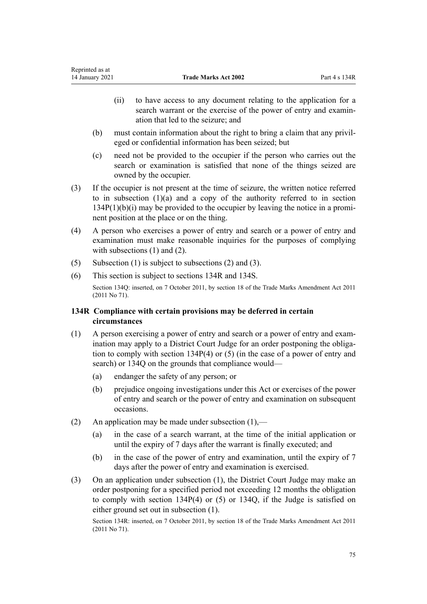- <span id="page-74-0"></span>(ii) to have access to any document relating to the application for a search warrant or the exercise of the power of entry and examination that led to the seizure; and
- (b) must contain information about the right to bring a claim that any privileged or confidential information has been seized; but
- (c) need not be provided to the occupier if the person who carries out the search or examination is satisfied that none of the things seized are owned by the occupier.
- (3) If the occupier is not present at the time of seizure, the written notice referred to in sub[section](#page-72-0)  $(1)(a)$  and a copy of the authority referred to in section [134P\(1\)\(b\)\(i\)](#page-72-0) may be provided to the occupier by leaving the notice in a prominent position at the place or on the thing.
- (4) A person who exercises a power of entry and search or a power of entry and examination must make reasonable inquiries for the purposes of complying with subsections (1) and (2).
- (5) Subsection (1) is subject to subsections (2) and (3).
- (6) This section is subject to sections 134R and [134S.](#page-75-0)

Section 134Q: inserted, on 7 October 2011, by [section 18](http://legislation.govt.nz/pdflink.aspx?id=DLM2290055) of the Trade Marks Amendment Act 2011 (2011 No 71).

# **134R Compliance with certain provisions may be deferred in certain circumstances**

- (1) A person exercising a power of entry and search or a power of entry and examination may apply to a District Court Judge for an order postponing the obligation to comply with [section 134P\(4\) or \(5\)](#page-72-0) (in the case of a power of entry and search) or [134Q](#page-73-0) on the grounds that compliance would—
	- (a) endanger the safety of any person; or
	- (b) prejudice ongoing investigations under this Act or exercises of the power of entry and search or the power of entry and examination on subsequent occasions.
- (2) An application may be made under subsection  $(1)$ ,—
	- (a) in the case of a search warrant, at the time of the initial application or until the expiry of 7 days after the warrant is finally executed; and
	- (b) in the case of the power of entry and examination, until the expiry of 7 days after the power of entry and examination is exercised.
- (3) On an application under subsection (1), the District Court Judge may make an order postponing for a specified period not exceeding 12 months the obligation to comply with [section 134P\(4\) or \(5\)](#page-72-0) or [134Q](#page-73-0), if the Judge is satisfied on either ground set out in subsection (1).

Section 134R: inserted, on 7 October 2011, by [section 18](http://legislation.govt.nz/pdflink.aspx?id=DLM2290055) of the Trade Marks Amendment Act 2011 (2011 No 71).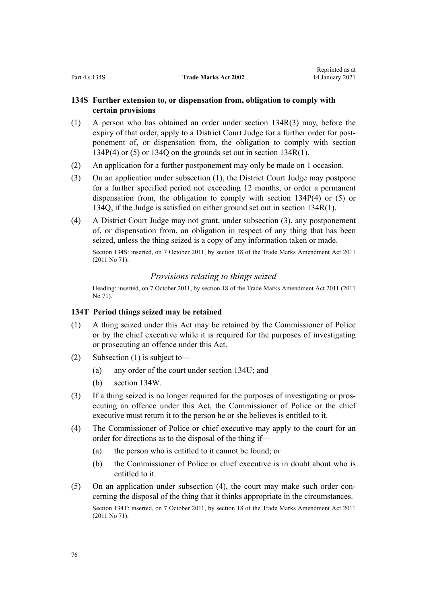# <span id="page-75-0"></span>**134S Further extension to, or dispensation from, obligation to comply with certain provisions**

- (1) A person who has obtained an order under [section 134R\(3\)](#page-74-0) may, before the expiry of that order, apply to a District Court Judge for a further order for postponement of, or dispensation from, the obligation to comply with [section](#page-72-0) [134P\(4\) or \(5\)](#page-72-0) or [134Q](#page-73-0) on the grounds set out i[n section 134R\(1\).](#page-74-0)
- (2) An application for a further postponement may only be made on 1 occasion.
- (3) On an application under subsection (1), the District Court Judge may postpone for a further specified period not exceeding 12 months, or order a permanent dispensation from, the obligation to comply with [section 134P\(4\) or \(5\)](#page-72-0) or [134Q,](#page-73-0) if the Judge is satisfied on either ground set out in [section 134R\(1\)](#page-74-0).
- (4) A District Court Judge may not grant, under subsection (3), any postponement of, or dispensation from, an obligation in respect of any thing that has been seized, unless the thing seized is a copy of any information taken or made.

Section 134S: inserted, on 7 October 2011, by [section 18](http://legislation.govt.nz/pdflink.aspx?id=DLM2290055) of the Trade Marks Amendment Act 2011 (2011 No 71).

# *Provisions relating to things seized*

Heading: inserted, on 7 October 2011, by [section 18](http://legislation.govt.nz/pdflink.aspx?id=DLM2290055) of the Trade Marks Amendment Act 2011 (2011 No 71).

# **134T Period things seized may be retained**

- (1) A thing seized under this Act may be retained by the Commissioner of Police or by the chief executive while it is required for the purposes of investigating or prosecuting an offence under this Act.
- (2) Subsection (1) is subject to—
	- (a) any order of the court under [section 134U;](#page-76-0) and
	- (b) [section 134W.](#page-77-0)
- (3) If a thing seized is no longer required for the purposes of investigating or prosecuting an offence under this Act, the Commissioner of Police or the chief executive must return it to the person he or she believes is entitled to it.
- (4) The Commissioner of Police or chief executive may apply to the court for an order for directions as to the disposal of the thing if—
	- (a) the person who is entitled to it cannot be found; or
	- (b) the Commissioner of Police or chief executive is in doubt about who is entitled to it.
- (5) On an application under subsection (4), the court may make such order concerning the disposal of the thing that it thinks appropriate in the circumstances. Section 134T: inserted, on 7 October 2011, by [section 18](http://legislation.govt.nz/pdflink.aspx?id=DLM2290055) of the Trade Marks Amendment Act 2011 (2011 No 71).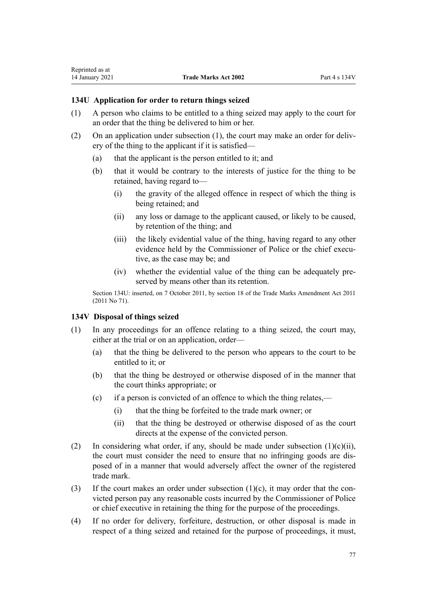# <span id="page-76-0"></span>**134U Application for order to return things seized**

- (1) A person who claims to be entitled to a thing seized may apply to the court for an order that the thing be delivered to him or her.
- (2) On an application under subsection (1), the court may make an order for delivery of the thing to the applicant if it is satisfied—
	- (a) that the applicant is the person entitled to it; and
	- (b) that it would be contrary to the interests of justice for the thing to be retained, having regard to—
		- (i) the gravity of the alleged offence in respect of which the thing is being retained; and
		- (ii) any loss or damage to the applicant caused, or likely to be caused, by retention of the thing; and
		- (iii) the likely evidential value of the thing, having regard to any other evidence held by the Commissioner of Police or the chief executive, as the case may be; and
		- (iv) whether the evidential value of the thing can be adequately preserved by means other than its retention.

Section 134U: inserted, on 7 October 2011, by [section 18](http://legislation.govt.nz/pdflink.aspx?id=DLM2290055) of the Trade Marks Amendment Act 2011 (2011 No 71).

# **134V Disposal of things seized**

- (1) In any proceedings for an offence relating to a thing seized, the court may, either at the trial or on an application, order—
	- (a) that the thing be delivered to the person who appears to the court to be entitled to it; or
	- (b) that the thing be destroyed or otherwise disposed of in the manner that the court thinks appropriate; or
	- (c) if a person is convicted of an offence to which the thing relates,—
		- (i) that the thing be forfeited to the trade mark owner; or
		- (ii) that the thing be destroyed or otherwise disposed of as the court directs at the expense of the convicted person.
- (2) In considering what order, if any, should be made under subsection  $(1)(c)(ii)$ , the court must consider the need to ensure that no infringing goods are disposed of in a manner that would adversely affect the owner of the registered trade mark.
- (3) If the court makes an order under subsection  $(1)(c)$ , it may order that the convicted person pay any reasonable costs incurred by the Commissioner of Police or chief executive in retaining the thing for the purpose of the proceedings.
- (4) If no order for delivery, forfeiture, destruction, or other disposal is made in respect of a thing seized and retained for the purpose of proceedings, it must,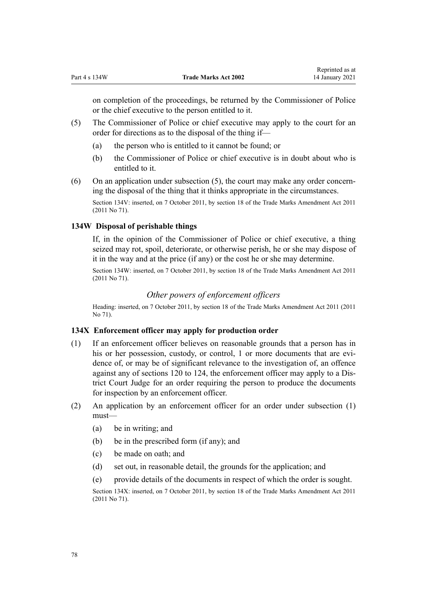<span id="page-77-0"></span>on completion of the proceedings, be returned by the Commissioner of Police or the chief executive to the person entitled to it.

- (5) The Commissioner of Police or chief executive may apply to the court for an order for directions as to the disposal of the thing if—
	- (a) the person who is entitled to it cannot be found; or
	- (b) the Commissioner of Police or chief executive is in doubt about who is entitled to it.
- (6) On an application under subsection (5), the court may make any order concerning the disposal of the thing that it thinks appropriate in the circumstances.

Section 134V: inserted, on 7 October 2011, by [section 18](http://legislation.govt.nz/pdflink.aspx?id=DLM2290055) of the Trade Marks Amendment Act 2011 (2011 No 71).

# **134W Disposal of perishable things**

If, in the opinion of the Commissioner of Police or chief executive, a thing seized may rot, spoil, deteriorate, or otherwise perish, he or she may dispose of it in the way and at the price (if any) or the cost he or she may determine.

Section 134W: inserted, on 7 October 2011, by [section 18](http://legislation.govt.nz/pdflink.aspx?id=DLM2290055) of the Trade Marks Amendment Act 2011 (2011 No 71).

# *Other powers of enforcement officers*

Heading: inserted, on 7 October 2011, by [section 18](http://legislation.govt.nz/pdflink.aspx?id=DLM2290055) of the Trade Marks Amendment Act 2011 (2011 No 71).

# **134X Enforcement officer may apply for production order**

- (1) If an enforcement officer believes on reasonable grounds that a person has in his or her possession, custody, or control, 1 or more documents that are evidence of, or may be of significant relevance to the investigation of, an offence against any of [sections 120 to 124](#page-58-0), the enforcement officer may apply to a District Court Judge for an order requiring the person to produce the documents for inspection by an enforcement officer.
- (2) An application by an enforcement officer for an order under subsection (1) must—
	- (a) be in writing; and
	- (b) be in the prescribed form (if any); and
	- (c) be made on oath; and
	- (d) set out, in reasonable detail, the grounds for the application; and
	- (e) provide details of the documents in respect of which the order is sought.

Section 134X: inserted, on 7 October 2011, by [section 18](http://legislation.govt.nz/pdflink.aspx?id=DLM2290055) of the Trade Marks Amendment Act 2011 (2011 No 71).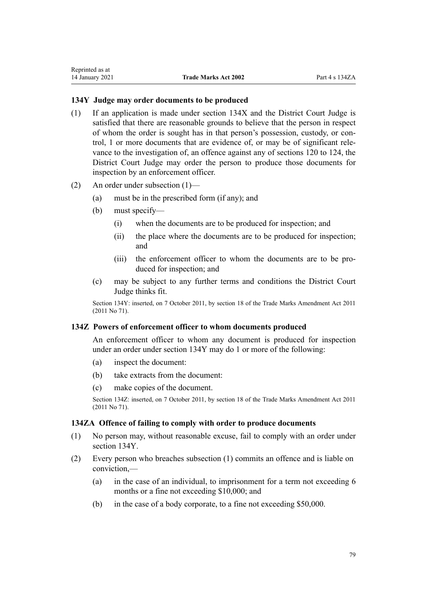# <span id="page-78-0"></span>**134Y Judge may order documents to be produced**

- (1) If an application is made under [section 134X](#page-77-0) and the District Court Judge is satisfied that there are reasonable grounds to believe that the person in respect of whom the order is sought has in that person's possession, custody, or control, 1 or more documents that are evidence of, or may be of significant relevance to the investigation of, an offence against any of [sections 120 to 124](#page-58-0), the District Court Judge may order the person to produce those documents for inspection by an enforcement officer.
- (2) An order under subsection (1)—
	- (a) must be in the prescribed form (if any); and
	- (b) must specify—
		- (i) when the documents are to be produced for inspection; and
		- (ii) the place where the documents are to be produced for inspection; and
		- (iii) the enforcement officer to whom the documents are to be produced for inspection; and
	- (c) may be subject to any further terms and conditions the District Court Judge thinks fit.

Section 134Y: inserted, on 7 October 2011, by [section 18](http://legislation.govt.nz/pdflink.aspx?id=DLM2290055) of the Trade Marks Amendment Act 2011 (2011 No 71).

# **134Z Powers of enforcement officer to whom documents produced**

An enforcement officer to whom any document is produced for inspection under an order under section 134Y may do 1 or more of the following:

- (a) inspect the document:
- (b) take extracts from the document:
- (c) make copies of the document.

Section 134Z: inserted, on 7 October 2011, by [section 18](http://legislation.govt.nz/pdflink.aspx?id=DLM2290055) of the Trade Marks Amendment Act 2011 (2011 No 71).

# **134ZA Offence of failing to comply with order to produce documents**

- (1) No person may, without reasonable excuse, fail to comply with an order under section 134Y.
- (2) Every person who breaches subsection (1) commits an offence and is liable on conviction,—
	- (a) in the case of an individual, to imprisonment for a term not exceeding 6 months or a fine not exceeding \$10,000; and
	- (b) in the case of a body corporate, to a fine not exceeding \$50,000.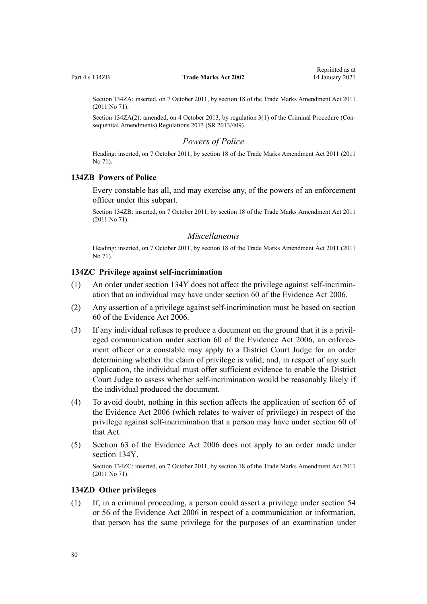Section 134ZA: inserted, on 7 October 2011, by [section 18](http://legislation.govt.nz/pdflink.aspx?id=DLM2290055) of the Trade Marks Amendment Act 2011 (2011 No 71).

Section 134ZA(2): amended, on 4 October 2013, by [regulation 3\(1\)](http://legislation.govt.nz/pdflink.aspx?id=DLM5642106) of the Criminal Procedure (Consequential Amendments) Regulations 2013 (SR 2013/409).

## *Powers of Police*

Heading: inserted, on 7 October 2011, by [section 18](http://legislation.govt.nz/pdflink.aspx?id=DLM2290055) of the Trade Marks Amendment Act 2011 (2011 No 71).

# **134ZB Powers of Police**

Every constable has all, and may exercise any, of the powers of an enforcement officer under this subpart.

Section 134ZB: inserted, on 7 October 2011, by [section 18](http://legislation.govt.nz/pdflink.aspx?id=DLM2290055) of the Trade Marks Amendment Act 2011 (2011 No 71).

# *Miscellaneous*

Heading: inserted, on 7 October 2011, by [section 18](http://legislation.govt.nz/pdflink.aspx?id=DLM2290055) of the Trade Marks Amendment Act 2011 (2011 No 71).

# **134ZC Privilege against self-incrimination**

- (1) An order under [section 134Y](#page-78-0) does not affect the privilege against self-incrimination that an individual may have under [section 60](http://legislation.govt.nz/pdflink.aspx?id=DLM393672) of the Evidence Act 2006.
- (2) Any assertion of a privilege against self-incrimination must be based on [section](http://legislation.govt.nz/pdflink.aspx?id=DLM393672) [60](http://legislation.govt.nz/pdflink.aspx?id=DLM393672) of the Evidence Act 2006.
- (3) If any individual refuses to produce a document on the ground that it is a privileged communication under [section 60](http://legislation.govt.nz/pdflink.aspx?id=DLM393672) of the Evidence Act 2006, an enforcement officer or a constable may apply to a District Court Judge for an order determining whether the claim of privilege is valid; and, in respect of any such application, the individual must offer sufficient evidence to enable the District Court Judge to assess whether self-incrimination would be reasonably likely if the individual produced the document.
- (4) To avoid doubt, nothing in this section affects the application of [section 65](http://legislation.govt.nz/pdflink.aspx?id=DLM393677) of the Evidence Act 2006 (which relates to waiver of privilege) in respect of the privilege against self-incrimination that a person may have under [section 60](http://legislation.govt.nz/pdflink.aspx?id=DLM393672) of that Act.
- (5) [Section 63](http://legislation.govt.nz/pdflink.aspx?id=DLM393675) of the Evidence Act 2006 does not apply to an order made under [section 134Y](#page-78-0).

Section 134ZC: inserted, on 7 October 2011, by [section 18](http://legislation.govt.nz/pdflink.aspx?id=DLM2290055) of the Trade Marks Amendment Act 2011 (2011 No 71).

# **134ZD Other privileges**

(1) If, in a criminal proceeding, a person could assert a privilege under [section 54](http://legislation.govt.nz/pdflink.aspx?id=DLM393659) or [56](http://legislation.govt.nz/pdflink.aspx?id=DLM393663) of the Evidence Act 2006 in respect of a communication or information, that person has the same privilege for the purposes of an examination under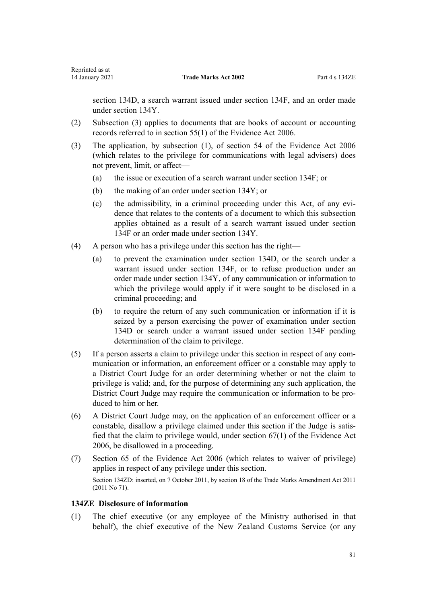[section 134D](#page-64-0), a search warrant issued under [section 134F](#page-66-0), and an order made under [section 134Y](#page-78-0).

- (2) Subsection (3) applies to documents that are books of account or accounting records referred to in [section 55\(1\)](http://legislation.govt.nz/pdflink.aspx?id=DLM393662) of the Evidence Act 2006.
- (3) The application, by subsection (1), of [section 54](http://legislation.govt.nz/pdflink.aspx?id=DLM393659) of the Evidence Act 2006 (which relates to the privilege for communications with legal advisers) does not prevent, limit, or affect—
	- (a) the issue or execution of a search warrant under [section 134F;](#page-66-0) or
	- (b) the making of an order under [section 134Y;](#page-78-0) or
	- (c) the admissibility, in a criminal proceeding under this Act, of any evidence that relates to the contents of a document to which this subsection applies obtained as a result of a search warrant issued under [section](#page-66-0) [134F](#page-66-0) or an order made under [section 134Y.](#page-78-0)
- (4) A person who has a privilege under this section has the right—
	- (a) to prevent the examination under [section 134D,](#page-64-0) or the search under a warrant issued under [section 134F](#page-66-0), or to refuse production under an order made under [section 134Y,](#page-78-0) of any communication or information to which the privilege would apply if it were sought to be disclosed in a criminal proceeding; and
	- (b) to require the return of any such communication or information if it is seized by a person exercising the power of examination under [section](#page-64-0) [134D](#page-64-0) or search under a warrant issued under [section 134F](#page-66-0) pending determination of the claim to privilege.
- (5) If a person asserts a claim to privilege under this section in respect of any communication or information, an enforcement officer or a constable may apply to a District Court Judge for an order determining whether or not the claim to privilege is valid; and, for the purpose of determining any such application, the District Court Judge may require the communication or information to be produced to him or her.
- (6) A District Court Judge may, on the application of an enforcement officer or a constable, disallow a privilege claimed under this section if the Judge is satisfied that the claim to privilege would, under [section 67\(1\)](http://legislation.govt.nz/pdflink.aspx?id=DLM393679) of the Evidence Act 2006, be disallowed in a proceeding.
- (7) [Section 65](http://legislation.govt.nz/pdflink.aspx?id=DLM393677) of the Evidence Act 2006 (which relates to waiver of privilege) applies in respect of any privilege under this section. Section 134ZD: inserted, on 7 October 2011, by [section 18](http://legislation.govt.nz/pdflink.aspx?id=DLM2290055) of the Trade Marks Amendment Act 2011 (2011 No 71).

# **134ZE Disclosure of information**

(1) The chief executive (or any employee of the Ministry authorised in that behalf), the chief executive of the New Zealand Customs Service (or any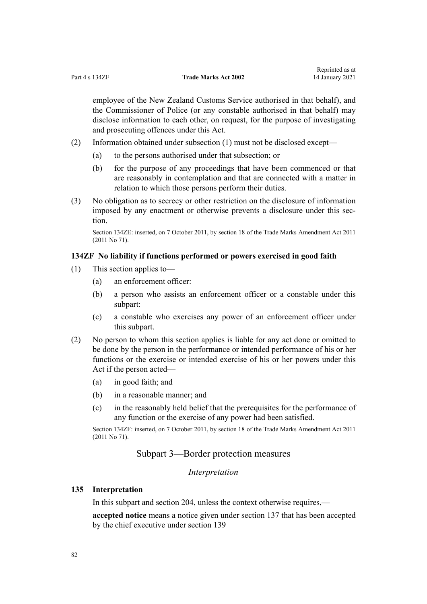employee of the New Zealand Customs Service authorised in that behalf), and the Commissioner of Police (or any constable authorised in that behalf) may disclose information to each other, on request, for the purpose of investigating and prosecuting offences under this Act.

- (2) Information obtained under subsection (1) must not be disclosed except—
	- (a) to the persons authorised under that subsection; or
	- (b) for the purpose of any proceedings that have been commenced or that are reasonably in contemplation and that are connected with a matter in relation to which those persons perform their duties.
- (3) No obligation as to secrecy or other restriction on the disclosure of information imposed by any enactment or otherwise prevents a disclosure under this section.

Section 134ZE: inserted, on 7 October 2011, by [section 18](http://legislation.govt.nz/pdflink.aspx?id=DLM2290055) of the Trade Marks Amendment Act 2011 (2011 No 71).

# **134ZF No liability if functions performed or powers exercised in good faith**

- (1) This section applies to—
	- (a) an enforcement officer:
	- (b) a person who assists an enforcement officer or a constable under this subpart:
	- (c) a constable who exercises any power of an enforcement officer under this subpart.
- (2) No person to whom this section applies is liable for any act done or omitted to be done by the person in the performance or intended performance of his or her functions or the exercise or intended exercise of his or her powers under this Act if the person acted—
	- (a) in good faith; and
	- (b) in a reasonable manner; and
	- (c) in the reasonably held belief that the prerequisites for the performance of any function or the exercise of any power had been satisfied.

Section 134ZF: inserted, on 7 October 2011, by [section 18](http://legislation.govt.nz/pdflink.aspx?id=DLM2290055) of the Trade Marks Amendment Act 2011 (2011 No 71).

# Subpart 3—Border protection measures

### *Interpretation*

# **135 Interpretation**

In this subpart and [section 204](#page-118-0), unless the context otherwise requires,—

**accepted notice** means a notice given under [section 137](#page-84-0) that has been accepted by the chief executive under [section 139](#page-85-0)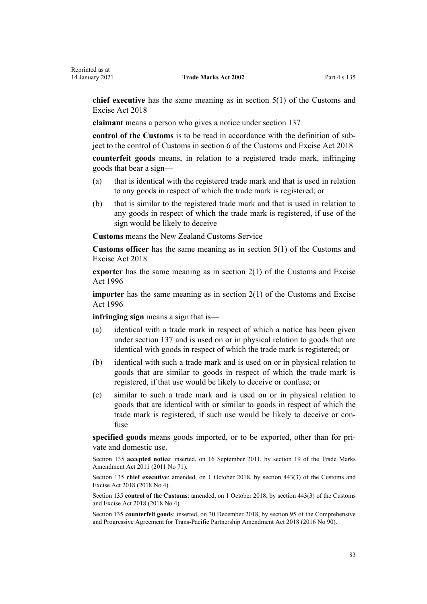**chief executive** has the same meaning as in [section 5\(1\)](http://legislation.govt.nz/pdflink.aspx?id=DLM7038971) of the Customs and Excise Act 2018

**claimant** means a person who gives a notice under [section 137](#page-84-0)

**control of the Customs** is to be read in accordance with the definition of subject to the control of Customs in [section 6](http://legislation.govt.nz/pdflink.aspx?id=DLM7039191) of the Customs and Excise Act 2018

**counterfeit goods** means, in relation to a registered trade mark, infringing goods that bear a sign—

- (a) that is identical with the registered trade mark and that is used in relation to any goods in respect of which the trade mark is registered; or
- (b) that is similar to the registered trade mark and that is used in relation to any goods in respect of which the trade mark is registered, if use of the sign would be likely to deceive

**Customs** means the New Zealand Customs Service

**Customs officer** has the same meaning as in [section 5\(1\)](http://legislation.govt.nz/pdflink.aspx?id=DLM7038971) of the Customs and Excise Act 2018

**exporter** has the same meaning as in [section 2\(1\)](http://legislation.govt.nz/pdflink.aspx?id=DLM377342) of the Customs and Excise Act 1996

**importer** has the same meaning as in [section 2\(1\)](http://legislation.govt.nz/pdflink.aspx?id=DLM377342) of the Customs and Excise Act 1996

**infringing sign** means a sign that is—

- (a) identical with a trade mark in respect of which a notice has been given under [section 137](#page-84-0) and is used on or in physical relation to goods that are identical with goods in respect of which the trade mark is registered; or
- (b) identical with such a trade mark and is used on or in physical relation to goods that are similar to goods in respect of which the trade mark is registered, if that use would be likely to deceive or confuse; or
- (c) similar to such a trade mark and is used on or in physical relation to goods that are identical with or similar to goods in respect of which the trade mark is registered, if such use would be likely to deceive or confuse

**specified goods** means goods imported, or to be exported, other than for private and domestic use.

Section 135 **accepted notice**: inserted, on 16 September 2011, by [section 19](http://legislation.govt.nz/pdflink.aspx?id=DLM2290099) of the Trade Marks Amendment Act 2011 (2011 No 71).

Section 135 **chief executive**: amended, on 1 October 2018, by [section 443\(3\)](http://legislation.govt.nz/pdflink.aspx?id=DLM7039957) of the Customs and Excise Act 2018 (2018 No 4).

Section 135 **control of the Customs**: amended, on 1 October 2018, by [section 443\(3\)](http://legislation.govt.nz/pdflink.aspx?id=DLM7039957) of the Customs and Excise Act 2018 (2018 No 4).

Section 135 **counterfeit goods**: inserted, on 30 December 2018, by [section 95](http://legislation.govt.nz/pdflink.aspx?id=DLM6838430) of the Comprehensive and Progressive Agreement for Trans-Pacific Partnership Amendment Act 2018 (2016 No 90).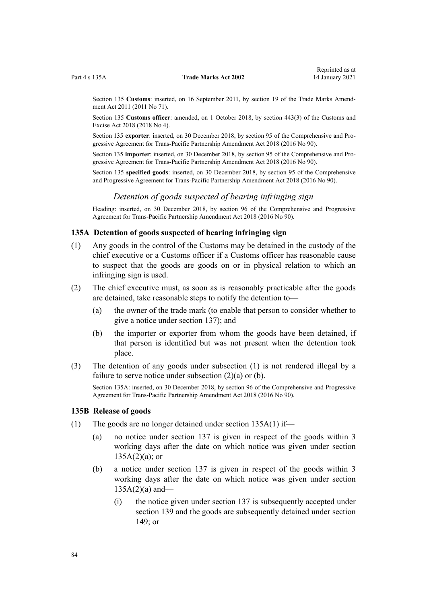<span id="page-83-0"></span>Section 135 **Customs**: inserted, on 16 September 2011, by [section 19](http://legislation.govt.nz/pdflink.aspx?id=DLM2290099) of the Trade Marks Amendment Act 2011 (2011 No 71).

Section 135 **Customs officer**: amended, on 1 October 2018, by [section 443\(3\)](http://legislation.govt.nz/pdflink.aspx?id=DLM7039957) of the Customs and Excise Act 2018 (2018 No 4).

Section 135 **exporter**: inserted, on 30 December 2018, by [section 95](http://legislation.govt.nz/pdflink.aspx?id=DLM6838430) of the Comprehensive and Progressive Agreement for Trans-Pacific Partnership Amendment Act 2018 (2016 No 90).

Section 135 **importer**: inserted, on 30 December 2018, by [section 95](http://legislation.govt.nz/pdflink.aspx?id=DLM6838430) of the Comprehensive and Progressive Agreement for Trans-Pacific Partnership Amendment Act 2018 (2016 No 90).

Section 135 **specified goods**: inserted, on 30 December 2018, by [section 95](http://legislation.govt.nz/pdflink.aspx?id=DLM6838430) of the Comprehensive and Progressive Agreement for Trans-Pacific Partnership Amendment Act 2018 (2016 No 90).

# *Detention of goods suspected of bearing infringing sign*

Heading: inserted, on 30 December 2018, by [section 96](http://legislation.govt.nz/pdflink.aspx?id=DLM6838439) of the Comprehensive and Progressive Agreement for Trans-Pacific Partnership Amendment Act 2018 (2016 No 90).

# **135A Detention of goods suspected of bearing infringing sign**

- (1) Any goods in the control of the Customs may be detained in the custody of the chief executive or a Customs officer if a Customs officer has reasonable cause to suspect that the goods are goods on or in physical relation to which an infringing sign is used.
- (2) The chief executive must, as soon as is reasonably practicable after the goods are detained, take reasonable steps to notify the detention to—
	- (a) the owner of the trade mark (to enable that person to consider whether to give a notice under [section 137\)](#page-84-0); and
	- (b) the importer or exporter from whom the goods have been detained, if that person is identified but was not present when the detention took place.
- (3) The detention of any goods under subsection (1) is not rendered illegal by a failure to serve notice under subsection (2)(a) or (b).

Section 135A: inserted, on 30 December 2018, by [section 96](http://legislation.govt.nz/pdflink.aspx?id=DLM6838439) of the Comprehensive and Progressive Agreement for Trans-Pacific Partnership Amendment Act 2018 (2016 No 90).

#### **135B Release of goods**

- (1) The goods are no longer detained under section 135A(1) if—
	- (a) no notice under [section 137](#page-84-0) is given in respect of the goods within 3 working days after the date on which notice was given under section  $135A(2)(a)$ ; or
	- (b) a notice under [section 137](#page-84-0) is given in respect of the goods within 3 working days after the date on which notice was given under section  $135A(2)(a)$  and—
		- (i) the notice given under [section 137](#page-84-0) is subsequently accepted under [section 139](#page-85-0) and the goods are subsequently detained under [section](#page-89-0) [149](#page-89-0); or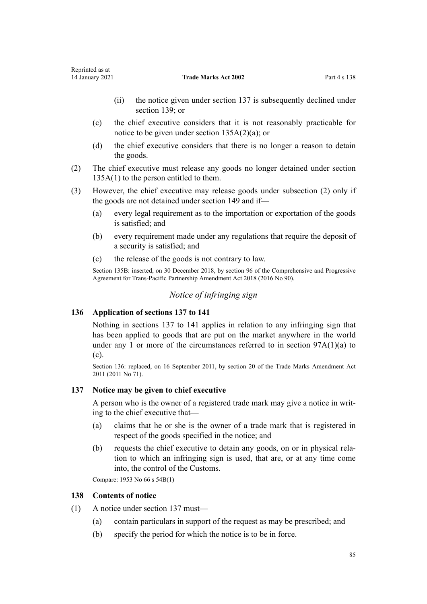- <span id="page-84-0"></span>(ii) the notice given under section 137 is subsequently declined under [section 139;](#page-85-0) or
- (c) the chief executive considers that it is not reasonably practicable for notice to be given under [section 135A\(2\)\(a\)](#page-83-0); or
- (d) the chief executive considers that there is no longer a reason to detain the goods.
- (2) The chief executive must release any goods no longer detained under [section](#page-83-0) [135A\(1\)](#page-83-0) to the person entitled to them.
- (3) However, the chief executive may release goods under subsection (2) only if the goods are not detained under [section 149](#page-89-0) and if—
	- (a) every legal requirement as to the importation or exportation of the goods is satisfied; and
	- (b) every requirement made under any regulations that require the deposit of a security is satisfied; and
	- (c) the release of the goods is not contrary to law.

Section 135B: inserted, on 30 December 2018, by [section 96](http://legislation.govt.nz/pdflink.aspx?id=DLM6838439) of the Comprehensive and Progressive Agreement for Trans-Pacific Partnership Amendment Act 2018 (2016 No 90).

# *Notice of infringing sign*

# **136 Application of sections 137 to 141**

Nothing in sections 137 to 141 applies in relation to any infringing sign that has been applied to goods that are put on the market anywhere in the world under any 1 or more of the circumstances referred to in section  $97A(1)(a)$  to [\(c\).](#page-52-0)

Section 136: replaced, on 16 September 2011, by [section 20](http://legislation.govt.nz/pdflink.aspx?id=DLM2353611) of the Trade Marks Amendment Act 2011 (2011 No 71).

#### **137 Notice may be given to chief executive**

A person who is the owner of a registered trade mark may give a notice in writing to the chief executive that—

- (a) claims that he or she is the owner of a trade mark that is registered in respect of the goods specified in the notice; and
- (b) requests the chief executive to detain any goods, on or in physical relation to which an infringing sign is used, that are, or at any time come into, the control of the Customs.

Compare: 1953 No 66 s 54B(1)

#### **138 Contents of notice**

- (1) A notice under section 137 must—
	- (a) contain particulars in support of the request as may be prescribed; and
	- (b) specify the period for which the notice is to be in force.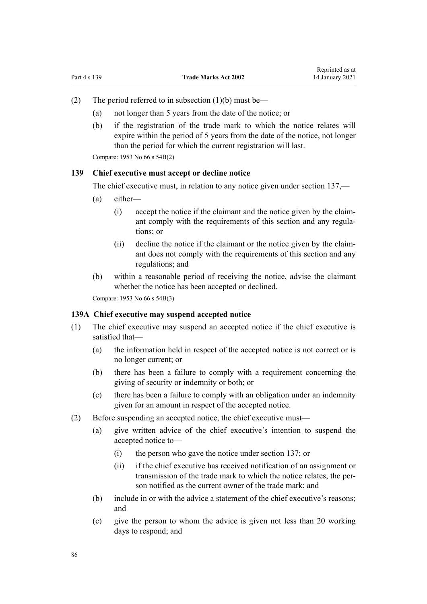- <span id="page-85-0"></span>(2) The period referred to in subsection  $(1)(b)$  must be—
	- (a) not longer than 5 years from the date of the notice; or
	- (b) if the registration of the trade mark to which the notice relates will expire within the period of 5 years from the date of the notice, not longer than the period for which the current registration will last.

Compare: 1953 No 66 s 54B(2)

## **139 Chief executive must accept or decline notice**

The chief executive must, in relation to any notice given under [section 137](#page-84-0),—

- (a) either—
	- (i) accept the notice if the claimant and the notice given by the claimant comply with the requirements of this section and any regulations; or
	- (ii) decline the notice if the claimant or the notice given by the claimant does not comply with the requirements of this section and any regulations; and
- (b) within a reasonable period of receiving the notice, advise the claimant whether the notice has been accepted or declined.

Compare: 1953 No 66 s 54B(3)

## **139A Chief executive may suspend accepted notice**

- (1) The chief executive may suspend an accepted notice if the chief executive is satisfied that—
	- (a) the information held in respect of the accepted notice is not correct or is no longer current; or
	- (b) there has been a failure to comply with a requirement concerning the giving of security or indemnity or both; or
	- (c) there has been a failure to comply with an obligation under an indemnity given for an amount in respect of the accepted notice.
- (2) Before suspending an accepted notice, the chief executive must—
	- (a) give written advice of the chief executive's intention to suspend the accepted notice to—
		- (i) the person who gave the notice under [section 137;](#page-84-0) or
		- (ii) if the chief executive has received notification of an assignment or transmission of the trade mark to which the notice relates, the person notified as the current owner of the trade mark; and
	- (b) include in or with the advice a statement of the chief executive's reasons; and
	- (c) give the person to whom the advice is given not less than 20 working days to respond; and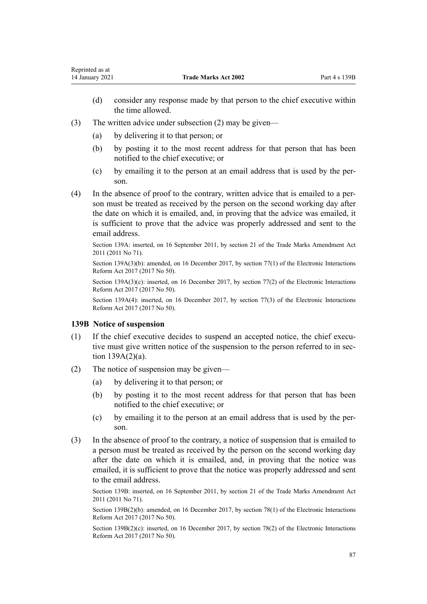- (d) consider any response made by that person to the chief executive within the time allowed.
- (3) The written advice under subsection (2) may be given—
	- (a) by delivering it to that person; or
	- (b) by posting it to the most recent address for that person that has been notified to the chief executive; or
	- (c) by emailing it to the person at an email address that is used by the person.
- (4) In the absence of proof to the contrary, written advice that is emailed to a person must be treated as received by the person on the second working day after the date on which it is emailed, and, in proving that the advice was emailed, it is sufficient to prove that the advice was properly addressed and sent to the email address.

Section 139A: inserted, on 16 September 2011, by [section 21](http://legislation.govt.nz/pdflink.aspx?id=DLM2290104) of the Trade Marks Amendment Act 2011 (2011 No 71).

Section 139A(3)(b): amended, on 16 December 2017, by [section 77\(1\)](http://legislation.govt.nz/pdflink.aspx?id=DLM6962240) of the Electronic Interactions Reform Act 2017 (2017 No 50).

Section 139A(3)(c): inserted, on 16 December 2017, by [section 77\(2\)](http://legislation.govt.nz/pdflink.aspx?id=DLM6962240) of the Electronic Interactions Reform Act 2017 (2017 No 50).

Section 139A(4): inserted, on 16 December 2017, by [section 77\(3\)](http://legislation.govt.nz/pdflink.aspx?id=DLM6962240) of the Electronic Interactions Reform Act 2017 (2017 No 50).

#### **139B Notice of suspension**

- (1) If the chief executive decides to suspend an accepted notice, the chief executive must give written notice of the suspension to the person referred to in [sec](#page-85-0)[tion 139A\(2\)\(a\).](#page-85-0)
- (2) The notice of suspension may be given—
	- (a) by delivering it to that person; or
	- (b) by posting it to the most recent address for that person that has been notified to the chief executive; or
	- (c) by emailing it to the person at an email address that is used by the person.
- (3) In the absence of proof to the contrary, a notice of suspension that is emailed to a person must be treated as received by the person on the second working day after the date on which it is emailed, and, in proving that the notice was emailed, it is sufficient to prove that the notice was properly addressed and sent to the email address.

Section 139B: inserted, on 16 September 2011, by [section 21](http://legislation.govt.nz/pdflink.aspx?id=DLM2290104) of the Trade Marks Amendment Act 2011 (2011 No 71).

Section 139B(2)(b): amended, on 16 December 2017, by [section 78\(1\)](http://legislation.govt.nz/pdflink.aspx?id=DLM6962241) of the Electronic Interactions Reform Act 2017 (2017 No 50).

Section  $139B(2)(c)$ : inserted, on 16 December 2017, by [section 78\(2\)](http://legislation.govt.nz/pdflink.aspx?id=DLM6962241) of the Electronic Interactions Reform Act 2017 (2017 No 50).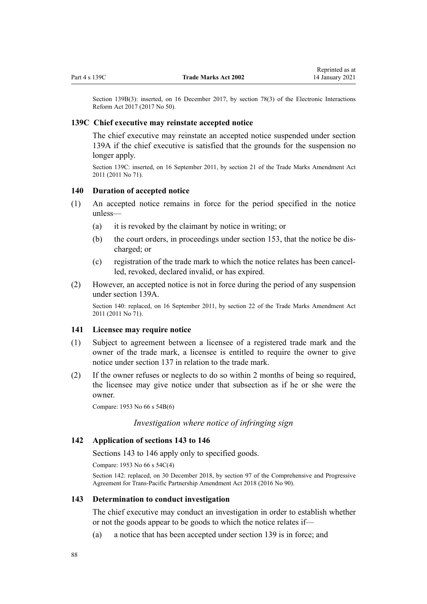<span id="page-87-0"></span>Section 139B(3): inserted, on 16 December 2017, by [section 78\(3\)](http://legislation.govt.nz/pdflink.aspx?id=DLM6962241) of the Electronic Interactions Reform Act 2017 (2017 No 50).

## **139C Chief executive may reinstate accepted notice**

The chief executive may reinstate an accepted notice suspended under [section](#page-85-0) [139A](#page-85-0) if the chief executive is satisfied that the grounds for the suspension no longer apply.

Section 139C: inserted, on 16 September 2011, by [section 21](http://legislation.govt.nz/pdflink.aspx?id=DLM2290104) of the Trade Marks Amendment Act 2011 (2011 No 71).

#### **140 Duration of accepted notice**

- (1) An accepted notice remains in force for the period specified in the notice unless—
	- (a) it is revoked by the claimant by notice in writing; or
	- (b) the court orders, in proceedings under [section 153](#page-90-0), that the notice be discharged; or
	- (c) registration of the trade mark to which the notice relates has been cancelled, revoked, declared invalid, or has expired.
- (2) However, an accepted notice is not in force during the period of any suspension under [section 139A](#page-85-0).

Section 140: replaced, on 16 September 2011, by [section 22](http://legislation.govt.nz/pdflink.aspx?id=DLM2290108) of the Trade Marks Amendment Act 2011 (2011 No 71).

### **141 Licensee may require notice**

- (1) Subject to agreement between a licensee of a registered trade mark and the owner of the trade mark, a licensee is entitled to require the owner to give notice under [section 137](#page-84-0) in relation to the trade mark.
- (2) If the owner refuses or neglects to do so within 2 months of being so required, the licensee may give notice under that subsection as if he or she were the owner.

Compare: 1953 No 66 s 54B(6)

# *Investigation where notice of infringing sign*

# **142 Application of sections 143 to 146**

Sections 143 to 146 apply only to specified goods.

Compare: 1953 No 66 s 54C(4)

Section 142: replaced, on 30 December 2018, by [section 97](http://legislation.govt.nz/pdflink.aspx?id=DLM6838443) of the Comprehensive and Progressive Agreement for Trans-Pacific Partnership Amendment Act 2018 (2016 No 90).

#### **143 Determination to conduct investigation**

The chief executive may conduct an investigation in order to establish whether or not the goods appear to be goods to which the notice relates if—

(a) a notice that has been accepted under [section 139](#page-85-0) is in force; and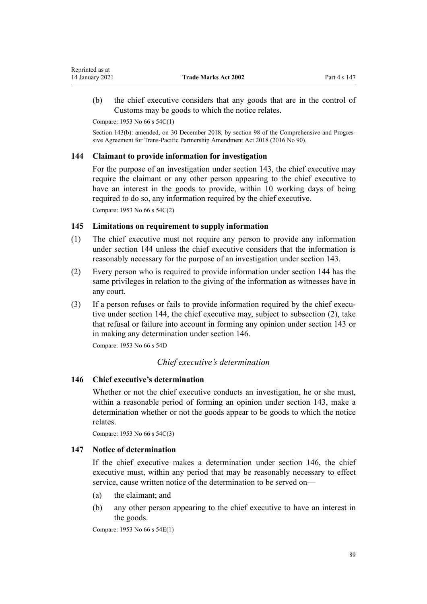<span id="page-88-0"></span>(b) the chief executive considers that any goods that are in the control of Customs may be goods to which the notice relates.

Compare: 1953 No 66 s 54C(1)

Section 143(b): amended, on 30 December 2018, by [section 98](http://legislation.govt.nz/pdflink.aspx?id=DLM6838445) of the Comprehensive and Progressive Agreement for Trans-Pacific Partnership Amendment Act 2018 (2016 No 90).

# **144 Claimant to provide information for investigation**

For the purpose of an investigation under [section 143,](#page-87-0) the chief executive may require the claimant or any other person appearing to the chief executive to have an interest in the goods to provide, within 10 working days of being required to do so, any information required by the chief executive. Compare: 1953 No 66 s 54C(2)

# **145 Limitations on requirement to supply information**

- (1) The chief executive must not require any person to provide any information under section 144 unless the chief executive considers that the information is reasonably necessary for the purpose of an investigation under [section 143](#page-87-0).
- (2) Every person who is required to provide information under section 144 has the same privileges in relation to the giving of the information as witnesses have in any court.
- (3) If a person refuses or fails to provide information required by the chief executive under section 144, the chief executive may, subject to subsection (2), take that refusal or failure into account in forming any opinion under [section 143](#page-87-0) or in making any determination under section 146.

Compare: 1953 No 66 s 54D

# *Chief executive's determination*

# **146 Chief executive's determination**

Whether or not the chief executive conducts an investigation, he or she must, within a reasonable period of forming an opinion under [section 143](#page-87-0), make a determination whether or not the goods appear to be goods to which the notice relates.

Compare: 1953 No 66 s 54C(3)

# **147 Notice of determination**

If the chief executive makes a determination under section 146, the chief executive must, within any period that may be reasonably necessary to effect service, cause written notice of the determination to be served on—

- (a) the claimant; and
- (b) any other person appearing to the chief executive to have an interest in the goods.

Compare: 1953 No 66 s 54E(1)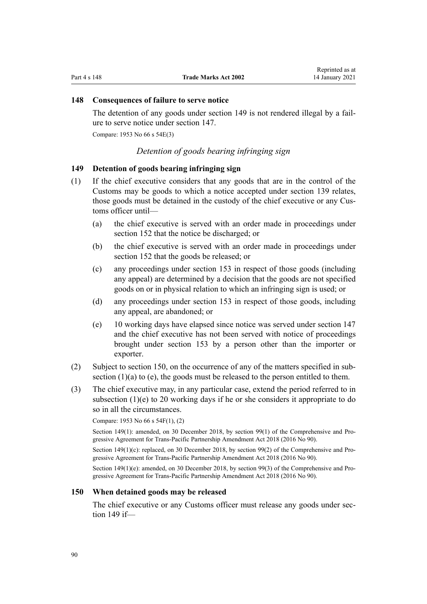# <span id="page-89-0"></span>**148 Consequences of failure to serve notice**

The detention of any goods under section 149 is not rendered illegal by a failure to serve notice under [section 147](#page-88-0).

Compare: 1953 No 66 s 54E(3)

# *Detention of goods bearing infringing sign*

# **149 Detention of goods bearing infringing sign**

- (1) If the chief executive considers that any goods that are in the control of the Customs may be goods to which a notice accepted under [section 139](#page-85-0) relates, those goods must be detained in the custody of the chief executive or any Customs officer until—
	- (a) the chief executive is served with an order made in proceedings under [section 152](#page-90-0) that the notice be discharged; or
	- (b) the chief executive is served with an order made in proceedings under [section 152](#page-90-0) that the goods be released; or
	- (c) any proceedings under [section 153](#page-90-0) in respect of those goods (including any appeal) are determined by a decision that the goods are not specified goods on or in physical relation to which an infringing sign is used; or
	- (d) any proceedings under [section 153](#page-90-0) in respect of those goods, including any appeal, are abandoned; or
	- (e) 10 working days have elapsed since notice was served under [section 147](#page-88-0) and the chief executive has not been served with notice of proceedings brought under [section 153](#page-90-0) by a person other than the importer or exporter.
- (2) Subject to section 150, on the occurrence of any of the matters specified in subsection  $(1)(a)$  to  $(e)$ , the goods must be released to the person entitled to them.
- (3) The chief executive may, in any particular case, extend the period referred to in subsection (1)(e) to 20 working days if he or she considers it appropriate to do so in all the circumstances.

Compare: 1953 No 66 s 54F(1), (2)

Section 149(1): amended, on 30 December 2018, by [section 99\(1\)](http://legislation.govt.nz/pdflink.aspx?id=DLM6838446) of the Comprehensive and Progressive Agreement for Trans-Pacific Partnership Amendment Act 2018 (2016 No 90).

Section 149(1)(c): replaced, on 30 December 2018, by [section 99\(2\)](http://legislation.govt.nz/pdflink.aspx?id=DLM6838446) of the Comprehensive and Progressive Agreement for Trans-Pacific Partnership Amendment Act 2018 (2016 No 90).

Section 149(1)(e): amended, on 30 December 2018, by [section 99\(3\)](http://legislation.govt.nz/pdflink.aspx?id=DLM6838446) of the Comprehensive and Progressive Agreement for Trans-Pacific Partnership Amendment Act 2018 (2016 No 90).

#### **150 When detained goods may be released**

The chief executive or any Customs officer must release any goods under section 149 if—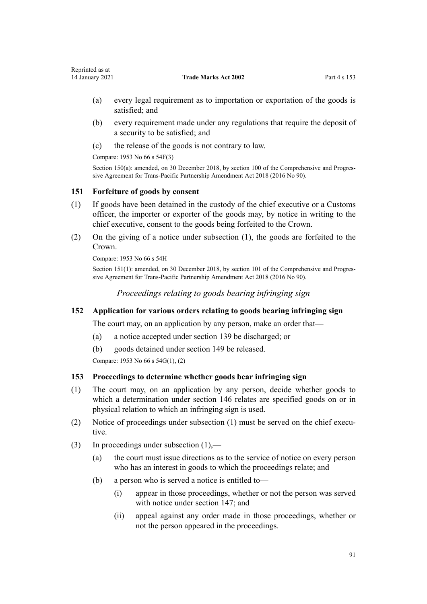- <span id="page-90-0"></span>(a) every legal requirement as to importation or exportation of the goods is satisfied; and
- (b) every requirement made under any regulations that require the deposit of a security to be satisfied; and
- (c) the release of the goods is not contrary to law.

Compare: 1953 No 66 s 54F(3)

Section 150(a): amended, on 30 December 2018, by [section 100](http://legislation.govt.nz/pdflink.aspx?id=DLM6838447) of the Comprehensive and Progressive Agreement for Trans-Pacific Partnership Amendment Act 2018 (2016 No 90).

# **151 Forfeiture of goods by consent**

- (1) If goods have been detained in the custody of the chief executive or a Customs officer, the importer or exporter of the goods may, by notice in writing to the chief executive, consent to the goods being forfeited to the Crown.
- (2) On the giving of a notice under subsection (1), the goods are forfeited to the Crown.

Compare: 1953 No 66 s 54H

Section 151(1): amended, on 30 December 2018, by [section 101](http://legislation.govt.nz/pdflink.aspx?id=DLM6838448) of the Comprehensive and Progressive Agreement for Trans-Pacific Partnership Amendment Act 2018 (2016 No 90).

*Proceedings relating to goods bearing infringing sign*

# **152 Application for various orders relating to goods bearing infringing sign**

The court may, on an application by any person, make an order that—

- (a) a notice accepted under [section 139](#page-85-0) be discharged; or
- (b) goods detained under [section 149](#page-89-0) be released.

Compare: 1953 No 66 s 54G(1), (2)

# **153 Proceedings to determine whether goods bear infringing sign**

- (1) The court may, on an application by any person, decide whether goods to which a determination under [section 146](#page-88-0) relates are specified goods on or in physical relation to which an infringing sign is used.
- (2) Notice of proceedings under subsection (1) must be served on the chief executive.
- (3) In proceedings under subsection (1),—
	- (a) the court must issue directions as to the service of notice on every person who has an interest in goods to which the proceedings relate; and
	- (b) a person who is served a notice is entitled to—
		- (i) appear in those proceedings, whether or not the person was served with notice under [section 147](#page-88-0); and
		- (ii) appeal against any order made in those proceedings, whether or not the person appeared in the proceedings.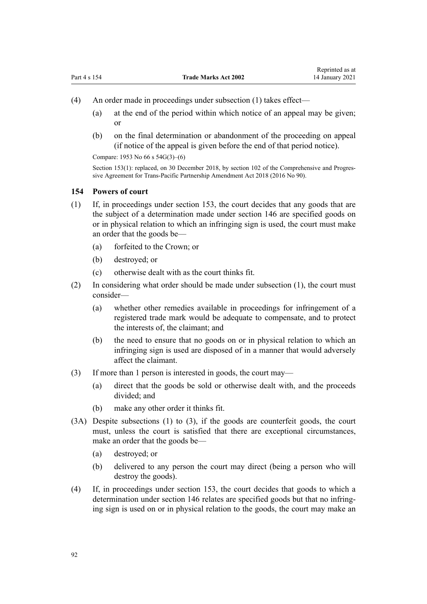- (4) An order made in proceedings under subsection (1) takes effect—
	- (a) at the end of the period within which notice of an appeal may be given; or
	- (b) on the final determination or abandonment of the proceeding on appeal (if notice of the appeal is given before the end of that period notice).

Compare: 1953 No 66 s 54G(3)–(6)

Section 153(1): replaced, on 30 December 2018, by [section 102](http://legislation.govt.nz/pdflink.aspx?id=DLM6838449) of the Comprehensive and Progressive Agreement for Trans-Pacific Partnership Amendment Act 2018 (2016 No 90).

#### **154 Powers of court**

- (1) If, in proceedings under [section 153,](#page-90-0) the court decides that any goods that are the subject of a determination made under [section 146](#page-88-0) are specified goods on or in physical relation to which an infringing sign is used, the court must make an order that the goods be—
	- (a) forfeited to the Crown; or
	- (b) destroyed; or
	- (c) otherwise dealt with as the court thinks fit.
- (2) In considering what order should be made under subsection (1), the court must consider—
	- (a) whether other remedies available in proceedings for infringement of a registered trade mark would be adequate to compensate, and to protect the interests of, the claimant; and
	- (b) the need to ensure that no goods on or in physical relation to which an infringing sign is used are disposed of in a manner that would adversely affect the claimant.
- (3) If more than 1 person is interested in goods, the court may—
	- (a) direct that the goods be sold or otherwise dealt with, and the proceeds divided; and
	- (b) make any other order it thinks fit.
- (3A) Despite subsections (1) to (3), if the goods are counterfeit goods, the court must, unless the court is satisfied that there are exceptional circumstances, make an order that the goods be—
	- (a) destroyed; or
	- (b) delivered to any person the court may direct (being a person who will destroy the goods).
- (4) If, in proceedings under [section 153,](#page-90-0) the court decides that goods to which a determination under [section 146](#page-88-0) relates are specified goods but that no infringing sign is used on or in physical relation to the goods, the court may make an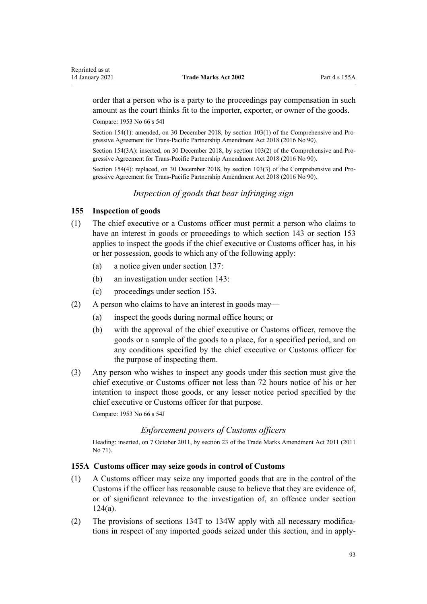<span id="page-92-0"></span>order that a person who is a party to the proceedings pay compensation in such amount as the court thinks fit to the importer, exporter, or owner of the goods.

Compare: 1953 No 66 s 54I

Section 154(1): amended, on 30 December 2018, by [section 103\(1\)](http://legislation.govt.nz/pdflink.aspx?id=DLM6838450) of the Comprehensive and Progressive Agreement for Trans-Pacific Partnership Amendment Act 2018 (2016 No 90).

Section 154(3A): inserted, on 30 December 2018, by [section 103\(2\)](http://legislation.govt.nz/pdflink.aspx?id=DLM6838450) of the Comprehensive and Progressive Agreement for Trans-Pacific Partnership Amendment Act 2018 (2016 No 90).

Section 154(4): replaced, on 30 December 2018, by [section 103\(3\)](http://legislation.govt.nz/pdflink.aspx?id=DLM6838450) of the Comprehensive and Progressive Agreement for Trans-Pacific Partnership Amendment Act 2018 (2016 No 90).

*Inspection of goods that bear infringing sign*

# **155 Inspection of goods**

- (1) The chief executive or a Customs officer must permit a person who claims to have an interest in goods or proceedings to which [section 143](#page-87-0) or [section 153](#page-90-0) applies to inspect the goods if the chief executive or Customs officer has, in his or her possession, goods to which any of the following apply:
	- (a) a notice given under [section 137](#page-84-0):
	- (b) an investigation under [section 143:](#page-87-0)
	- (c) proceedings under [section 153](#page-90-0).
- (2) A person who claims to have an interest in goods may—
	- (a) inspect the goods during normal office hours; or
	- (b) with the approval of the chief executive or Customs officer, remove the goods or a sample of the goods to a place, for a specified period, and on any conditions specified by the chief executive or Customs officer for the purpose of inspecting them.
- (3) Any person who wishes to inspect any goods under this section must give the chief executive or Customs officer not less than 72 hours notice of his or her intention to inspect those goods, or any lesser notice period specified by the chief executive or Customs officer for that purpose.

Compare: 1953 No 66 s 54J

# *Enforcement powers of Customs officers*

Heading: inserted, on 7 October 2011, by [section 23](http://legislation.govt.nz/pdflink.aspx?id=DLM2290110) of the Trade Marks Amendment Act 2011 (2011 No 71).

# **155A Customs officer may seize goods in control of Customs**

- (1) A Customs officer may seize any imported goods that are in the control of the Customs if the officer has reasonable cause to believe that they are evidence of, or of significant relevance to the investigation of, an offence under [section](#page-60-0) [124\(a\)](#page-60-0).
- (2) The provisions of [sections 134T to 134W](#page-75-0) apply with all necessary modifications in respect of any imported goods seized under this section, and in apply-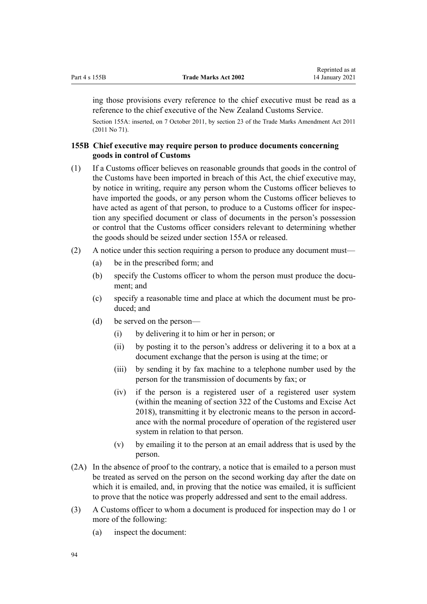<span id="page-93-0"></span>ing those provisions every reference to the chief executive must be read as a reference to the chief executive of the New Zealand Customs Service.

Section 155A: inserted, on 7 October 2011, by [section 23](http://legislation.govt.nz/pdflink.aspx?id=DLM2290110) of the Trade Marks Amendment Act 2011 (2011 No 71).

# **155B Chief executive may require person to produce documents concerning goods in control of Customs**

- (1) If a Customs officer believes on reasonable grounds that goods in the control of the Customs have been imported in breach of this Act, the chief executive may, by notice in writing, require any person whom the Customs officer believes to have imported the goods, or any person whom the Customs officer believes to have acted as agent of that person, to produce to a Customs officer for inspection any specified document or class of documents in the person's possession or control that the Customs officer considers relevant to determining whether the goods should be seized under [section 155A](#page-92-0) or released.
- (2) A notice under this section requiring a person to produce any document must—
	- (a) be in the prescribed form; and
	- (b) specify the Customs officer to whom the person must produce the document; and
	- (c) specify a reasonable time and place at which the document must be produced; and
	- (d) be served on the person—
		- (i) by delivering it to him or her in person; or
		- (ii) by posting it to the person's address or delivering it to a box at a document exchange that the person is using at the time; or
		- (iii) by sending it by fax machine to a telephone number used by the person for the transmission of documents by fax; or
		- (iv) if the person is a registered user of a registered user system (within the meaning of [section 322](http://legislation.govt.nz/pdflink.aspx?id=DLM7039763) of the Customs and Excise Act 2018), transmitting it by electronic means to the person in accordance with the normal procedure of operation of the registered user system in relation to that person.
		- (v) by emailing it to the person at an email address that is used by the person.
- (2A) In the absence of proof to the contrary, a notice that is emailed to a person must be treated as served on the person on the second working day after the date on which it is emailed, and, in proving that the notice was emailed, it is sufficient to prove that the notice was properly addressed and sent to the email address.
- (3) A Customs officer to whom a document is produced for inspection may do 1 or more of the following:
	- (a) inspect the document: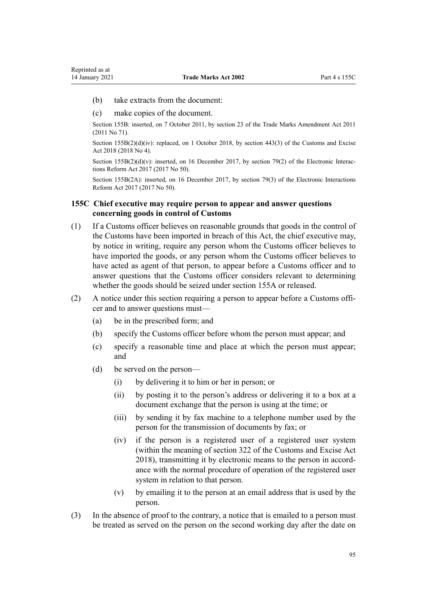- <span id="page-94-0"></span>(b) take extracts from the document:
- (c) make copies of the document.

Section 155B: inserted, on 7 October 2011, by [section 23](http://legislation.govt.nz/pdflink.aspx?id=DLM2290110) of the Trade Marks Amendment Act 2011 (2011 No 71).

Section 155B(2)(d)(iv): replaced, on 1 October 2018, by [section 443\(3\)](http://legislation.govt.nz/pdflink.aspx?id=DLM7039957) of the Customs and Excise Act 2018 (2018 No 4).

Section  $155B(2)(d)(v)$ : inserted, on 16 December 2017, by [section 79\(2\)](http://legislation.govt.nz/pdflink.aspx?id=DLM6962242) of the Electronic Interactions Reform Act 2017 (2017 No 50).

Section 155B(2A): inserted, on 16 December 2017, by [section 79\(3\)](http://legislation.govt.nz/pdflink.aspx?id=DLM6962242) of the Electronic Interactions Reform Act 2017 (2017 No 50).

# **155C Chief executive may require person to appear and answer questions concerning goods in control of Customs**

- (1) If a Customs officer believes on reasonable grounds that goods in the control of the Customs have been imported in breach of this Act, the chief executive may, by notice in writing, require any person whom the Customs officer believes to have imported the goods, or any person whom the Customs officer believes to have acted as agent of that person, to appear before a Customs officer and to answer questions that the Customs officer considers relevant to determining whether the goods should be seized under [section 155A](#page-92-0) or released.
- (2) A notice under this section requiring a person to appear before a Customs officer and to answer questions must—
	- (a) be in the prescribed form; and
	- (b) specify the Customs officer before whom the person must appear; and
	- (c) specify a reasonable time and place at which the person must appear; and
	- (d) be served on the person—
		- (i) by delivering it to him or her in person; or
		- (ii) by posting it to the person's address or delivering it to a box at a document exchange that the person is using at the time; or
		- (iii) by sending it by fax machine to a telephone number used by the person for the transmission of documents by fax; or
		- (iv) if the person is a registered user of a registered user system (within the meaning of [section 322](http://legislation.govt.nz/pdflink.aspx?id=DLM7039763) of the Customs and Excise Act 2018), transmitting it by electronic means to the person in accordance with the normal procedure of operation of the registered user system in relation to that person.
		- (v) by emailing it to the person at an email address that is used by the person.
- (3) In the absence of proof to the contrary, a notice that is emailed to a person must be treated as served on the person on the second working day after the date on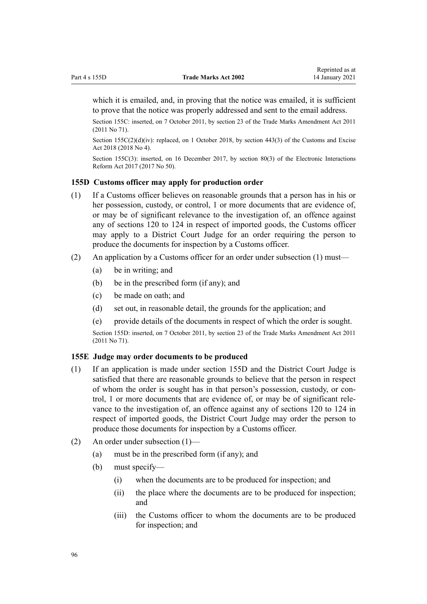<span id="page-95-0"></span>which it is emailed, and, in proving that the notice was emailed, it is sufficient to prove that the notice was properly addressed and sent to the email address.

Section 155C: inserted, on 7 October 2011, by [section 23](http://legislation.govt.nz/pdflink.aspx?id=DLM2290110) of the Trade Marks Amendment Act 2011 (2011 No 71).

Section 155C(2)(d)(iv): replaced, on 1 October 2018, by [section 443\(3\)](http://legislation.govt.nz/pdflink.aspx?id=DLM7039957) of the Customs and Excise Act 2018 (2018 No 4).

Section 155C(3): inserted, on 16 December 2017, by [section 80\(3\)](http://legislation.govt.nz/pdflink.aspx?id=DLM6962243) of the Electronic Interactions Reform Act 2017 (2017 No 50).

#### **155D Customs officer may apply for production order**

- (1) If a Customs officer believes on reasonable grounds that a person has in his or her possession, custody, or control, 1 or more documents that are evidence of, or may be of significant relevance to the investigation of, an offence against any of [sections 120 to 124](#page-58-0) in respect of imported goods, the Customs officer may apply to a District Court Judge for an order requiring the person to produce the documents for inspection by a Customs officer.
- (2) An application by a Customs officer for an order under subsection (1) must—
	- (a) be in writing; and
	- (b) be in the prescribed form (if any); and
	- (c) be made on oath; and
	- (d) set out, in reasonable detail, the grounds for the application; and
	- (e) provide details of the documents in respect of which the order is sought.

Section 155D: inserted, on 7 October 2011, by [section 23](http://legislation.govt.nz/pdflink.aspx?id=DLM2290110) of the Trade Marks Amendment Act 2011 (2011 No 71).

## **155E Judge may order documents to be produced**

- (1) If an application is made under section 155D and the District Court Judge is satisfied that there are reasonable grounds to believe that the person in respect of whom the order is sought has in that person's possession, custody, or control, 1 or more documents that are evidence of, or may be of significant relevance to the investigation of, an offence against any of [sections 120 to 124](#page-58-0) in respect of imported goods, the District Court Judge may order the person to produce those documents for inspection by a Customs officer.
- (2) An order under subsection (1)—
	- (a) must be in the prescribed form (if any); and
	- (b) must specify—
		- (i) when the documents are to be produced for inspection; and
		- (ii) the place where the documents are to be produced for inspection; and
		- (iii) the Customs officer to whom the documents are to be produced for inspection; and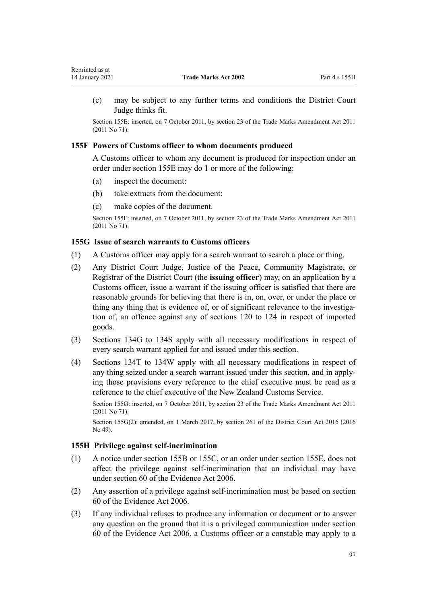<span id="page-96-0"></span>(c) may be subject to any further terms and conditions the District Court Judge thinks fit.

Section 155E: inserted, on 7 October 2011, by [section 23](http://legislation.govt.nz/pdflink.aspx?id=DLM2290110) of the Trade Marks Amendment Act 2011 (2011 No 71).

# **155F Powers of Customs officer to whom documents produced**

A Customs officer to whom any document is produced for inspection under an order under [section 155E](#page-95-0) may do 1 or more of the following:

- (a) inspect the document:
- (b) take extracts from the document:
- (c) make copies of the document.

Section 155F: inserted, on 7 October 2011, by [section 23](http://legislation.govt.nz/pdflink.aspx?id=DLM2290110) of the Trade Marks Amendment Act 2011 (2011 No 71).

# **155G Issue of search warrants to Customs officers**

- (1) A Customs officer may apply for a search warrant to search a place or thing.
- (2) Any District Court Judge, Justice of the Peace, Community Magistrate, or Registrar of the District Court (the **issuing officer**) may, on an application by a Customs officer, issue a warrant if the issuing officer is satisfied that there are reasonable grounds for believing that there is in, on, over, or under the place or thing any thing that is evidence of, or of significant relevance to the investigation of, an offence against any of [sections 120 to 124](#page-58-0) in respect of imported goods.
- (3) [Sections 134G to 134S](#page-66-0) apply with all necessary modifications in respect of every search warrant applied for and issued under this section.
- (4) [Sections 134T to 134W](#page-75-0) apply with all necessary modifications in respect of any thing seized under a search warrant issued under this section, and in applying those provisions every reference to the chief executive must be read as a reference to the chief executive of the New Zealand Customs Service.

Section 155G: inserted, on 7 October 2011, by [section 23](http://legislation.govt.nz/pdflink.aspx?id=DLM2290110) of the Trade Marks Amendment Act 2011 (2011 No 71).

Section 155G(2): amended, on 1 March 2017, by [section 261](http://legislation.govt.nz/pdflink.aspx?id=DLM6942680) of the District Court Act 2016 (2016 No 49).

# **155H Privilege against self-incrimination**

- (1) A notice under [section 155B](#page-93-0) or [155C](#page-94-0), or an order under [section 155E](#page-95-0), does not affect the privilege against self-incrimination that an individual may have under [section 60](http://legislation.govt.nz/pdflink.aspx?id=DLM393672) of the Evidence Act 2006.
- (2) Any assertion of a privilege against self-incrimination must be based on [section](http://legislation.govt.nz/pdflink.aspx?id=DLM393672) [60](http://legislation.govt.nz/pdflink.aspx?id=DLM393672) of the Evidence Act 2006.
- (3) If any individual refuses to produce any information or document or to answer any question on the ground that it is a privileged communication under [section](http://legislation.govt.nz/pdflink.aspx?id=DLM393672) [60](http://legislation.govt.nz/pdflink.aspx?id=DLM393672) of the Evidence Act 2006, a Customs officer or a constable may apply to a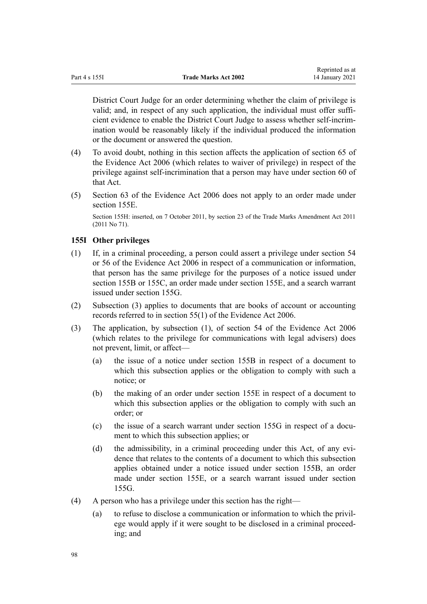District Court Judge for an order determining whether the claim of privilege is valid; and, in respect of any such application, the individual must offer sufficient evidence to enable the District Court Judge to assess whether self-incrimination would be reasonably likely if the individual produced the information or the document or answered the question.

- (4) To avoid doubt, nothing in this section affects the application of [section 65](http://legislation.govt.nz/pdflink.aspx?id=DLM393677) of the Evidence Act 2006 (which relates to waiver of privilege) in respect of the privilege against self-incrimination that a person may have under [section 60](http://legislation.govt.nz/pdflink.aspx?id=DLM393672) of that Act.
- (5) [Section 63](http://legislation.govt.nz/pdflink.aspx?id=DLM393675) of the Evidence Act 2006 does not apply to an order made under [section 155E.](#page-95-0)

Section 155H: inserted, on 7 October 2011, by [section 23](http://legislation.govt.nz/pdflink.aspx?id=DLM2290110) of the Trade Marks Amendment Act 2011 (2011 No 71).

# **155I Other privileges**

- (1) If, in a criminal proceeding, a person could assert a privilege under [section 54](http://legislation.govt.nz/pdflink.aspx?id=DLM393659) or [56](http://legislation.govt.nz/pdflink.aspx?id=DLM393663) of the Evidence Act 2006 in respect of a communication or information, that person has the same privilege for the purposes of a notice issued under [section 155B](#page-93-0) or [155C](#page-94-0), an order made under [section 155E,](#page-95-0) and a search warrant issued under [section 155G.](#page-96-0)
- (2) Subsection (3) applies to documents that are books of account or accounting records referred to in [section 55\(1\)](http://legislation.govt.nz/pdflink.aspx?id=DLM393662) of the Evidence Act 2006.
- (3) The application, by subsection (1), of section 54 of the Evidence Act 2006 (which relates to the privilege for communications with legal advisers) does not prevent, limit, or affect—
	- (a) the issue of a notice under [section 155B](#page-93-0) in respect of a document to which this subsection applies or the obligation to comply with such a notice; or
	- (b) the making of an order under [section 155E](#page-95-0) in respect of a document to which this subsection applies or the obligation to comply with such an order; or
	- (c) the issue of a search warrant under [section 155G](#page-96-0) in respect of a document to which this subsection applies; or
	- (d) the admissibility, in a criminal proceeding under this Act, of any evidence that relates to the contents of a document to which this subsection applies obtained under a notice issued under [section 155B](#page-93-0), an order made under [section 155E,](#page-95-0) or a search warrant issued under [section](#page-96-0) [155G.](#page-96-0)
- (4) A person who has a privilege under this section has the right—
	- (a) to refuse to disclose a communication or information to which the privilege would apply if it were sought to be disclosed in a criminal proceeding; and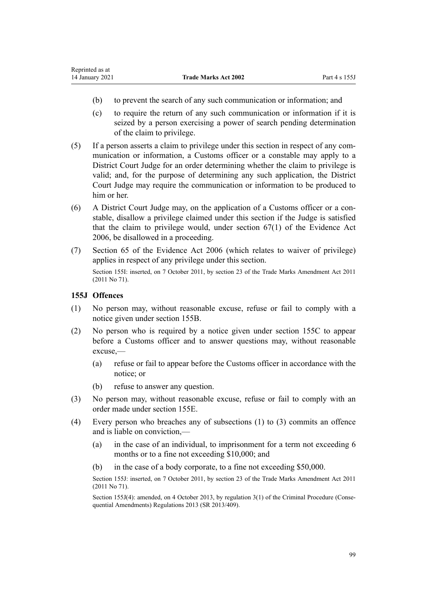- (b) to prevent the search of any such communication or information; and
- (c) to require the return of any such communication or information if it is seized by a person exercising a power of search pending determination of the claim to privilege.
- (5) If a person asserts a claim to privilege under this section in respect of any communication or information, a Customs officer or a constable may apply to a District Court Judge for an order determining whether the claim to privilege is valid; and, for the purpose of determining any such application, the District Court Judge may require the communication or information to be produced to him or her.
- (6) A District Court Judge may, on the application of a Customs officer or a constable, disallow a privilege claimed under this section if the Judge is satisfied that the claim to privilege would, under [section 67\(1\)](http://legislation.govt.nz/pdflink.aspx?id=DLM393679) of the Evidence Act 2006, be disallowed in a proceeding.
- (7) [Section 65](http://legislation.govt.nz/pdflink.aspx?id=DLM393677) of the Evidence Act 2006 (which relates to waiver of privilege) applies in respect of any privilege under this section. Section 155I: inserted, on 7 October 2011, by [section 23](http://legislation.govt.nz/pdflink.aspx?id=DLM2290110) of the Trade Marks Amendment Act 2011 (2011 No 71).

# **155J Offences**

- (1) No person may, without reasonable excuse, refuse or fail to comply with a notice given under [section 155B](#page-93-0).
- (2) No person who is required by a notice given under [section 155C](#page-94-0) to appear before a Customs officer and to answer questions may, without reasonable excuse,—
	- (a) refuse or fail to appear before the Customs officer in accordance with the notice; or
	- (b) refuse to answer any question.
- (3) No person may, without reasonable excuse, refuse or fail to comply with an order made under [section 155E.](#page-95-0)
- (4) Every person who breaches any of subsections (1) to (3) commits an offence and is liable on conviction,—
	- (a) in the case of an individual, to imprisonment for a term not exceeding 6 months or to a fine not exceeding \$10,000; and
	- (b) in the case of a body corporate, to a fine not exceeding \$50,000.

Section 155J: inserted, on 7 October 2011, by [section 23](http://legislation.govt.nz/pdflink.aspx?id=DLM2290110) of the Trade Marks Amendment Act 2011 (2011 No 71).

Section 155J(4): amended, on 4 October 2013, by [regulation 3\(1\)](http://legislation.govt.nz/pdflink.aspx?id=DLM5642106) of the Criminal Procedure (Consequential Amendments) Regulations 2013 (SR 2013/409).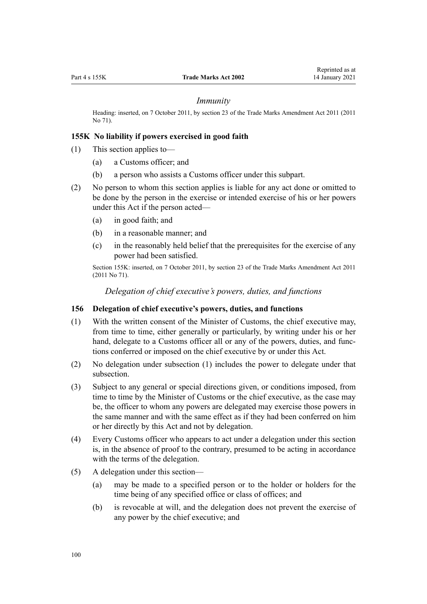#### *Immunity*

Heading: inserted, on 7 October 2011, by [section 23](http://legislation.govt.nz/pdflink.aspx?id=DLM2290110) of the Trade Marks Amendment Act 2011 (2011 No 71).

# **155K No liability if powers exercised in good faith**

- (1) This section applies to—
	- (a) a Customs officer; and
	- (b) a person who assists a Customs officer under this subpart.
- (2) No person to whom this section applies is liable for any act done or omitted to be done by the person in the exercise or intended exercise of his or her powers under this Act if the person acted—
	- (a) in good faith; and
	- (b) in a reasonable manner; and
	- (c) in the reasonably held belief that the prerequisites for the exercise of any power had been satisfied.

Section 155K: inserted, on 7 October 2011, by [section 23](http://legislation.govt.nz/pdflink.aspx?id=DLM2290110) of the Trade Marks Amendment Act 2011 (2011 No 71).

*Delegation of chief executive's powers, duties, and functions*

#### **156 Delegation of chief executive's powers, duties, and functions**

- (1) With the written consent of the Minister of Customs, the chief executive may, from time to time, either generally or particularly, by writing under his or her hand, delegate to a Customs officer all or any of the powers, duties, and functions conferred or imposed on the chief executive by or under this Act.
- (2) No delegation under subsection (1) includes the power to delegate under that subsection.
- (3) Subject to any general or special directions given, or conditions imposed, from time to time by the Minister of Customs or the chief executive, as the case may be, the officer to whom any powers are delegated may exercise those powers in the same manner and with the same effect as if they had been conferred on him or her directly by this Act and not by delegation.
- (4) Every Customs officer who appears to act under a delegation under this section is, in the absence of proof to the contrary, presumed to be acting in accordance with the terms of the delegation.
- (5) A delegation under this section—
	- (a) may be made to a specified person or to the holder or holders for the time being of any specified office or class of offices; and
	- (b) is revocable at will, and the delegation does not prevent the exercise of any power by the chief executive; and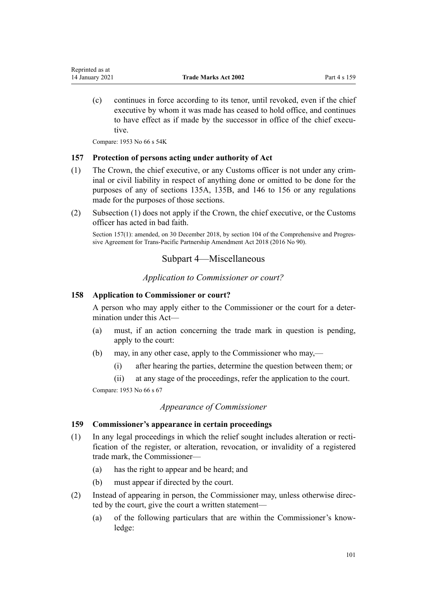(c) continues in force according to its tenor, until revoked, even if the chief executive by whom it was made has ceased to hold office, and continues to have effect as if made by the successor in office of the chief executive.

Compare: 1953 No 66 s 54K

# **157 Protection of persons acting under authority of Act**

- (1) The Crown, the chief executive, or any Customs officer is not under any criminal or civil liability in respect of anything done or omitted to be done for the purposes of any of [sections 135A](#page-83-0), [135B,](#page-83-0) and [146 to 156](#page-88-0) or any regulations made for the purposes of those sections.
- (2) Subsection (1) does not apply if the Crown, the chief executive, or the Customs officer has acted in bad faith.

Section 157(1): amended, on 30 December 2018, by [section 104](http://legislation.govt.nz/pdflink.aspx?id=DLM6838451) of the Comprehensive and Progressive Agreement for Trans-Pacific Partnership Amendment Act 2018 (2016 No 90).

# Subpart 4—Miscellaneous

*Application to Commissioner or court?*

# **158 Application to Commissioner or court?**

A person who may apply either to the Commissioner or the court for a determination under this Act—

- (a) must, if an action concerning the trade mark in question is pending, apply to the court:
- (b) may, in any other case, apply to the Commissioner who may,—
	- (i) after hearing the parties, determine the question between them; or
	- (ii) at any stage of the proceedings, refer the application to the court.

Compare: 1953 No 66 s 67

# *Appearance of Commissioner*

# **159 Commissioner's appearance in certain proceedings**

- (1) In any legal proceedings in which the relief sought includes alteration or rectification of the register, or alteration, revocation, or invalidity of a registered trade mark, the Commissioner—
	- (a) has the right to appear and be heard; and
	- (b) must appear if directed by the court.
- (2) Instead of appearing in person, the Commissioner may, unless otherwise directed by the court, give the court a written statement—
	- (a) of the following particulars that are within the Commissioner's knowledge: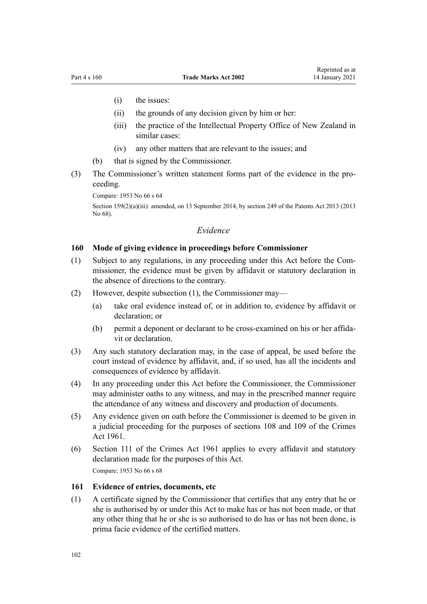- (i) the issues:
- (ii) the grounds of any decision given by him or her:
- (iii) the practice of the Intellectual Property Office of New Zealand in similar cases:
- (iv) any other matters that are relevant to the issues; and
- (b) that is signed by the Commissioner.
- (3) The Commissioner's written statement forms part of the evidence in the proceeding.

Compare: 1953 No 66 s 64

Section 159(2)(a)(iii): amended, on 13 September 2014, by [section 249](http://legislation.govt.nz/pdflink.aspx?id=DLM1419624) of the Patents Act 2013 (2013) No 68).

# *Evidence*

## **160 Mode of giving evidence in proceedings before Commissioner**

- (1) Subject to any regulations, in any proceeding under this Act before the Commissioner, the evidence must be given by affidavit or statutory declaration in the absence of directions to the contrary.
- (2) However, despite subsection (1), the Commissioner may—
	- (a) take oral evidence instead of, or in addition to, evidence by affidavit or declaration; or
	- (b) permit a deponent or declarant to be cross-examined on his or her affidavit or declaration.
- (3) Any such statutory declaration may, in the case of appeal, be used before the court instead of evidence by affidavit, and, if so used, has all the incidents and consequences of evidence by affidavit.
- (4) In any proceeding under this Act before the Commissioner, the Commissioner may administer oaths to any witness, and may in the prescribed manner require the attendance of any witness and discovery and production of documents.
- (5) Any evidence given on oath before the Commissioner is deemed to be given in a judicial proceeding for the purposes of [sections 108](http://legislation.govt.nz/pdflink.aspx?id=DLM328793) and [109](http://legislation.govt.nz/pdflink.aspx?id=DLM328796) of the Crimes Act 1961.
- (6) [Section 111](http://legislation.govt.nz/pdflink.aspx?id=DLM328799) of the Crimes Act 1961 applies to every affidavit and statutory declaration made for the purposes of this Act. Compare: 1953 No 66 s 68

#### **161 Evidence of entries, documents, etc**

(1) A certificate signed by the Commissioner that certifies that any entry that he or she is authorised by or under this Act to make has or has not been made, or that any other thing that he or she is so authorised to do has or has not been done, is prima facie evidence of the certified matters.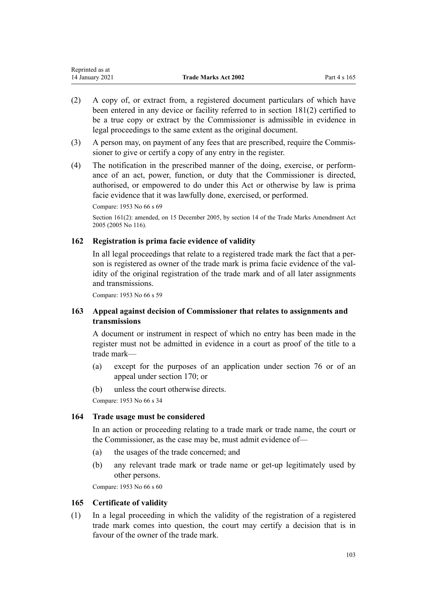| Reprinted as at |                             |              |
|-----------------|-----------------------------|--------------|
| 14 January 2021 | <b>Trade Marks Act 2002</b> | Part 4 s 165 |

- (2) A copy of, or extract from, a registered document particulars of which have been entered in any device or facility referred to in [section 181\(2\)](#page-107-0) certified to be a true copy or extract by the Commissioner is admissible in evidence in legal proceedings to the same extent as the original document.
- (3) A person may, on payment of any fees that are prescribed, require the Commissioner to give or certify a copy of any entry in the register.
- (4) The notification in the prescribed manner of the doing, exercise, or performance of an act, power, function, or duty that the Commissioner is directed, authorised, or empowered to do under this Act or otherwise by law is prima facie evidence that it was lawfully done, exercised, or performed.

Compare: 1953 No 66 s 69

Section 161(2): amended, on 15 December 2005, by [section 14](http://legislation.govt.nz/pdflink.aspx?id=DLM362648) of the Trade Marks Amendment Act 2005 (2005 No 116).

# **162 Registration is prima facie evidence of validity**

In all legal proceedings that relate to a registered trade mark the fact that a person is registered as owner of the trade mark is prima facie evidence of the validity of the original registration of the trade mark and of all later assignments and transmissions.

Compare: 1953 No 66 s 59

# **163 Appeal against decision of Commissioner that relates to assignments and transmissions**

A document or instrument in respect of which no entry has been made in the register must not be admitted in evidence in a court as proof of the title to a trade mark—

- (a) except for the purposes of an application under [section 76](#page-44-0) or of an appeal under [section 170;](#page-104-0) or
- (b) unless the court otherwise directs.

Compare: 1953 No 66 s 34

# **164 Trade usage must be considered**

In an action or proceeding relating to a trade mark or trade name, the court or the Commissioner, as the case may be, must admit evidence of—

- (a) the usages of the trade concerned; and
- (b) any relevant trade mark or trade name or get-up legitimately used by other persons.

Compare: 1953 No 66 s 60

# **165 Certificate of validity**

(1) In a legal proceeding in which the validity of the registration of a registered trade mark comes into question, the court may certify a decision that is in favour of the owner of the trade mark.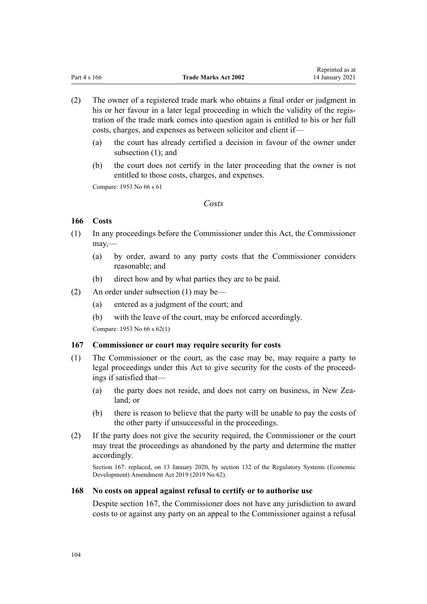- (2) The owner of a registered trade mark who obtains a final order or judgment in his or her favour in a later legal proceeding in which the validity of the registration of the trade mark comes into question again is entitled to his or her full costs, charges, and expenses as between solicitor and client if—
	- (a) the court has already certified a decision in favour of the owner under subsection (1); and
	- (b) the court does not certify in the later proceeding that the owner is not entitled to those costs, charges, and expenses.

Compare: 1953 No 66 s 61

# *Costs*

# **166 Costs**

- (1) In any proceedings before the Commissioner under this Act, the Commissioner may,—
	- (a) by order, award to any party costs that the Commissioner considers reasonable; and
	- (b) direct how and by what parties they are to be paid.
- (2) An order under subsection (1) may be—
	- (a) entered as a judgment of the court; and
	- (b) with the leave of the court, may be enforced accordingly.

Compare: 1953 No 66 s 62(1)

# **167 Commissioner or court may require security for costs**

- (1) The Commissioner or the court, as the case may be, may require a party to legal proceedings under this Act to give security for the costs of the proceedings if satisfied that—
	- (a) the party does not reside, and does not carry on business, in New Zealand; or
	- (b) there is reason to believe that the party will be unable to pay the costs of the other party if unsuccessful in the proceedings.
- (2) If the party does not give the security required, the Commissioner or the court may treat the proceedings as abandoned by the party and determine the matter accordingly.

Section 167: replaced, on 13 January 2020, by [section 132](http://legislation.govt.nz/pdflink.aspx?id=LMS85765) of the Regulatory Systems (Economic Development) Amendment Act 2019 (2019 No 62).

# **168 No costs on appeal against refusal to certify or to authorise use**

Despite section 167, the Commissioner does not have any jurisdiction to award costs to or against any party on an appeal to the Commissioner against a refusal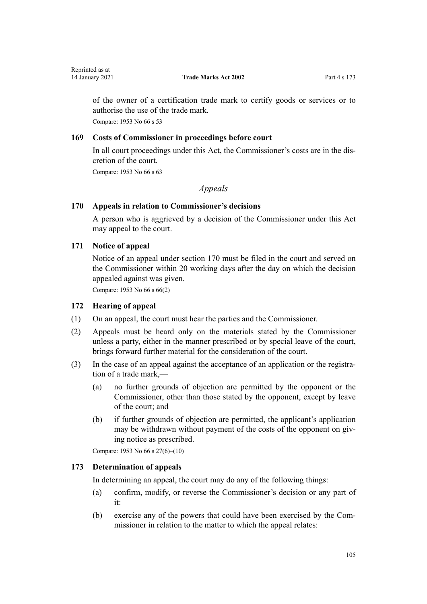<span id="page-104-0"></span>of the owner of a certification trade mark to certify goods or services or to authorise the use of the trade mark.

Compare: 1953 No 66 s 53

# **169 Costs of Commissioner in proceedings before court**

In all court proceedings under this Act, the Commissioner's costs are in the discretion of the court.

Compare: 1953 No 66 s 63

# *Appeals*

# **170 Appeals in relation to Commissioner's decisions**

A person who is aggrieved by a decision of the Commissioner under this Act may appeal to the court.

# **171 Notice of appeal**

Notice of an appeal under section 170 must be filed in the court and served on the Commissioner within 20 working days after the day on which the decision appealed against was given.

Compare: 1953 No 66 s 66(2)

# **172 Hearing of appeal**

- (1) On an appeal, the court must hear the parties and the Commissioner.
- (2) Appeals must be heard only on the materials stated by the Commissioner unless a party, either in the manner prescribed or by special leave of the court, brings forward further material for the consideration of the court.
- (3) In the case of an appeal against the acceptance of an application or the registration of a trade mark,—
	- (a) no further grounds of objection are permitted by the opponent or the Commissioner, other than those stated by the opponent, except by leave of the court; and
	- (b) if further grounds of objection are permitted, the applicant's application may be withdrawn without payment of the costs of the opponent on giving notice as prescribed.

Compare: 1953 No 66 s 27(6)–(10)

# **173 Determination of appeals**

In determining an appeal, the court may do any of the following things:

- (a) confirm, modify, or reverse the Commissioner's decision or any part of it:
- (b) exercise any of the powers that could have been exercised by the Commissioner in relation to the matter to which the appeal relates: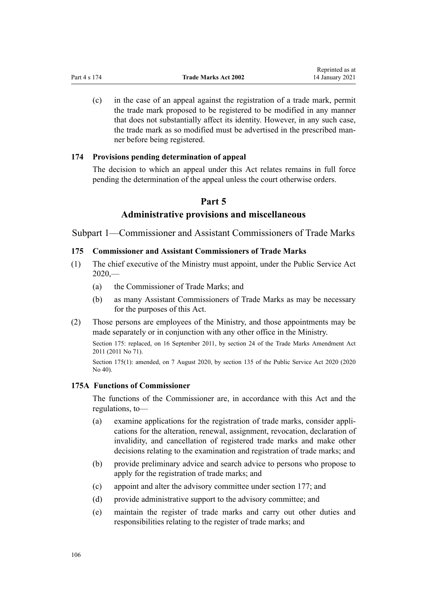(c) in the case of an appeal against the registration of a trade mark, permit the trade mark proposed to be registered to be modified in any manner that does not substantially affect its identity. However, in any such case, the trade mark as so modified must be advertised in the prescribed manner before being registered.

# **174 Provisions pending determination of appeal**

The decision to which an appeal under this Act relates remains in full force pending the determination of the appeal unless the court otherwise orders.

# **Part 5**

# **Administrative provisions and miscellaneous**

Subpart 1—Commissioner and Assistant Commissioners of Trade Marks

# **175 Commissioner and Assistant Commissioners of Trade Marks**

- (1) The chief executive of the Ministry must appoint, under the [Public Service Act](http://legislation.govt.nz/pdflink.aspx?id=LMS106157)  $2020$ , $-$ 
	- (a) the Commissioner of Trade Marks; and
	- (b) as many Assistant Commissioners of Trade Marks as may be necessary for the purposes of this Act.
- (2) Those persons are employees of the Ministry, and those appointments may be made separately or in conjunction with any other office in the Ministry.

Section 175: replaced, on 16 September 2011, by [section 24](http://legislation.govt.nz/pdflink.aspx?id=DLM2353613) of the Trade Marks Amendment Act 2011 (2011 No 71).

Section 175(1): amended, on 7 August 2020, by [section 135](http://legislation.govt.nz/pdflink.aspx?id=LMS176959) of the Public Service Act 2020 (2020) No 40).

# **175A Functions of Commissioner**

The functions of the Commissioner are, in accordance with this Act and the regulations, to—

- (a) examine applications for the registration of trade marks, consider applications for the alteration, renewal, assignment, revocation, declaration of invalidity, and cancellation of registered trade marks and make other decisions relating to the examination and registration of trade marks; and
- (b) provide preliminary advice and search advice to persons who propose to apply for the registration of trade marks; and
- (c) appoint and alter the advisory committee under [section 177;](#page-107-0) and
- (d) provide administrative support to the advisory committee; and
- (e) maintain the register of trade marks and carry out other duties and responsibilities relating to the register of trade marks; and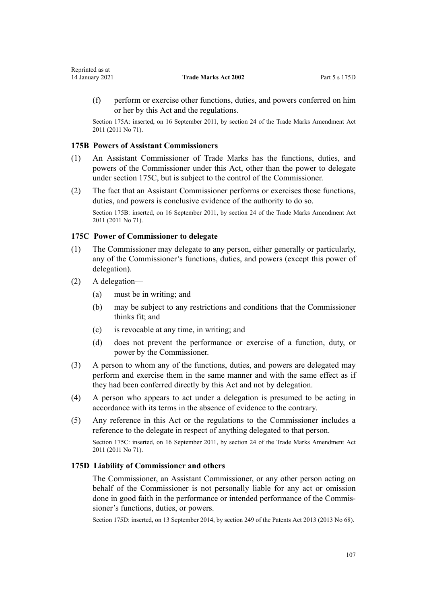(f) perform or exercise other functions, duties, and powers conferred on him or her by this Act and the regulations.

Section 175A: inserted, on 16 September 2011, by [section 24](http://legislation.govt.nz/pdflink.aspx?id=DLM2353613) of the Trade Marks Amendment Act 2011 (2011 No 71).

# **175B Powers of Assistant Commissioners**

- (1) An Assistant Commissioner of Trade Marks has the functions, duties, and powers of the Commissioner under this Act, other than the power to delegate under section 175C, but is subject to the control of the Commissioner.
- (2) The fact that an Assistant Commissioner performs or exercises those functions, duties, and powers is conclusive evidence of the authority to do so.

Section 175B: inserted, on 16 September 2011, by [section 24](http://legislation.govt.nz/pdflink.aspx?id=DLM2353613) of the Trade Marks Amendment Act 2011 (2011 No 71).

## **175C Power of Commissioner to delegate**

- (1) The Commissioner may delegate to any person, either generally or particularly, any of the Commissioner's functions, duties, and powers (except this power of delegation).
- (2) A delegation—
	- (a) must be in writing; and
	- (b) may be subject to any restrictions and conditions that the Commissioner thinks fit; and
	- (c) is revocable at any time, in writing; and
	- (d) does not prevent the performance or exercise of a function, duty, or power by the Commissioner.
- (3) A person to whom any of the functions, duties, and powers are delegated may perform and exercise them in the same manner and with the same effect as if they had been conferred directly by this Act and not by delegation.
- (4) A person who appears to act under a delegation is presumed to be acting in accordance with its terms in the absence of evidence to the contrary.
- (5) Any reference in this Act or the regulations to the Commissioner includes a reference to the delegate in respect of anything delegated to that person.

Section 175C: inserted, on 16 September 2011, by [section 24](http://legislation.govt.nz/pdflink.aspx?id=DLM2353613) of the Trade Marks Amendment Act 2011 (2011 No 71).

## **175D Liability of Commissioner and others**

The Commissioner, an Assistant Commissioner, or any other person acting on behalf of the Commissioner is not personally liable for any act or omission done in good faith in the performance or intended performance of the Commissioner's functions, duties, or powers.

Section 175D: inserted, on 13 September 2014, by [section 249](http://legislation.govt.nz/pdflink.aspx?id=DLM1419624) of the Patents Act 2013 (2013 No 68).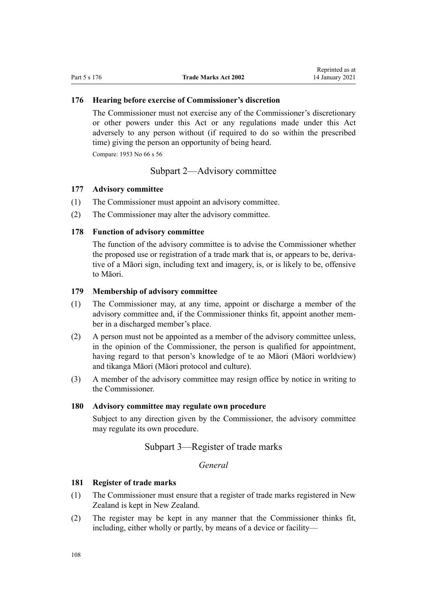## <span id="page-107-0"></span>**176 Hearing before exercise of Commissioner's discretion**

The Commissioner must not exercise any of the Commissioner's discretionary or other powers under this Act or any regulations made under this Act adversely to any person without (if required to do so within the prescribed time) giving the person an opportunity of being heard.

Compare: 1953 No 66 s 56

# Subpart 2—Advisory committee

#### **177 Advisory committee**

- (1) The Commissioner must appoint an advisory committee.
- (2) The Commissioner may alter the advisory committee.

# **178 Function of advisory committee**

The function of the advisory committee is to advise the Commissioner whether the proposed use or registration of a trade mark that is, or appears to be, derivative of a Māori sign, including text and imagery, is, or is likely to be, offensive to Māori.

## **179 Membership of advisory committee**

- (1) The Commissioner may, at any time, appoint or discharge a member of the advisory committee and, if the Commissioner thinks fit, appoint another member in a discharged member's place.
- (2) A person must not be appointed as a member of the advisory committee unless, in the opinion of the Commissioner, the person is qualified for appointment, having regard to that person's knowledge of te ao Māori (Māori worldview) and tikanga Māori (Māori protocol and culture).
- (3) A member of the advisory committee may resign office by notice in writing to the Commissioner.

# **180 Advisory committee may regulate own procedure**

Subject to any direction given by the Commissioner, the advisory committee may regulate its own procedure.

# Subpart 3—Register of trade marks

*General*

# **181 Register of trade marks**

- (1) The Commissioner must ensure that a register of trade marks registered in New Zealand is kept in New Zealand.
- (2) The register may be kept in any manner that the Commissioner thinks fit, including, either wholly or partly, by means of a device or facility—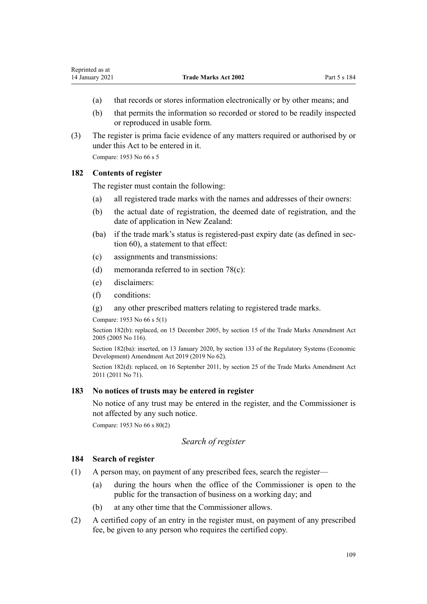- (a) that records or stores information electronically or by other means; and
- (b) that permits the information so recorded or stored to be readily inspected or reproduced in usable form.
- (3) The register is prima facie evidence of any matters required or authorised by or under this Act to be entered in it.

Compare: 1953 No 66 s 5

## **182 Contents of register**

The register must contain the following:

- (a) all registered trade marks with the names and addresses of their owners:
- (b) the actual date of registration, the deemed date of registration, and the date of application in New Zealand:
- (ba) if the trade mark's status is registered-past expiry date (as defined in [sec](#page-39-0)[tion 60](#page-39-0)), a statement to that effect:
- (c) assignments and transmissions:
- (d) memoranda referred to in [section 78\(c\):](#page-44-0)
- (e) disclaimers:
- (f) conditions:
- (g) any other prescribed matters relating to registered trade marks.

Compare: 1953 No 66 s 5(1)

Section 182(b): replaced, on 15 December 2005, by [section 15](http://legislation.govt.nz/pdflink.aspx?id=DLM362649) of the Trade Marks Amendment Act 2005 (2005 No 116).

Section 182(ba): inserted, on 13 January 2020, by [section 133](http://legislation.govt.nz/pdflink.aspx?id=LMS85766) of the Regulatory Systems (Economic Development) Amendment Act 2019 (2019 No 62).

Section 182(d): replaced, on 16 September 2011, by [section 25](http://legislation.govt.nz/pdflink.aspx?id=DLM2290126) of the Trade Marks Amendment Act 2011 (2011 No 71).

# **183 No notices of trusts may be entered in register**

No notice of any trust may be entered in the register, and the Commissioner is not affected by any such notice.

Compare: 1953 No 66 s 80(2)

## *Search of register*

## **184 Search of register**

- (1) A person may, on payment of any prescribed fees, search the register—
	- (a) during the hours when the office of the Commissioner is open to the public for the transaction of business on a working day; and
	- (b) at any other time that the Commissioner allows.
- (2) A certified copy of an entry in the register must, on payment of any prescribed fee, be given to any person who requires the certified copy.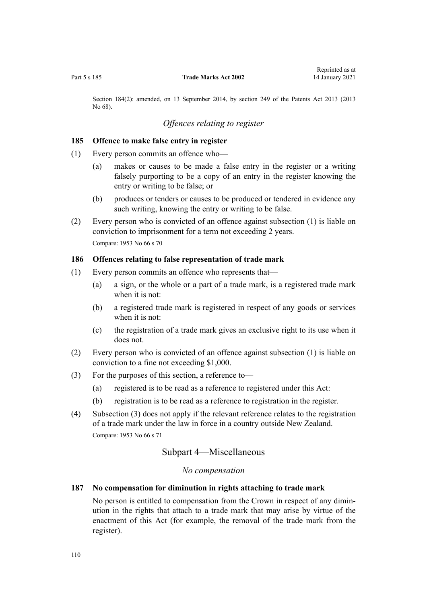Section 184(2): amended, on 13 September 2014, by [section 249](http://legislation.govt.nz/pdflink.aspx?id=DLM1419624) of the Patents Act 2013 (2013 No 68).

# *Offences relating to register*

#### **185 Offence to make false entry in register**

- (1) Every person commits an offence who—
	- (a) makes or causes to be made a false entry in the register or a writing falsely purporting to be a copy of an entry in the register knowing the entry or writing to be false; or
	- (b) produces or tenders or causes to be produced or tendered in evidence any such writing, knowing the entry or writing to be false.
- (2) Every person who is convicted of an offence against subsection (1) is liable on conviction to imprisonment for a term not exceeding 2 years. Compare: 1953 No 66 s 70

#### **186 Offences relating to false representation of trade mark**

- (1) Every person commits an offence who represents that—
	- (a) a sign, or the whole or a part of a trade mark, is a registered trade mark when it is not:
	- (b) a registered trade mark is registered in respect of any goods or services when it is not:
	- (c) the registration of a trade mark gives an exclusive right to its use when it does not.
- (2) Every person who is convicted of an offence against subsection (1) is liable on conviction to a fine not exceeding \$1,000.
- (3) For the purposes of this section, a reference to—
	- (a) registered is to be read as a reference to registered under this Act:
	- (b) registration is to be read as a reference to registration in the register.
- (4) Subsection (3) does not apply if the relevant reference relates to the registration of a trade mark under the law in force in a country outside New Zealand. Compare: 1953 No 66 s 71

# Subpart 4—Miscellaneous

## *No compensation*

# **187 No compensation for diminution in rights attaching to trade mark**

No person is entitled to compensation from the Crown in respect of any diminution in the rights that attach to a trade mark that may arise by virtue of the enactment of this Act (for example, the removal of the trade mark from the register).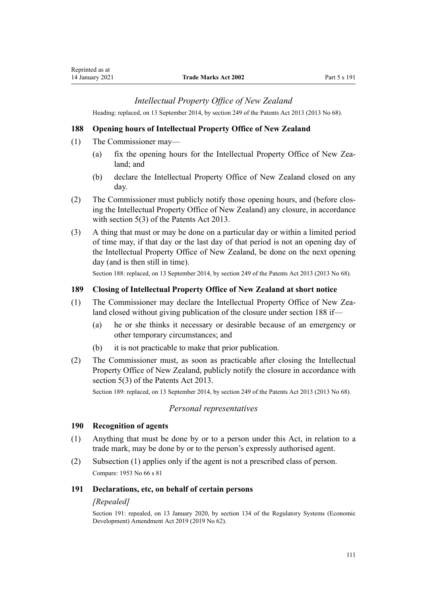# *Intellectual Property Office of New Zealand*

Heading: replaced, on 13 September 2014, by [section 249](http://legislation.govt.nz/pdflink.aspx?id=DLM1419624) of the Patents Act 2013 (2013 No 68).

## **188 Opening hours of Intellectual Property Office of New Zealand**

- (1) The Commissioner may—
	- (a) fix the opening hours for the Intellectual Property Office of New Zealand; and
	- (b) declare the Intellectual Property Office of New Zealand closed on any day.
- (2) The Commissioner must publicly notify those opening hours, and (before closing the Intellectual Property Office of New Zealand) any closure, in accordance with [section 5\(3\)](http://legislation.govt.nz/pdflink.aspx?id=DLM1419053) of the Patents Act 2013.
- (3) A thing that must or may be done on a particular day or within a limited period of time may, if that day or the last day of that period is not an opening day of the Intellectual Property Office of New Zealand, be done on the next opening day (and is then still in time).

Section 188: replaced, on 13 September 2014, by [section 249](http://legislation.govt.nz/pdflink.aspx?id=DLM1419624) of the Patents Act 2013 (2013 No 68).

### **189 Closing of Intellectual Property Office of New Zealand at short notice**

- (1) The Commissioner may declare the Intellectual Property Office of New Zealand closed without giving publication of the closure under section 188 if—
	- (a) he or she thinks it necessary or desirable because of an emergency or other temporary circumstances; and
	- (b) it is not practicable to make that prior publication.
- (2) The Commissioner must, as soon as practicable after closing the Intellectual Property Office of New Zealand, publicly notify the closure in accordance with [section 5\(3\)](http://legislation.govt.nz/pdflink.aspx?id=DLM1419053) of the Patents Act 2013.

Section 189: replaced, on 13 September 2014, by [section 249](http://legislation.govt.nz/pdflink.aspx?id=DLM1419624) of the Patents Act 2013 (2013 No 68).

## *Personal representatives*

#### **190 Recognition of agents**

- (1) Anything that must be done by or to a person under this Act, in relation to a trade mark, may be done by or to the person's expressly authorised agent.
- (2) Subsection (1) applies only if the agent is not a prescribed class of person. Compare: 1953 No 66 s 81

#### **191 Declarations, etc, on behalf of certain persons**

#### *[Repealed]*

Section 191: repealed, on 13 January 2020, by [section 134](http://legislation.govt.nz/pdflink.aspx?id=LMS85767) of the Regulatory Systems (Economic Development) Amendment Act 2019 (2019 No 62).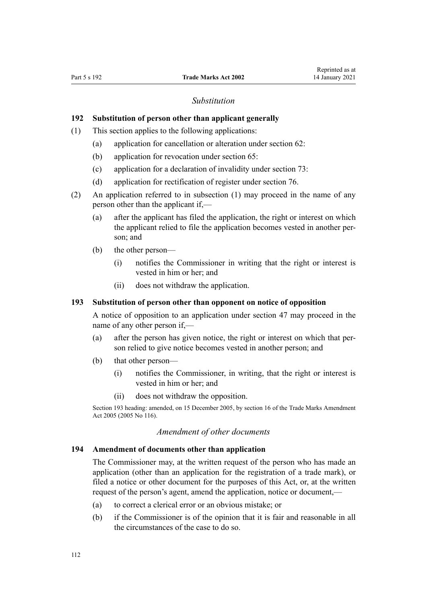### *Substitution*

# **192 Substitution of person other than applicant generally**

- (1) This section applies to the following applications:
	- (a) application for cancellation or alteration under [section 62:](#page-39-0)
	- (b) application for revocation under [section 65:](#page-40-0)
	- (c) application for a declaration of invalidity under [section 73:](#page-43-0)
	- (d) application for rectification of register under [section 76.](#page-44-0)
- (2) An application referred to in subsection (1) may proceed in the name of any person other than the applicant if,—
	- (a) after the applicant has filed the application, the right or interest on which the applicant relied to file the application becomes vested in another person; and
	- (b) the other person—
		- (i) notifies the Commissioner in writing that the right or interest is vested in him or her; and
		- (ii) does not withdraw the application.

# **193 Substitution of person other than opponent on notice of opposition**

A notice of opposition to an application under [section 47](#page-34-0) may proceed in the name of any other person if,—

- (a) after the person has given notice, the right or interest on which that person relied to give notice becomes vested in another person; and
- (b) that other person—
	- (i) notifies the Commissioner, in writing, that the right or interest is vested in him or her; and
	- (ii) does not withdraw the opposition.

Section 193 heading: amended, on 15 December 2005, by [section 16](http://legislation.govt.nz/pdflink.aspx?id=DLM362650) of the Trade Marks Amendment Act 2005 (2005 No 116).

### *Amendment of other documents*

#### **194 Amendment of documents other than application**

The Commissioner may, at the written request of the person who has made an application (other than an application for the registration of a trade mark), or filed a notice or other document for the purposes of this Act, or, at the written request of the person's agent, amend the application, notice or document,—

- (a) to correct a clerical error or an obvious mistake; or
- (b) if the Commissioner is of the opinion that it is fair and reasonable in all the circumstances of the case to do so.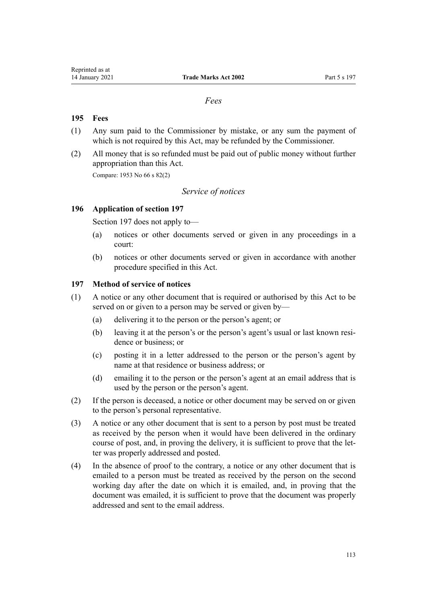## *Fees*

# **195 Fees**

- (1) Any sum paid to the Commissioner by mistake, or any sum the payment of which is not required by this Act, may be refunded by the Commissioner.
- (2) All money that is so refunded must be paid out of public money without further appropriation than this Act.

Compare: 1953 No 66 s 82(2)

# *Service of notices*

### **196 Application of section 197**

Section 197 does not apply to—

- (a) notices or other documents served or given in any proceedings in a court:
- (b) notices or other documents served or given in accordance with another procedure specified in this Act.

## **197 Method of service of notices**

- (1) A notice or any other document that is required or authorised by this Act to be served on or given to a person may be served or given by—
	- (a) delivering it to the person or the person's agent; or
	- (b) leaving it at the person's or the person's agent's usual or last known residence or business; or
	- (c) posting it in a letter addressed to the person or the person's agent by name at that residence or business address; or
	- (d) emailing it to the person or the person's agent at an email address that is used by the person or the person's agent.
- (2) If the person is deceased, a notice or other document may be served on or given to the person's personal representative.
- (3) A notice or any other document that is sent to a person by post must be treated as received by the person when it would have been delivered in the ordinary course of post, and, in proving the delivery, it is sufficient to prove that the letter was properly addressed and posted.
- (4) In the absence of proof to the contrary, a notice or any other document that is emailed to a person must be treated as received by the person on the second working day after the date on which it is emailed, and, in proving that the document was emailed, it is sufficient to prove that the document was properly addressed and sent to the email address.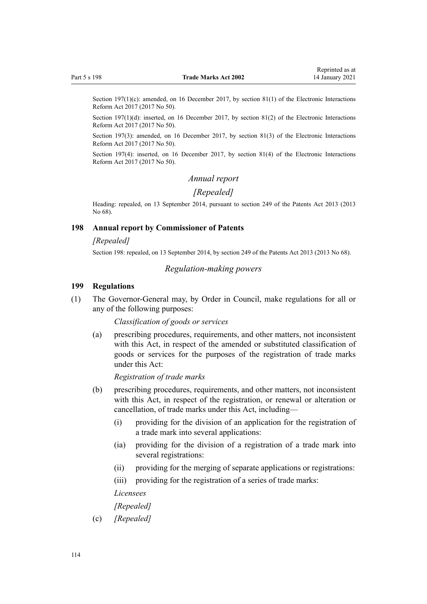Section 197(1)(c): amended, on 16 December 2017, by [section 81\(1\)](http://legislation.govt.nz/pdflink.aspx?id=DLM6962244) of the Electronic Interactions Reform Act 2017 (2017 No 50).

Section 197(1)(d): inserted, on 16 December 2017, by [section 81\(2\)](http://legislation.govt.nz/pdflink.aspx?id=DLM6962244) of the Electronic Interactions Reform Act 2017 (2017 No 50).

Section 197(3): amended, on 16 December 2017, by [section 81\(3\)](http://legislation.govt.nz/pdflink.aspx?id=DLM6962244) of the Electronic Interactions Reform Act 2017 (2017 No 50).

Section 197(4): inserted, on 16 December 2017, by [section 81\(4\)](http://legislation.govt.nz/pdflink.aspx?id=DLM6962244) of the Electronic Interactions Reform Act 2017 (2017 No 50).

#### *Annual report*

# *[Repealed]*

Heading: repealed, on 13 September 2014, pursuant to [section 249](http://legislation.govt.nz/pdflink.aspx?id=DLM1419624) of the Patents Act 2013 (2013 No 68).

#### **198 Annual report by Commissioner of Patents**

#### *[Repealed]*

Section 198: repealed, on 13 September 2014, by [section 249](http://legislation.govt.nz/pdflink.aspx?id=DLM1419624) of the Patents Act 2013 (2013 No 68).

#### *Regulation-making powers*

#### **199 Regulations**

(1) The Governor-General may, by Order in Council, make regulations for all or any of the following purposes:

*Classification of goods or services*

(a) prescribing procedures, requirements, and other matters, not inconsistent with this Act, in respect of the amended or substituted classification of goods or services for the purposes of the registration of trade marks under this Act:

*Registration of trade marks*

- (b) prescribing procedures, requirements, and other matters, not inconsistent with this Act, in respect of the registration, or renewal or alteration or cancellation, of trade marks under this Act, including—
	- (i) providing for the division of an application for the registration of a trade mark into several applications:
	- (ia) providing for the division of a registration of a trade mark into several registrations:
	- (ii) providing for the merging of separate applications or registrations:
	- (iii) providing for the registration of a series of trade marks:

*Licensees*

#### *[Repealed]*

(c) *[Repealed]*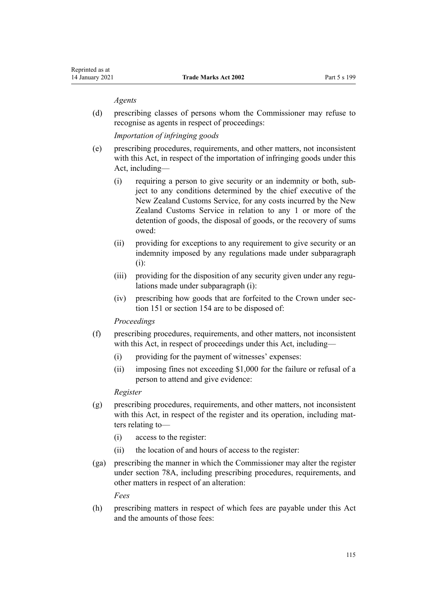#### *Agents*

(d) prescribing classes of persons whom the Commissioner may refuse to recognise as agents in respect of proceedings:

*Importation of infringing goods*

- (e) prescribing procedures, requirements, and other matters, not inconsistent with this Act, in respect of the importation of infringing goods under this Act, including—
	- (i) requiring a person to give security or an indemnity or both, subject to any conditions determined by the chief executive of the New Zealand Customs Service, for any costs incurred by the New Zealand Customs Service in relation to any 1 or more of the detention of goods, the disposal of goods, or the recovery of sums owed:
	- (ii) providing for exceptions to any requirement to give security or an indemnity imposed by any regulations made under subparagraph (i):
	- (iii) providing for the disposition of any security given under any regulations made under subparagraph (i):
	- (iv) prescribing how goods that are forfeited to the Crown under [sec](#page-90-0)[tion 151](#page-90-0) or [section 154](#page-91-0) are to be disposed of:

#### *Proceedings*

- (f) prescribing procedures, requirements, and other matters, not inconsistent with this Act, in respect of proceedings under this Act, including—
	- (i) providing for the payment of witnesses' expenses:
	- (ii) imposing fines not exceeding \$1,000 for the failure or refusal of a person to attend and give evidence:

### *Register*

- (g) prescribing procedures, requirements, and other matters, not inconsistent with this Act, in respect of the register and its operation, including matters relating to—
	- (i) access to the register:
	- (ii) the location of and hours of access to the register:
- (ga) prescribing the manner in which the Commissioner may alter the register under [section 78A,](#page-45-0) including prescribing procedures, requirements, and other matters in respect of an alteration:

*Fees*

(h) prescribing matters in respect of which fees are payable under this Act and the amounts of those fees: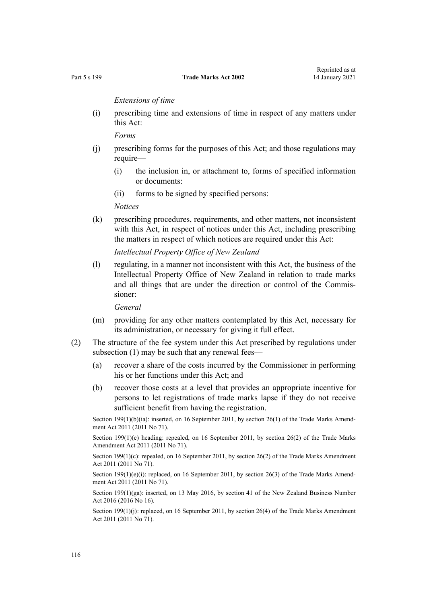*Extensions of time*

(i) prescribing time and extensions of time in respect of any matters under this Act:

*Forms*

- (j) prescribing forms for the purposes of this Act; and those regulations may require—
	- (i) the inclusion in, or attachment to, forms of specified information or documents:
	- (ii) forms to be signed by specified persons:

*Notices*

(k) prescribing procedures, requirements, and other matters, not inconsistent with this Act, in respect of notices under this Act, including prescribing the matters in respect of which notices are required under this Act:

*Intellectual Property Office of New Zealand*

(l) regulating, in a manner not inconsistent with this Act, the business of the Intellectual Property Office of New Zealand in relation to trade marks and all things that are under the direction or control of the Commissioner:

*General*

- (m) providing for any other matters contemplated by this Act, necessary for its administration, or necessary for giving it full effect.
- (2) The structure of the fee system under this Act prescribed by regulations under subsection (1) may be such that any renewal fees—
	- (a) recover a share of the costs incurred by the Commissioner in performing his or her functions under this Act; and
	- (b) recover those costs at a level that provides an appropriate incentive for persons to let registrations of trade marks lapse if they do not receive sufficient benefit from having the registration.

Section 199(1)(b)(ia): inserted, on 16 September 2011, by [section 26\(1\)](http://legislation.govt.nz/pdflink.aspx?id=DLM2290127) of the Trade Marks Amendment Act 2011 (2011 No 71).

Section 199(1)(c) heading: repealed, on 16 September 2011, by [section 26\(2\)](http://legislation.govt.nz/pdflink.aspx?id=DLM2290127) of the Trade Marks Amendment Act 2011 (2011 No 71).

Section 199(1)(c): repealed, on 16 September 2011, by [section 26\(2\)](http://legislation.govt.nz/pdflink.aspx?id=DLM2290127) of the Trade Marks Amendment Act 2011 (2011 No 71).

Section 199(1)(e)(i): replaced, on 16 September 2011, by [section 26\(3\)](http://legislation.govt.nz/pdflink.aspx?id=DLM2290127) of the Trade Marks Amendment Act 2011 (2011 No 71).

Section 199(1)(ga): inserted, on 13 May 2016, by [section 41](http://legislation.govt.nz/pdflink.aspx?id=DLM6431601) of the New Zealand Business Number Act 2016 (2016 No 16).

Section 199(1)(j): replaced, on 16 September 2011, by [section 26\(4\)](http://legislation.govt.nz/pdflink.aspx?id=DLM2290127) of the Trade Marks Amendment Act 2011 (2011 No 71).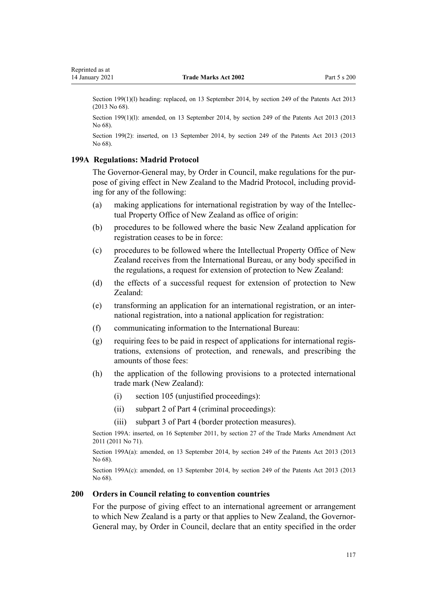<span id="page-116-0"></span>Section 199(1)(1) heading: replaced, on 13 September 2014, by [section 249](http://legislation.govt.nz/pdflink.aspx?id=DLM1419624) of the Patents Act 2013 (2013 No 68).

Section 199(1)(l): amended, on 13 September 2014, by [section 249](http://legislation.govt.nz/pdflink.aspx?id=DLM1419624) of the Patents Act 2013 (2013) No 68).

Section 199(2): inserted, on 13 September 2014, by [section 249](http://legislation.govt.nz/pdflink.aspx?id=DLM1419624) of the Patents Act 2013 (2013 No 68).

### **199A Regulations: Madrid Protocol**

The Governor-General may, by Order in Council, make regulations for the purpose of giving effect in New Zealand to the Madrid Protocol, including providing for any of the following:

- (a) making applications for international registration by way of the Intellectual Property Office of New Zealand as office of origin:
- (b) procedures to be followed where the basic New Zealand application for registration ceases to be in force:
- (c) procedures to be followed where the Intellectual Property Office of New Zealand receives from the International Bureau, or any body specified in the regulations, a request for extension of protection to New Zealand:
- (d) the effects of a successful request for extension of protection to New Zealand:
- (e) transforming an application for an international registration, or an international registration, into a national application for registration:
- (f) communicating information to the International Bureau:
- (g) requiring fees to be paid in respect of applications for international registrations, extensions of protection, and renewals, and prescribing the amounts of those fees:
- (h) the application of the following provisions to a protected international trade mark (New Zealand):
	- (i) [section 105](#page-54-0) (unjustified proceedings):
	- (ii) [subpart 2](#page-58-0) of Part 4 (criminal proceedings):
	- (iii) [subpart 3](#page-81-0) of Part 4 (border protection measures).

Section 199A: inserted, on 16 September 2011, by [section 27](http://legislation.govt.nz/pdflink.aspx?id=DLM2290128) of the Trade Marks Amendment Act 2011 (2011 No 71).

Section 199A(a): amended, on 13 September 2014, by [section 249](http://legislation.govt.nz/pdflink.aspx?id=DLM1419624) of the Patents Act 2013 (2013) No 68).

Section 199A(c): amended, on 13 September 2014, by [section 249](http://legislation.govt.nz/pdflink.aspx?id=DLM1419624) of the Patents Act 2013 (2013 No 68).

#### **200 Orders in Council relating to convention countries**

For the purpose of giving effect to an international agreement or arrangement to which New Zealand is a party or that applies to New Zealand, the Governor-General may, by Order in Council, declare that an entity specified in the order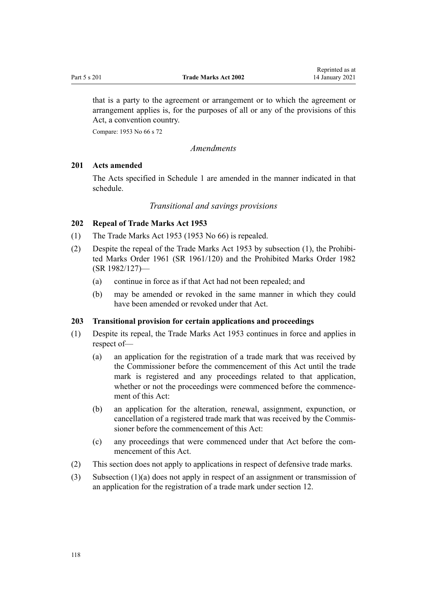<span id="page-117-0"></span>that is a party to the agreement or arrangement or to which the agreement or arrangement applies is, for the purposes of all or any of the provisions of this Act, a convention country.

Compare: 1953 No 66 s 72

*Amendments*

## **201 Acts amended**

The Acts specified in [Schedule 1](#page-121-0) are amended in the manner indicated in that schedule.

### *Transitional and savings provisions*

## **202 Repeal of Trade Marks Act 1953**

- (1) The Trade Marks Act 1953 (1953 No 66) is repealed.
- (2) Despite the repeal of the Trade Marks Act 1953 by subsection (1), the [Prohibi](http://legislation.govt.nz/pdflink.aspx?id=DLM15734)[ted Marks Order 1961](http://legislation.govt.nz/pdflink.aspx?id=DLM15734) (SR 1961/120) and the [Prohibited Marks Order 1982](http://legislation.govt.nz/pdflink.aspx?id=DLM82309) (SR 1982/127)—
	- (a) continue in force as if that Act had not been repealed; and
	- (b) may be amended or revoked in the same manner in which they could have been amended or revoked under that Act.

## **203 Transitional provision for certain applications and proceedings**

- (1) Despite its repeal, the Trade Marks Act 1953 continues in force and applies in respect of—
	- (a) an application for the registration of a trade mark that was received by the Commissioner before the commencement of this Act until the trade mark is registered and any proceedings related to that application, whether or not the proceedings were commenced before the commencement of this Act:
	- (b) an application for the alteration, renewal, assignment, expunction, or cancellation of a registered trade mark that was received by the Commissioner before the commencement of this Act:
	- (c) any proceedings that were commenced under that Act before the commencement of this Act.
- (2) This section does not apply to applications in respect of defensive trade marks.
- (3) Subsection (1)(a) does not apply in respect of an assignment or transmission of an application for the registration of a trade mark under [section 12](#page-22-0).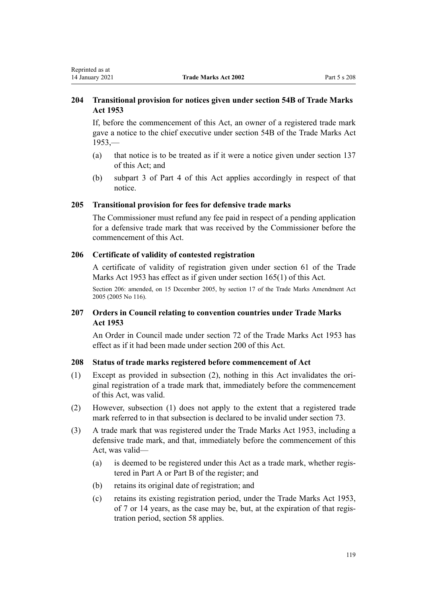# **204 Transitional provision for notices given under section 54B of Trade Marks Act 1953**

If, before the commencement of this Act, an owner of a registered trade mark gave a notice to the chief executive under section 54B of the Trade Marks Act  $1953$ ,—

- (a) that notice is to be treated as if it were a notice given under [section 137](#page-84-0) of this Act; and
- (b) subpart 3 of [Part 4](#page-48-0) of this Act applies accordingly in respect of that notice.

#### **205 Transitional provision for fees for defensive trade marks**

The Commissioner must refund any fee paid in respect of a pending application for a defensive trade mark that was received by the Commissioner before the commencement of this Act.

# **206 Certificate of validity of contested registration**

A certificate of validity of registration given under section 61 of the Trade Marks Act 1953 has effect as if given under [section 165\(1\)](#page-102-0) of this Act.

Section 206: amended, on 15 December 2005, by [section 17](http://legislation.govt.nz/pdflink.aspx?id=DLM362651) of the Trade Marks Amendment Act 2005 (2005 No 116).

# **207 Orders in Council relating to convention countries under Trade Marks Act 1953**

An Order in Council made under section 72 of the Trade Marks Act 1953 has effect as if it had been made under [section 200](#page-116-0) of this Act.

## **208 Status of trade marks registered before commencement of Act**

- (1) Except as provided in subsection (2), nothing in this Act invalidates the original registration of a trade mark that, immediately before the commencement of this Act, was valid.
- (2) However, subsection (1) does not apply to the extent that a registered trade mark referred to in that subsection is declared to be invalid under [section 73.](#page-43-0)
- (3) A trade mark that was registered under the Trade Marks Act 1953, including a defensive trade mark, and that, immediately before the commencement of this Act, was valid—
	- (a) is deemed to be registered under this Act as a trade mark, whether registered in Part A or Part B of the register; and
	- (b) retains its original date of registration; and
	- (c) retains its existing registration period, under the Trade Marks Act 1953, of 7 or 14 years, as the case may be, but, at the expiration of that registration period, [section 58](#page-38-0) applies.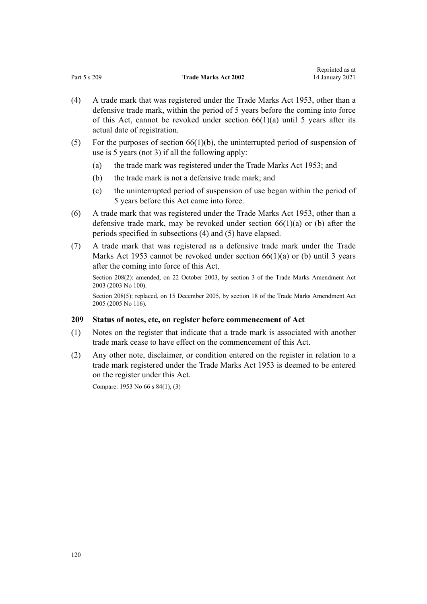|              |                             | <i>Reprince as at</i> |
|--------------|-----------------------------|-----------------------|
| Part 5 s 209 | <b>Trade Marks Act 2002</b> | 14 January 2021       |

Reprinted as at

- (4) A trade mark that was registered under the Trade Marks Act 1953, other than a defensive trade mark, within the period of 5 years before the coming into force of this Act, cannot be revoked under section  $66(1)(a)$  until 5 years after its actual date of registration.
- (5) For the purposes of section  $66(1)(b)$ , the uninterrupted period of suspension of use is 5 years (not 3) if all the following apply:
	- (a) the trade mark was registered under the Trade Marks Act 1953; and
	- (b) the trade mark is not a defensive trade mark; and
	- (c) the uninterrupted period of suspension of use began within the period of 5 years before this Act came into force.
- (6) A trade mark that was registered under the Trade Marks Act 1953, other than a defensive trade mark, may be revoked under section  $66(1)(a)$  or (b) after the periods specified in subsections (4) and (5) have elapsed.
- (7) A trade mark that was registered as a defensive trade mark under the Trade Marks Act 1953 cannot be revoked under section  $66(1)(a)$  or (b) until 3 years after the coming into force of this Act.

Section 208(2): amended, on 22 October 2003, by [section 3](http://legislation.govt.nz/pdflink.aspx?id=DLM218849) of the Trade Marks Amendment Act 2003 (2003 No 100).

Section 208(5): replaced, on 15 December 2005, by [section 18](http://legislation.govt.nz/pdflink.aspx?id=DLM362652) of the Trade Marks Amendment Act 2005 (2005 No 116).

## **209 Status of notes, etc, on register before commencement of Act**

- (1) Notes on the register that indicate that a trade mark is associated with another trade mark cease to have effect on the commencement of this Act.
- (2) Any other note, disclaimer, or condition entered on the register in relation to a trade mark registered under the Trade Marks Act 1953 is deemed to be entered on the register under this Act.

Compare: 1953 No 66 s 84(1), (3)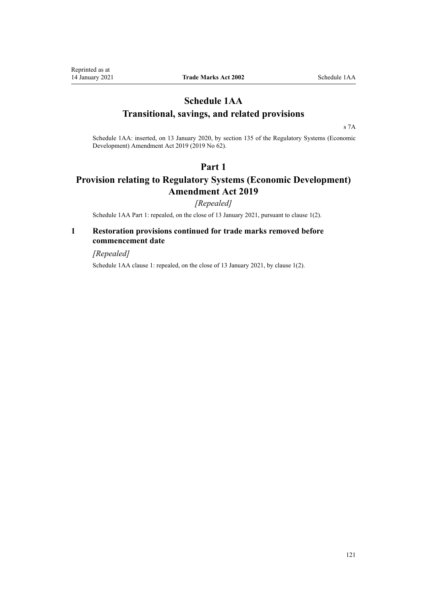# <span id="page-120-0"></span>**Schedule 1AA Transitional, savings, and related provisions**

[s 7A](#page-21-0)

Schedule 1AA: inserted, on 13 January 2020, by [section 135](http://legislation.govt.nz/pdflink.aspx?id=LMS85768) of the Regulatory Systems (Economic Development) Amendment Act 2019 (2019 No 62).

# **Part 1**

# **Provision relating to Regulatory Systems (Economic Development) Amendment Act 2019**

*[Repealed]*

Schedule 1AA Part 1: repealed, on the close of 13 January 2021, pursuant to clause 1(2).

# **1 Restoration provisions continued for trade marks removed before commencement date**

*[Repealed]*

Schedule 1AA clause 1: repealed, on the close of 13 January 2021, by clause 1(2).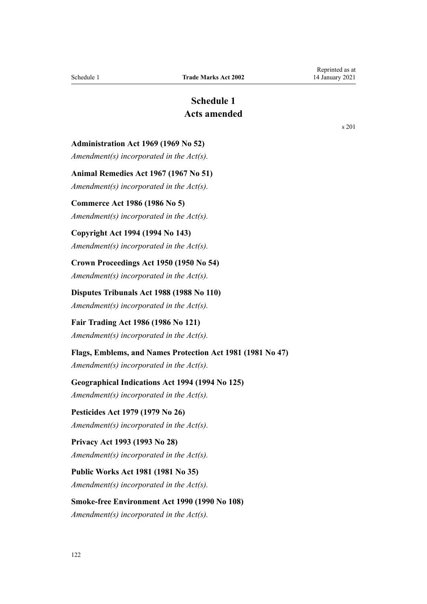# **Schedule 1 Acts amended**

<span id="page-121-0"></span>**Administration Act 1969 (1969 No 52)**

*Amendment(s) incorporated in the [Act\(s\).](http://legislation.govt.nz/pdflink.aspx?id=DLM392629)*

**Animal Remedies Act 1967 (1967 No 51)**

*Amendment(s) incorporated in the Act(s).*

# **Commerce Act 1986 (1986 No 5)**

*Amendment(s) incorporated in the [Act\(s\).](http://legislation.govt.nz/pdflink.aspx?id=DLM88410)*

# **Copyright Act 1994 (1994 No 143)**

*Amendment(s) incorporated in the [Act\(s\).](http://legislation.govt.nz/pdflink.aspx?id=DLM346602)*

**Crown Proceedings Act 1950 (1950 No 54)** *Amendment(s) incorporated in the [Act\(s\).](http://legislation.govt.nz/pdflink.aspx?id=DLM261925)*

**Disputes Tribunals Act 1988 (1988 No 110)**

*Amendment(s) incorporated in the [Act\(s\).](http://legislation.govt.nz/pdflink.aspx?id=DLM133292)*

**Fair Trading Act 1986 (1986 No 121)** *Amendment(s) incorporated in the [Act\(s\).](http://legislation.govt.nz/pdflink.aspx?id=DLM96923)*

## **Flags, Emblems, and Names Protection Act 1981 (1981 No 47)**

*Amendment(s) incorporated in the [Act\(s\).](http://legislation.govt.nz/pdflink.aspx?id=DLM51363)*

## **Geographical Indications Act 1994 (1994 No 125)**

*Amendment(s) incorporated in the [Act\(s\).](http://legislation.govt.nz/pdflink.aspx?id=DLM345232)*

**Pesticides Act 1979 (1979 No 26)** *Amendment(s) incorporated in the Act(s).*

# **Privacy Act 1993 (1993 No 28)** *Amendment(s) incorporated in the [Act\(s\).](http://legislation.govt.nz/pdflink.aspx?id=DLM298477)*

**Public Works Act 1981 (1981 No 35)** *Amendment(s) incorporated in the [Act\(s\).](http://legislation.govt.nz/pdflink.aspx?id=DLM45426)*

# **Smoke-free Environment Act 1990 (1990 No 108)**

*Amendment(s) incorporated in the [Act\(s\).](http://legislation.govt.nz/pdflink.aspx?id=DLM223905)*

[s 201](#page-117-0)

Reprinted as at 14 January 2021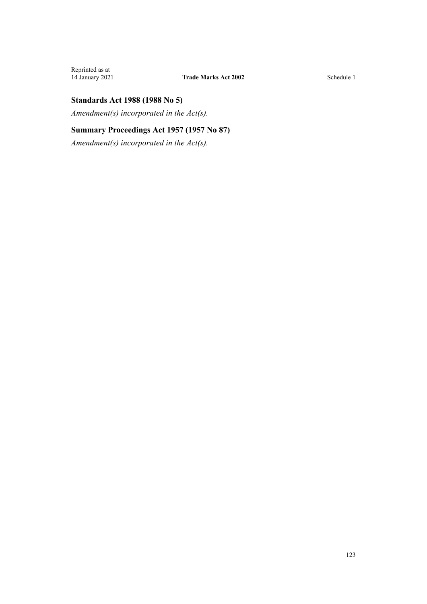# **Standards Act 1988 (1988 No 5)**

*Amendment(s) incorporated in the [Act\(s\).](http://legislation.govt.nz/pdflink.aspx?id=DLM128701)*

# **Summary Proceedings Act 1957 (1957 No 87)**

*Amendment(s) incorporated in the [Act\(s\).](http://legislation.govt.nz/pdflink.aspx?id=DLM310742)*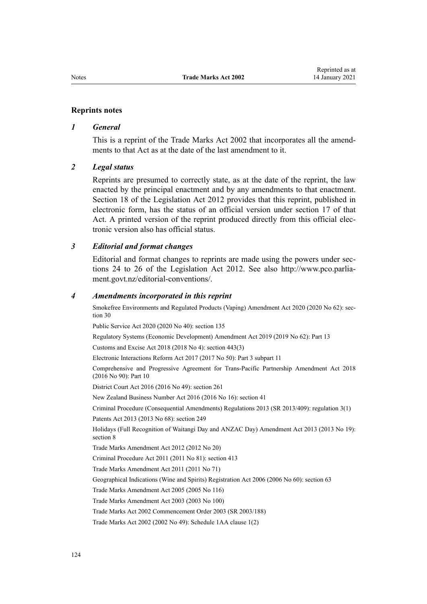#### **Reprints notes**

#### *1 General*

This is a reprint of the Trade Marks Act 2002 that incorporates all the amendments to that Act as at the date of the last amendment to it.

#### *2 Legal status*

Reprints are presumed to correctly state, as at the date of the reprint, the law enacted by the principal enactment and by any amendments to that enactment. [Section 18](http://legislation.govt.nz/pdflink.aspx?id=DLM2998516) of the Legislation Act 2012 provides that this reprint, published in electronic form, has the status of an official version under [section 17](http://legislation.govt.nz/pdflink.aspx?id=DLM2998515) of that Act. A printed version of the reprint produced directly from this official electronic version also has official status.

### *3 Editorial and format changes*

Editorial and format changes to reprints are made using the powers under [sec](http://legislation.govt.nz/pdflink.aspx?id=DLM2998532)[tions 24 to 26](http://legislation.govt.nz/pdflink.aspx?id=DLM2998532) of the Legislation Act 2012. See also [http://www.pco.parlia](http://www.pco.parliament.govt.nz/editorial-conventions/)[ment.govt.nz/editorial-conventions/](http://www.pco.parliament.govt.nz/editorial-conventions/).

#### *4 Amendments incorporated in this reprint*

Smokefree Environments and Regulated Products (Vaping) Amendment Act 2020 (2020 No 62): [sec](http://legislation.govt.nz/pdflink.aspx?id=LMS314081)[tion 30](http://legislation.govt.nz/pdflink.aspx?id=LMS314081)

Public Service Act 2020 (2020 No 40): [section 135](http://legislation.govt.nz/pdflink.aspx?id=LMS176959)

Regulatory Systems (Economic Development) Amendment Act 2019 (2019 No 62): [Part 13](http://legislation.govt.nz/pdflink.aspx?id=LMS85770)

Customs and Excise Act 2018 (2018 No 4): [section 443\(3\)](http://legislation.govt.nz/pdflink.aspx?id=DLM7039957)

Electronic Interactions Reform Act 2017 (2017 No 50): Part 3 [subpart 11](http://legislation.govt.nz/pdflink.aspx?id=DLM6962237)

Comprehensive and Progressive Agreement for Trans-Pacific Partnership Amendment Act 2018 (2016 No 90): [Part 10](http://legislation.govt.nz/pdflink.aspx?id=DLM6838425)

District Court Act 2016 (2016 No 49): [section 261](http://legislation.govt.nz/pdflink.aspx?id=DLM6942680)

New Zealand Business Number Act 2016 (2016 No 16): [section 41](http://legislation.govt.nz/pdflink.aspx?id=DLM6431601)

Criminal Procedure (Consequential Amendments) Regulations 2013 (SR 2013/409): [regulation 3\(1\)](http://legislation.govt.nz/pdflink.aspx?id=DLM5642106)

Patents Act 2013 (2013 No 68): [section 249](http://legislation.govt.nz/pdflink.aspx?id=DLM1419624)

Holidays (Full Recognition of Waitangi Day and ANZAC Day) Amendment Act 2013 (2013 No 19): [section 8](http://legislation.govt.nz/pdflink.aspx?id=DLM4929207)

[Trade Marks Amendment Act 2012](http://legislation.govt.nz/pdflink.aspx?id=DLM4015202) (2012 No 20)

Criminal Procedure Act 2011 (2011 No 81): [section 413](http://legislation.govt.nz/pdflink.aspx?id=DLM3360714)

[Trade Marks Amendment Act 2011](http://legislation.govt.nz/pdflink.aspx?id=DLM2290000) (2011 No 71)

Geographical Indications (Wine and Spirits) Registration Act 2006 (2006 No 60): [section 63](http://legislation.govt.nz/pdflink.aspx?id=DLM390893)

[Trade Marks Amendment Act 2005](http://legislation.govt.nz/pdflink.aspx?id=DLM362630) (2005 No 116)

[Trade Marks Amendment Act 2003](http://legislation.govt.nz/pdflink.aspx?id=DLM218843) (2003 No 100)

[Trade Marks Act 2002 Commencement Order 2003](http://legislation.govt.nz/pdflink.aspx?id=DLM202859) (SR 2003/188)

Trade Marks Act 2002 (2002 No 49): Schedule 1AA [clause 1\(2\)](#page-120-0)